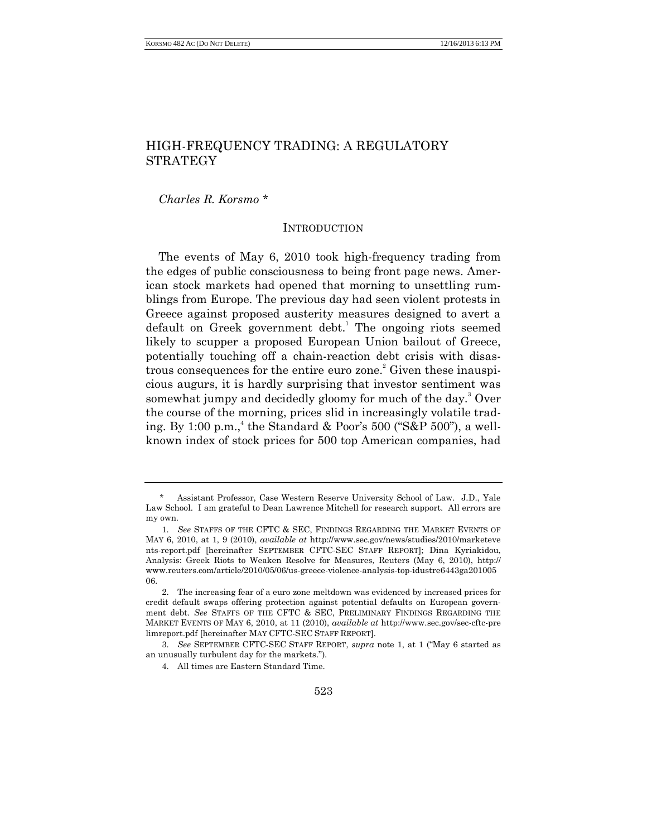# HIGH-FREQUENCY TRADING: A REGULATORY STRATEGY

*Charles R. Korsmo* \*

### INTRODUCTION

The events of May 6, 2010 took high-frequency trading from the edges of public consciousness to being front page news. American stock markets had opened that morning to unsettling rumblings from Europe. The previous day had seen violent protests in Greece against proposed austerity measures designed to avert a default on Greek government debt.<sup>1</sup> The ongoing riots seemed likely to scupper a proposed European Union bailout of Greece, potentially touching off a chain-reaction debt crisis with disastrous consequences for the entire euro zone. <sup>2</sup> Given these inauspicious augurs, it is hardly surprising that investor sentiment was somewhat jumpy and decidedly gloomy for much of the day. $3$  Over the course of the morning, prices slid in increasingly volatile trading. By 1:00 p.m., 4 the Standard & Poor's 500 ("S&P 500"), a wellknown index of stock prices for 500 top American companies, had

Assistant Professor, Case Western Reserve University School of Law. J.D., Yale Law School. I am grateful to Dean Lawrence Mitchell for research support. All errors are my own.

<sup>1.</sup> *See* STAFFS OF THE CFTC & SEC, FINDINGS REGARDING THE MARKET EVENTS OF MAY 6, 2010, at 1, 9 (2010), *available at* http://www.sec.gov/news/studies/2010/marketeve nts-report.pdf [hereinafter SEPTEMBER CFTC-SEC STAFF REPORT]; Dina Kyriakidou, Analysis: Greek Riots to Weaken Resolve for Measures, Reuters (May 6, 2010), http:// www.reuters.com/article/2010/05/06/us-greece-violence-analysis-top-idustre6443ga201005 06.

<sup>2.</sup> The increasing fear of a euro zone meltdown was evidenced by increased prices for credit default swaps offering protection against potential defaults on European government debt. *See* STAFFS OF THE CFTC & SEC, PRELIMINARY FINDINGS REGARDING THE MARKET EVENTS OF MAY 6, 2010, at 11 (2010), *available at* http://www.sec.gov/sec-cftc-pre limreport.pdf [hereinafter MAY CFTC-SEC STAFF REPORT].

<sup>3.</sup> *See* SEPTEMBER CFTC-SEC STAFF REPORT, *supra* note 1, at 1 ("May 6 started as an unusually turbulent day for the markets.").

<sup>4.</sup> All times are Eastern Standard Time.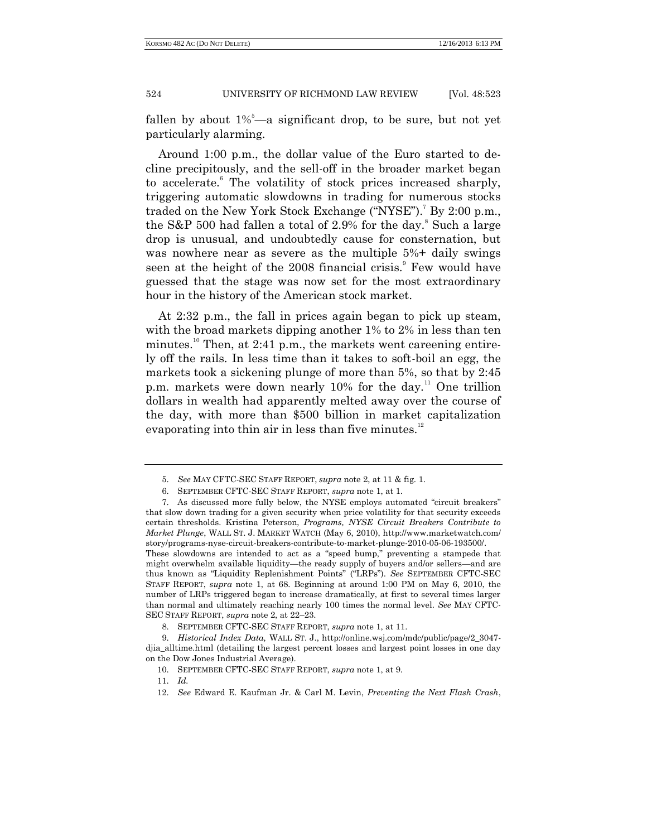fallen by about  $1\%$ <sup>5</sup>—a significant drop, to be sure, but not yet particularly alarming.

Around 1:00 p.m., the dollar value of the Euro started to decline precipitously, and the sell-off in the broader market began to accelerate.<sup>6</sup> The volatility of stock prices increased sharply, triggering automatic slowdowns in trading for numerous stocks traded on the New York Stock Exchange ("NYSE").<sup>7</sup> By 2:00 p.m., the S&P 500 had fallen a total of 2.9% for the day. $8$  Such a large drop is unusual, and undoubtedly cause for consternation, but was nowhere near as severe as the multiple 5%+ daily swings seen at the height of the 2008 financial crisis.<sup>9</sup> Few would have guessed that the stage was now set for the most extraordinary hour in the history of the American stock market.

At 2:32 p.m., the fall in prices again began to pick up steam, with the broad markets dipping another 1% to 2% in less than ten minutes.<sup>10</sup> Then, at 2:41 p.m., the markets went careening entirely off the rails. In less time than it takes to soft-boil an egg, the markets took a sickening plunge of more than 5%, so that by 2:45 p.m. markets were down nearly 10% for the day.<sup>11</sup> One trillion dollars in wealth had apparently melted away over the course of the day, with more than \$500 billion in market capitalization evaporating into thin air in less than five minutes. $12$ 

than normal and ultimately reaching nearly 100 times the normal level. *See* MAY CFTC-SEC STAFF REPORT, *supra* note 2, at 22–23.

<sup>5.</sup> *See* MAY CFTC-SEC STAFF REPORT, *supra* note 2, at 11 & fig. 1.

<sup>6.</sup> SEPTEMBER CFTC-SEC STAFF REPORT, *supra* note 1, at 1.

<sup>7.</sup> As discussed more fully below, the NYSE employs automated "circuit breakers" that slow down trading for a given security when price volatility for that security exceeds certain thresholds. Kristina Peterson, *Programs, NYSE Circuit Breakers Contribute to Market Plunge*, WALL ST. J. MARKET WATCH (May 6, 2010), http://www.marketwatch.com/ story/programs-nyse-circuit-breakers-contribute-to-market-plunge-2010-05-06-193500/. These slowdowns are intended to act as a "speed bump," preventing a stampede that might overwhelm available liquidity—the ready supply of buyers and/or sellers—and are thus known as "Liquidity Replenishment Points" ("LRPs"). *See* SEPTEMBER CFTC-SEC STAFF REPORT, *supra* note 1, at 68. Beginning at around 1:00 PM on May 6, 2010, the number of LRPs triggered began to increase dramatically, at first to several times larger

<sup>8.</sup> SEPTEMBER CFTC-SEC STAFF REPORT, *supra* note 1, at 11.

<sup>9.</sup> *Historical Index Data,* WALL ST. J., http://online.wsj.com/mdc/public/page/2\_3047 djia\_alltime.html (detailing the largest percent losses and largest point losses in one day on the Dow Jones Industrial Average).

<sup>10.</sup> SEPTEMBER CFTC-SEC STAFF REPORT, *supra* note 1, at 9.

<sup>11.</sup> *Id.*

<sup>12.</sup> *See* Edward E. Kaufman Jr. & Carl M. Levin, *Preventing the Next Flash Crash*,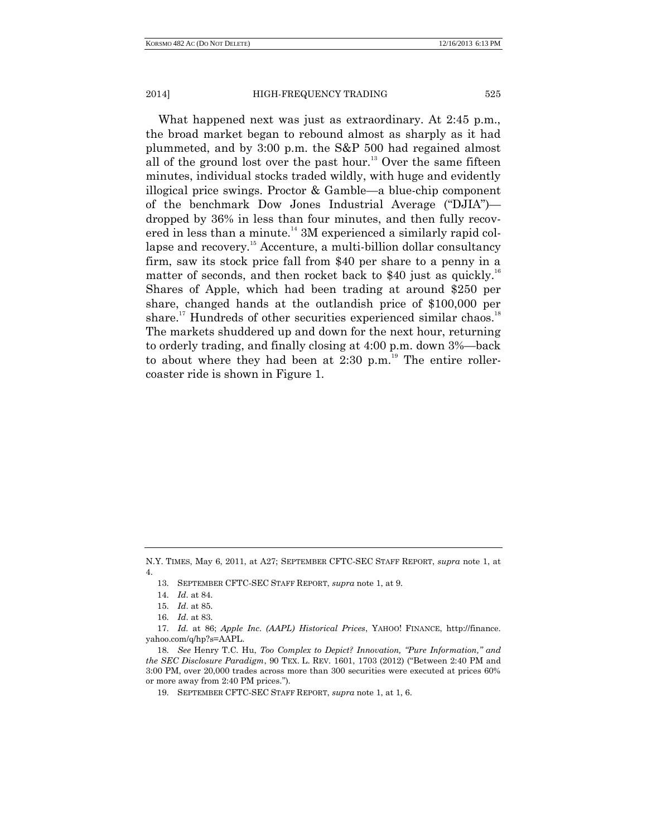What happened next was just as extraordinary. At 2:45 p.m., the broad market began to rebound almost as sharply as it had plummeted, and by 3:00 p.m. the S&P 500 had regained almost all of the ground lost over the past hour.<sup>13</sup> Over the same fifteen minutes, individual stocks traded wildly, with huge and evidently illogical price swings. Proctor & Gamble—a blue-chip component of the benchmark Dow Jones Industrial Average ("DJIA") dropped by 36% in less than four minutes, and then fully recovered in less than a minute.<sup>14</sup> 3M experienced a similarly rapid collapse and recovery.<sup>15</sup> Accenture, a multi-billion dollar consultancy firm, saw its stock price fall from \$40 per share to a penny in a matter of seconds, and then rocket back to \$40 just as quickly.<sup>16</sup> Shares of Apple, which had been trading at around \$250 per share, changed hands at the outlandish price of \$100,000 per share.<sup>17</sup> Hundreds of other securities experienced similar chaos.<sup>18</sup> The markets shuddered up and down for the next hour, returning to orderly trading, and finally closing at 4:00 p.m. down 3%—back to about where they had been at  $2:30$  p.m.<sup>19</sup> The entire rollercoaster ride is shown in Figure 1.

N.Y. TIMES, May 6, 2011, at A27; SEPTEMBER CFTC-SEC STAFF REPORT, *supra* note 1, at 4.

<sup>13.</sup> SEPTEMBER CFTC-SEC STAFF REPORT, *supra* note 1, at 9.

<sup>14.</sup> *Id*. at 84.

<sup>15.</sup> *Id*. at 85.

<sup>16.</sup> *Id*. at 83.

<sup>17.</sup> *Id.* at 86; *Apple Inc. (AAPL) Historical Prices*, YAHOO! FINANCE, http://finance. yahoo.com/q/hp?s=AAPL.

<sup>18.</sup> *See* Henry T.C. Hu, *Too Complex to Depict? Innovation, "Pure Information," and the SEC Disclosure Paradigm*, 90 TEX. L. REV. 1601, 1703 (2012) ("Between 2:40 PM and 3:00 PM, over 20,000 trades across more than 300 securities were executed at prices 60% or more away from 2:40 PM prices.").

<sup>19.</sup> SEPTEMBER CFTC-SEC STAFF REPORT, *supra* note 1, at 1, 6.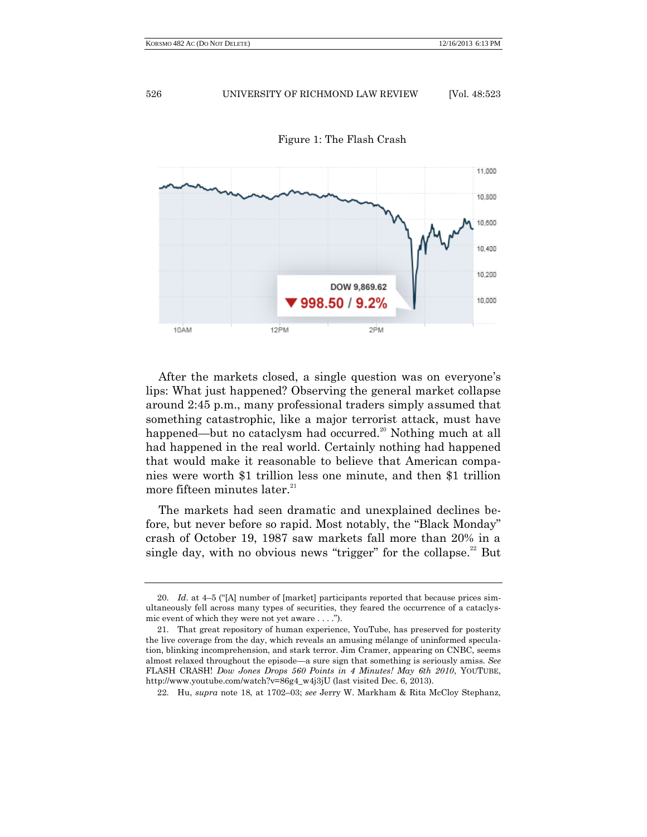

Figure 1: The Flash Crash

After the markets closed, a single question was on everyone's lips: What just happened? Observing the general market collapse around 2:45 p.m., many professional traders simply assumed that something catastrophic, like a major terrorist attack, must have happened—but no cataclysm had occurred.<sup>20</sup> Nothing much at all had happened in the real world. Certainly nothing had happened that would make it reasonable to believe that American companies were worth \$1 trillion less one minute, and then \$1 trillion more fifteen minutes later.<sup>21</sup>

The markets had seen dramatic and unexplained declines before, but never before so rapid. Most notably, the "Black Monday" crash of October 19, 1987 saw markets fall more than 20% in a single day, with no obvious news "trigger" for the collapse. $22$  But

<sup>20.</sup> *Id*. at 4–5 ("[A] number of [market] participants reported that because prices simultaneously fell across many types of securities, they feared the occurrence of a cataclysmic event of which they were not yet aware . . . .").

<sup>21.</sup> That great repository of human experience, YouTube, has preserved for posterity the live coverage from the day, which reveals an amusing mélange of uninformed speculation, blinking incomprehension, and stark terror. Jim Cramer, appearing on CNBC, seems almost relaxed throughout the episode—a sure sign that something is seriously amiss. *See*  FLASH CRASH! *Dow Jones Drops 560 Points in 4 Minutes! May 6th 2010*, YOUTUBE, http://www.youtube.com/watch?v=86g4\_w4j3jU (last visited Dec. 6, 2013).

<sup>22.</sup> Hu, *supra* note 18, at 1702–03; *see* Jerry W. Markham & Rita McCloy Stephanz,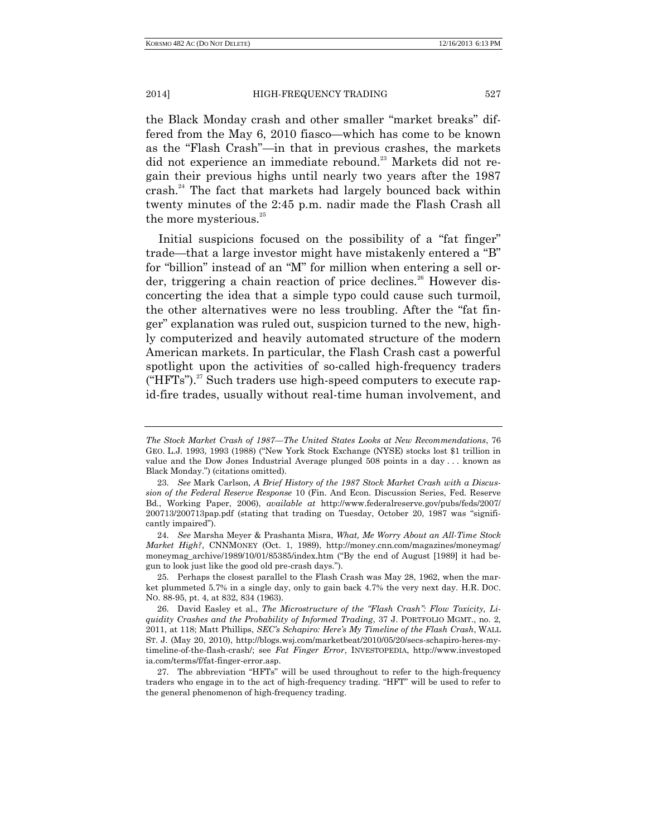the Black Monday crash and other smaller "market breaks" differed from the May 6, 2010 fiasco—which has come to be known as the "Flash Crash"—in that in previous crashes, the markets did not experience an immediate rebound.<sup>23</sup> Markets did not regain their previous highs until nearly two years after the 1987 crash.<sup>24</sup> The fact that markets had largely bounced back within twenty minutes of the 2:45 p.m. nadir made the Flash Crash all the more mysterious.<sup>25</sup>

Initial suspicions focused on the possibility of a "fat finger" trade—that a large investor might have mistakenly entered a "B" for "billion" instead of an "M" for million when entering a sell order, triggering a chain reaction of price declines.<sup>26</sup> However disconcerting the idea that a simple typo could cause such turmoil, the other alternatives were no less troubling. After the "fat finger" explanation was ruled out, suspicion turned to the new, highly computerized and heavily automated structure of the modern American markets. In particular, the Flash Crash cast a powerful spotlight upon the activities of so-called high-frequency traders  $("HFTs")$ .<sup>27</sup> Such traders use high-speed computers to execute rapid-fire trades, usually without real-time human involvement, and

25. Perhaps the closest parallel to the Flash Crash was May 28, 1962, when the market plummeted 5.7% in a single day, only to gain back 4.7% the very next day. H.R. DOC. NO. 88-95, pt. 4, at 832, 834 (1963).

27. The abbreviation "HFTs" will be used throughout to refer to the high-frequency traders who engage in to the act of high-frequency trading. "HFT" will be used to refer to the general phenomenon of high-frequency trading.

*The Stock Market Crash of 1987—The United States Looks at New Recommendations*, 76 GEO. L.J. 1993, 1993 (1988) ("New York Stock Exchange (NYSE) stocks lost \$1 trillion in value and the Dow Jones Industrial Average plunged 508 points in a day . . . known as Black Monday.") (citations omitted).

<sup>23.</sup> *See* Mark Carlson, *A Brief History of the 1987 Stock Market Crash with a Discussion of the Federal Reserve Response* 10 (Fin. And Econ. Discussion Series, Fed. Reserve Bd., Working Paper, 2006), *available at* http://www.federalreserve.gov/pubs/feds/2007/ 200713/200713pap.pdf (stating that trading on Tuesday, October 20, 1987 was "significantly impaired").

<sup>24.</sup> *See* Marsha Meyer & Prashanta Misra, *What, Me Worry About an All-Time Stock Market High?*, CNNMONEY (Oct. 1, 1989), http://money.cnn.com/magazines/moneymag/ moneymag\_archive/1989/10/01/85385/index.htm ("By the end of August [1989] it had begun to look just like the good old pre-crash days.").

<sup>26.</sup> David Easley et al., *The Microstructure of the "Flash Crash": Flow Toxicity, Liquidity Crashes and the Probability of Informed Trading*, 37 J. PORTFOLIO MGMT., no. 2, 2011, at 118; Matt Phillips, *SEC's Schapiro: Here's My Timeline of the Flash Crash*, WALL ST. J. (May 20, 2010), http://blogs.wsj.com/marketbeat/2010/05/20/secs-schapiro-heres-mytimeline-of-the-flash-crash/; see *Fat Finger Error*, INVESTOPEDIA, http://www.investoped ia.com/terms/f/fat-finger-error.asp.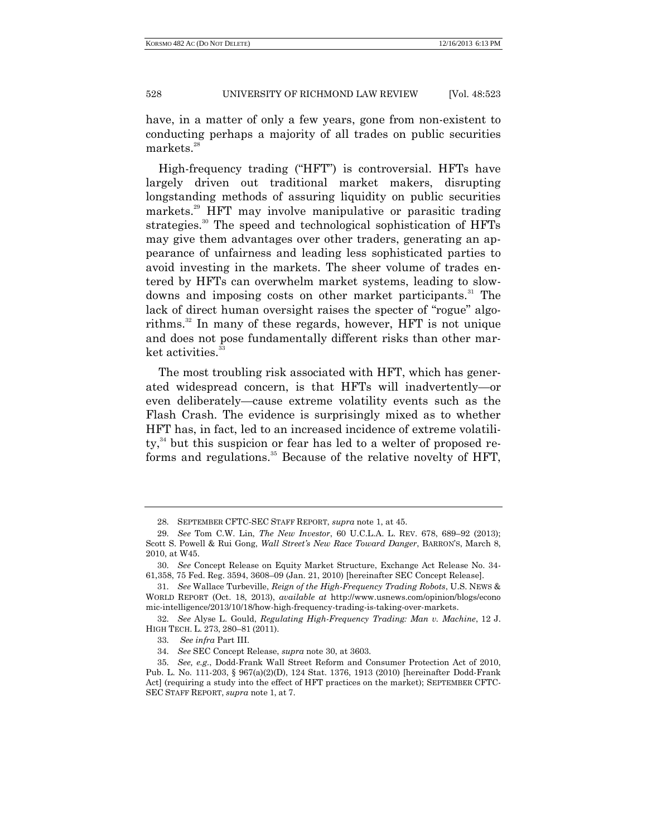have, in a matter of only a few years, gone from non-existent to conducting perhaps a majority of all trades on public securities markets.<sup>28</sup>

High-frequency trading ("HFT") is controversial. HFTs have largely driven out traditional market makers, disrupting longstanding methods of assuring liquidity on public securities markets.<sup>29</sup> HFT may involve manipulative or parasitic trading strategies.<sup>30</sup> The speed and technological sophistication of HFTs may give them advantages over other traders, generating an appearance of unfairness and leading less sophisticated parties to avoid investing in the markets. The sheer volume of trades entered by HFTs can overwhelm market systems, leading to slowdowns and imposing costs on other market participants.<sup>31</sup> The lack of direct human oversight raises the specter of "rogue" algorithms.<sup>32</sup> In many of these regards, however, HFT is not unique and does not pose fundamentally different risks than other market activities.<sup>33</sup>

The most troubling risk associated with HFT, which has generated widespread concern, is that HFTs will inadvertently—or even deliberately—cause extreme volatility events such as the Flash Crash. The evidence is surprisingly mixed as to whether HFT has, in fact, led to an increased incidence of extreme volatili $ty<sub>1</sub><sup>34</sup>$  but this suspicion or fear has led to a welter of proposed reforms and regulations.<sup>35</sup> Because of the relative novelty of HFT,

<sup>28.</sup> SEPTEMBER CFTC-SEC STAFF REPORT, *supra* note 1, at 45.

<sup>29.</sup> *See* Tom C.W. Lin, *The New Investor*, 60 U.C.L.A. L. REV. 678, 689–92 (2013); Scott S. Powell & Rui Gong, *Wall Street's New Race Toward Danger*, BARRON'S, March 8, 2010, at W45.

<sup>30.</sup> *See* Concept Release on Equity Market Structure, Exchange Act Release No. 34- 61,358, 75 Fed. Reg. 3594, 3608–09 (Jan. 21, 2010) [hereinafter SEC Concept Release].

<sup>31.</sup> *See* Wallace Turbeville, *Reign of the High-Frequency Trading Robots*, U.S. NEWS & WORLD REPORT (Oct. 18, 2013), *available at* http://www.usnews.com/opinion/blogs/econo mic-intelligence/2013/10/18/how-high-frequency-trading-is-taking-over-markets.

<sup>32.</sup> *See* Alyse L. Gould, *Regulating High-Frequency Trading: Man v. Machine*, 12 J. HIGH TECH. L. 273, 280–81 (2011).

<sup>33.</sup> *See infra* Part III.

<sup>34.</sup> *See* SEC Concept Release, *supra* note 30, at 3603.

<sup>35.</sup> *See, e.g.*, Dodd-Frank Wall Street Reform and Consumer Protection Act of 2010, Pub. L. No. 111-203, § 967(a)(2)(D), 124 Stat. 1376, 1913 (2010) [hereinafter Dodd-Frank Act] (requiring a study into the effect of HFT practices on the market); SEPTEMBER CFTC-SEC STAFF REPORT, *supra* note 1, at 7.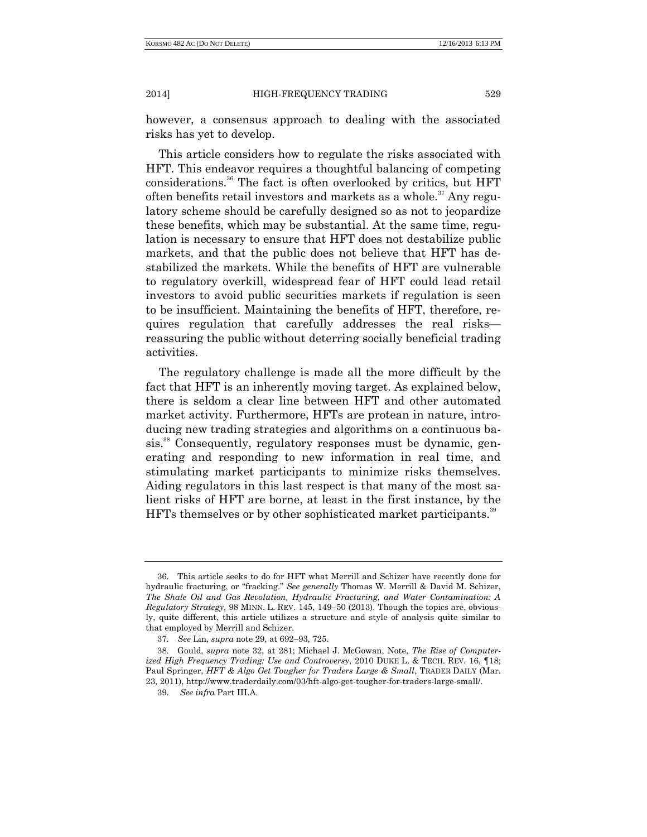however, a consensus approach to dealing with the associated risks has yet to develop.

This article considers how to regulate the risks associated with HFT. This endeavor requires a thoughtful balancing of competing considerations.<sup>36</sup> The fact is often overlooked by critics, but HFT often benefits retail investors and markets as a whole.<sup>37</sup> Any regulatory scheme should be carefully designed so as not to jeopardize these benefits, which may be substantial. At the same time, regulation is necessary to ensure that HFT does not destabilize public markets, and that the public does not believe that HFT has destabilized the markets. While the benefits of HFT are vulnerable to regulatory overkill, widespread fear of HFT could lead retail investors to avoid public securities markets if regulation is seen to be insufficient. Maintaining the benefits of HFT, therefore, requires regulation that carefully addresses the real risks reassuring the public without deterring socially beneficial trading activities.

The regulatory challenge is made all the more difficult by the fact that HFT is an inherently moving target. As explained below, there is seldom a clear line between HFT and other automated market activity. Furthermore, HFTs are protean in nature, introducing new trading strategies and algorithms on a continuous basis.<sup>38</sup> Consequently, regulatory responses must be dynamic, generating and responding to new information in real time, and stimulating market participants to minimize risks themselves. Aiding regulators in this last respect is that many of the most salient risks of HFT are borne, at least in the first instance, by the HFTs themselves or by other sophisticated market participants.<sup>39</sup>

<sup>36.</sup> This article seeks to do for HFT what Merrill and Schizer have recently done for hydraulic fracturing, or "fracking." *See generally* Thomas W. Merrill & David M. Schizer, *The Shale Oil and Gas Revolution, Hydraulic Fracturing, and Water Contamination: A Regulatory Strategy*, 98 MINN. L. REV. 145, 149–50 (2013). Though the topics are, obviously, quite different, this article utilizes a structure and style of analysis quite similar to that employed by Merrill and Schizer.

<sup>37.</sup> *See* Lin, *supra* note 29, at 692–93, 725.

<sup>38.</sup> Gould, *supra* note 32, at 281; Michael J. McGowan, Note, *The Rise of Computerized High Frequency Trading: Use and Controversy*, 2010 DUKE L. & TECH. REV. 16, ¶18; Paul Springer, *HFT & Algo Get Tougher for Traders Large & Small*, TRADER DAILY (Mar. 23, 2011), http://www.traderdaily.com/03/hft-algo-get-tougher-for-traders-large-small/.

<sup>39.</sup> *See infra* Part III.A.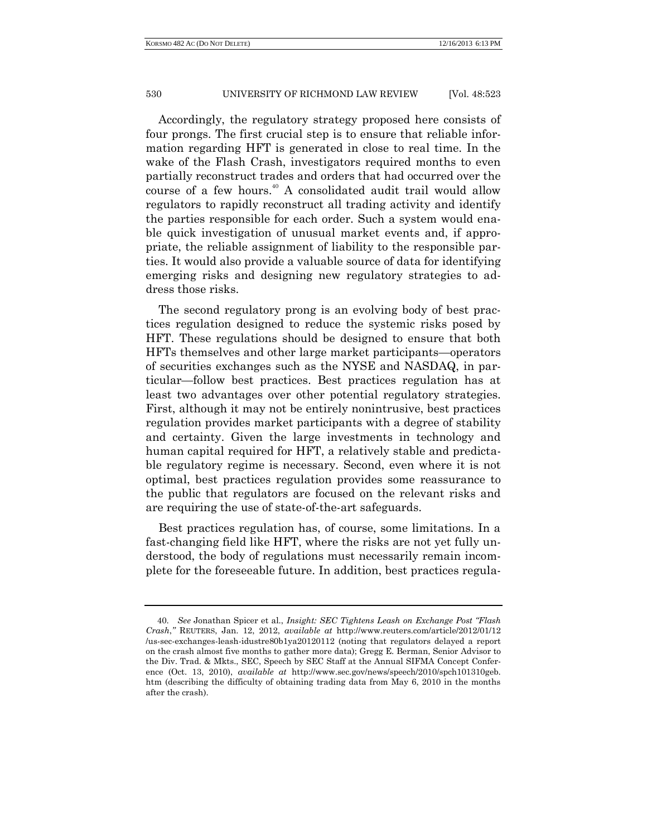Accordingly, the regulatory strategy proposed here consists of four prongs. The first crucial step is to ensure that reliable information regarding HFT is generated in close to real time. In the wake of the Flash Crash, investigators required months to even partially reconstruct trades and orders that had occurred over the course of a few hours.<sup>40</sup> A consolidated audit trail would allow regulators to rapidly reconstruct all trading activity and identify the parties responsible for each order. Such a system would enable quick investigation of unusual market events and, if appropriate, the reliable assignment of liability to the responsible parties. It would also provide a valuable source of data for identifying emerging risks and designing new regulatory strategies to address those risks.

The second regulatory prong is an evolving body of best practices regulation designed to reduce the systemic risks posed by HFT. These regulations should be designed to ensure that both HFTs themselves and other large market participants—operators of securities exchanges such as the NYSE and NASDAQ, in particular—follow best practices. Best practices regulation has at least two advantages over other potential regulatory strategies. First, although it may not be entirely nonintrusive, best practices regulation provides market participants with a degree of stability and certainty. Given the large investments in technology and human capital required for HFT, a relatively stable and predictable regulatory regime is necessary. Second, even where it is not optimal, best practices regulation provides some reassurance to the public that regulators are focused on the relevant risks and are requiring the use of state-of-the-art safeguards.

Best practices regulation has, of course, some limitations. In a fast-changing field like HFT, where the risks are not yet fully understood, the body of regulations must necessarily remain incomplete for the foreseeable future. In addition, best practices regula-

<sup>40.</sup> *See* Jonathan Spicer et al., *Insight: SEC Tightens Leash on Exchange Post "Flash Crash*,*"* REUTERS, Jan. 12, 2012, *available at* http://www.reuters.com/article/2012/01/12 /us-sec-exchanges-leash-idustre80b1ya20120112 (noting that regulators delayed a report on the crash almost five months to gather more data); Gregg E. Berman, Senior Advisor to the Div. Trad. & Mkts., SEC, Speech by SEC Staff at the Annual SIFMA Concept Conference (Oct. 13, 2010), *available at* http://www.sec.gov/news/speech/2010/spch101310geb. htm (describing the difficulty of obtaining trading data from May 6, 2010 in the months after the crash).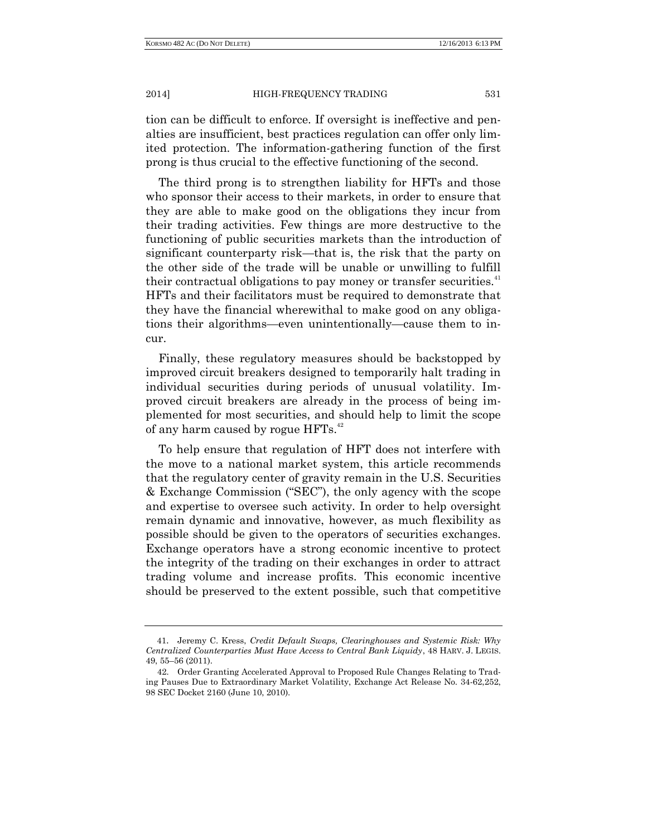tion can be difficult to enforce. If oversight is ineffective and penalties are insufficient, best practices regulation can offer only limited protection. The information-gathering function of the first prong is thus crucial to the effective functioning of the second.

The third prong is to strengthen liability for HFTs and those who sponsor their access to their markets, in order to ensure that they are able to make good on the obligations they incur from their trading activities. Few things are more destructive to the functioning of public securities markets than the introduction of significant counterparty risk—that is, the risk that the party on the other side of the trade will be unable or unwilling to fulfill their contractual obligations to pay money or transfer securities.<sup>41</sup> HFTs and their facilitators must be required to demonstrate that they have the financial wherewithal to make good on any obligations their algorithms—even unintentionally—cause them to incur.

Finally, these regulatory measures should be backstopped by improved circuit breakers designed to temporarily halt trading in individual securities during periods of unusual volatility. Improved circuit breakers are already in the process of being implemented for most securities, and should help to limit the scope of any harm caused by rogue HFTs.<sup>42</sup>

To help ensure that regulation of HFT does not interfere with the move to a national market system, this article recommends that the regulatory center of gravity remain in the U.S. Securities & Exchange Commission ("SEC"), the only agency with the scope and expertise to oversee such activity. In order to help oversight remain dynamic and innovative, however, as much flexibility as possible should be given to the operators of securities exchanges. Exchange operators have a strong economic incentive to protect the integrity of the trading on their exchanges in order to attract trading volume and increase profits. This economic incentive should be preserved to the extent possible, such that competitive

<sup>41</sup>. Jeremy C. Kress, *Credit Default Swaps, Clearinghouses and Systemic Risk: Why Centralized Counterparties Must Have Access to Central Bank Liquidy*, 48 HARV. J. LEGIS. 49, 55–56 (2011).

<sup>42.</sup> Order Granting Accelerated Approval to Proposed Rule Changes Relating to Trading Pauses Due to Extraordinary Market Volatility, Exchange Act Release No. 34-62,252, 98 SEC Docket 2160 (June 10, 2010).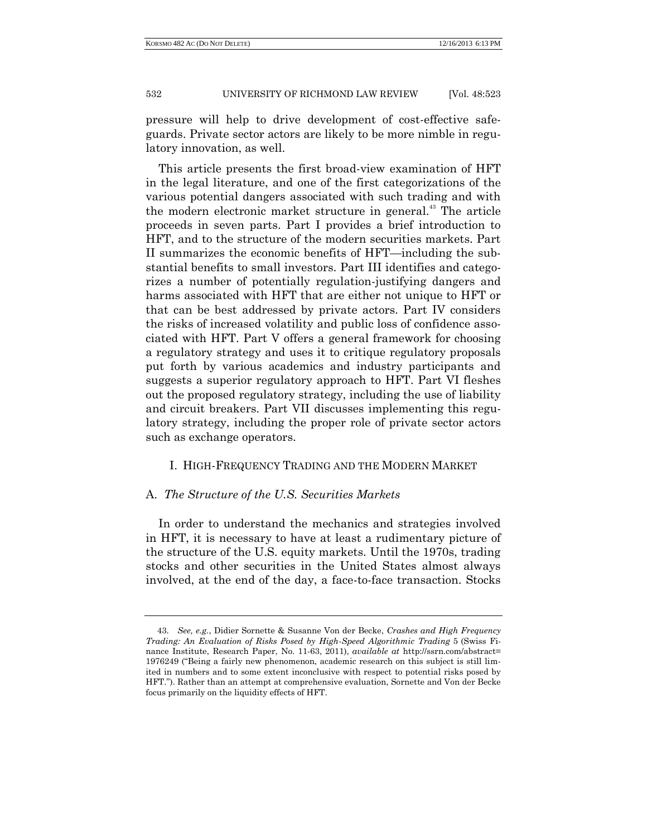pressure will help to drive development of cost-effective safeguards. Private sector actors are likely to be more nimble in regulatory innovation, as well.

This article presents the first broad-view examination of HFT in the legal literature, and one of the first categorizations of the various potential dangers associated with such trading and with the modern electronic market structure in general.<sup>43</sup> The article proceeds in seven parts. Part I provides a brief introduction to HFT, and to the structure of the modern securities markets. Part II summarizes the economic benefits of HFT—including the substantial benefits to small investors. Part III identifies and categorizes a number of potentially regulation-justifying dangers and harms associated with HFT that are either not unique to HFT or that can be best addressed by private actors. Part IV considers the risks of increased volatility and public loss of confidence associated with HFT. Part V offers a general framework for choosing a regulatory strategy and uses it to critique regulatory proposals put forth by various academics and industry participants and suggests a superior regulatory approach to HFT. Part VI fleshes out the proposed regulatory strategy, including the use of liability and circuit breakers. Part VII discusses implementing this regulatory strategy, including the proper role of private sector actors such as exchange operators.

# I. HIGH-FREQUENCY TRADING AND THE MODERN MARKET

## A. *The Structure of the U.S. Securities Markets*

In order to understand the mechanics and strategies involved in HFT, it is necessary to have at least a rudimentary picture of the structure of the U.S. equity markets. Until the 1970s, trading stocks and other securities in the United States almost always involved, at the end of the day, a face-to-face transaction. Stocks

<sup>43.</sup> *See, e.g.*, Didier Sornette & Susanne Von der Becke, *Crashes and High Frequency Trading: An Evaluation of Risks Posed by High-Speed Algorithmic Trading* 5 (Swiss Finance Institute, Research Paper, No. 11-63, 2011), *available at* http://ssrn.com/abstract= 1976249 ("Being a fairly new phenomenon, academic research on this subject is still limited in numbers and to some extent inconclusive with respect to potential risks posed by HFT."). Rather than an attempt at comprehensive evaluation, Sornette and Von der Becke focus primarily on the liquidity effects of HFT.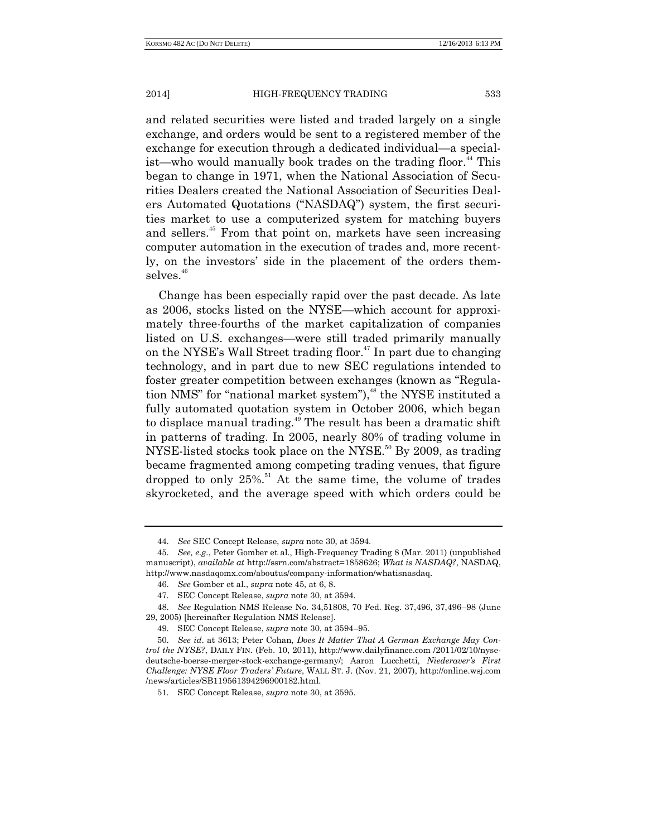and related securities were listed and traded largely on a single exchange, and orders would be sent to a registered member of the exchange for execution through a dedicated individual—a specialist—who would manually book trades on the trading floor.<sup>44</sup> This began to change in 1971, when the National Association of Securities Dealers created the National Association of Securities Dealers Automated Quotations ("NASDAQ") system, the first securities market to use a computerized system for matching buyers and sellers.<sup>45</sup> From that point on, markets have seen increasing computer automation in the execution of trades and, more recently, on the investors' side in the placement of the orders themselves.<sup>46</sup>

Change has been especially rapid over the past decade. As late as 2006, stocks listed on the NYSE—which account for approximately three-fourths of the market capitalization of companies listed on U.S. exchanges—were still traded primarily manually on the NYSE's Wall Street trading floor.<sup>47</sup> In part due to changing technology, and in part due to new SEC regulations intended to foster greater competition between exchanges (known as "Regulation NMS" for "national market system"), <sup>48</sup> the NYSE instituted a fully automated quotation system in October 2006, which began to displace manual trading.<sup>49</sup> The result has been a dramatic shift in patterns of trading. In 2005, nearly 80% of trading volume in NYSE-listed stocks took place on the NYSE.<sup>50</sup> By 2009, as trading became fragmented among competing trading venues, that figure dropped to only 25%.<sup>51</sup> At the same time, the volume of trades skyrocketed, and the average speed with which orders could be

<sup>44.</sup> *See* SEC Concept Release, *supra* note 30, at 3594.

<sup>45.</sup> *See, e.g.*, Peter Gomber et al., High-Frequency Trading 8 (Mar. 2011) (unpublished manuscript), *available at* http://ssrn.com/abstract=1858626; *What is NASDAQ?*, NASDAQ, http://www.nasdaqomx.com/aboutus/company-information/whatisnasdaq.

<sup>46.</sup> *See* Gomber et al., *supra* note 45, at 6, 8.

<sup>47.</sup> SEC Concept Release, *supra* note 30, at 3594.

<sup>48.</sup> *See* Regulation NMS Release No. 34,51808, 70 Fed. Reg. 37,496, 37,496–98 (June 29, 2005) [hereinafter Regulation NMS Release].

<sup>49.</sup> SEC Concept Release, *supra* note 30, at 3594–95.

<sup>50.</sup> *See id*. at 3613; Peter Cohan, *Does It Matter That A German Exchange May Control the NYSE?*, DAILY FIN. (Feb. 10, 2011), http://www.dailyfinance.com /2011/02/10/nysedeutsche-boerse-merger-stock-exchange-germany/; Aaron Lucchetti, *Niederaver's First Challenge: NYSE Floor Traders' Future*, WALL ST. J. (Nov. 21, 2007), http://online.wsj.com /news/articles/SB119561394296900182.html.

<sup>51.</sup> SEC Concept Release, *supra* note 30, at 3595.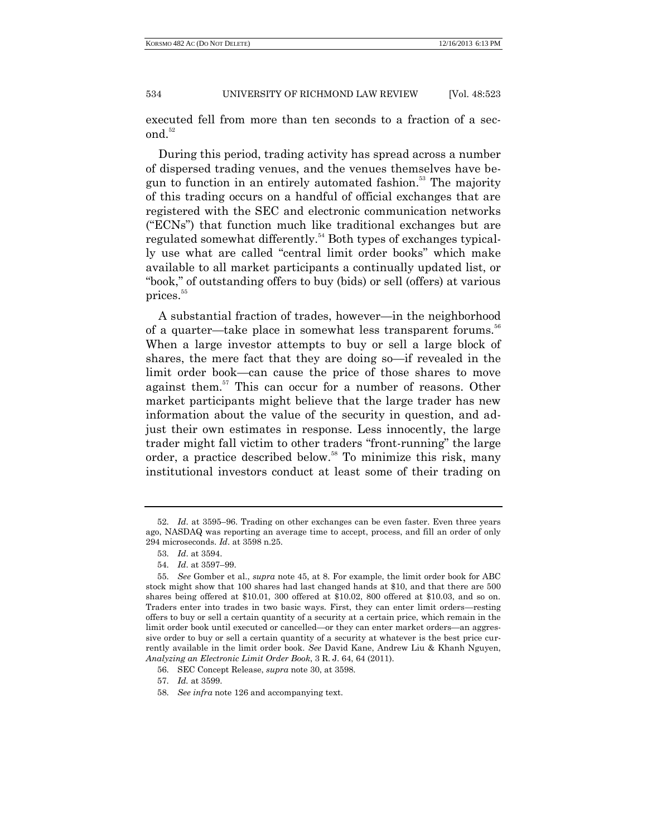executed fell from more than ten seconds to a fraction of a second.<sup>52</sup>

During this period, trading activity has spread across a number of dispersed trading venues, and the venues themselves have begun to function in an entirely automated fashion.<sup>53</sup> The majority of this trading occurs on a handful of official exchanges that are registered with the SEC and electronic communication networks ("ECNs") that function much like traditional exchanges but are regulated somewhat differently.<sup>54</sup> Both types of exchanges typically use what are called "central limit order books" which make available to all market participants a continually updated list, or "book," of outstanding offers to buy (bids) or sell (offers) at various prices.<sup>55</sup>

A substantial fraction of trades, however—in the neighborhood of a quarter—take place in somewhat less transparent forums.<sup>56</sup> When a large investor attempts to buy or sell a large block of shares, the mere fact that they are doing so—if revealed in the limit order book—can cause the price of those shares to move against them.<sup>57</sup> This can occur for a number of reasons. Other market participants might believe that the large trader has new information about the value of the security in question, and adjust their own estimates in response. Less innocently, the large trader might fall victim to other traders "front-running" the large order, a practice described below.<sup>58</sup> To minimize this risk, many institutional investors conduct at least some of their trading on

<sup>52.</sup> *Id*. at 3595–96. Trading on other exchanges can be even faster. Even three years ago, NASDAQ was reporting an average time to accept, process, and fill an order of only 294 microseconds. *Id*. at 3598 n.25.

<sup>53.</sup> *Id*. at 3594.

<sup>54.</sup> *Id*. at 3597–99.

<sup>55.</sup> *See* Gomber et al., *supra* note 45, at 8. For example, the limit order book for ABC stock might show that 100 shares had last changed hands at \$10, and that there are 500 shares being offered at \$10.01, 300 offered at \$10.02, 800 offered at \$10.03, and so on. Traders enter into trades in two basic ways. First, they can enter limit orders—resting offers to buy or sell a certain quantity of a security at a certain price, which remain in the limit order book until executed or cancelled—or they can enter market orders—an aggressive order to buy or sell a certain quantity of a security at whatever is the best price currently available in the limit order book. *See* David Kane, Andrew Liu & Khanh Nguyen, *Analyzing an Electronic Limit Order Book*, 3 R. J. 64, 64 (2011).

<sup>56.</sup> SEC Concept Release, *supra* note 30, at 3598.

<sup>57.</sup> *Id.* at 3599.

<sup>58.</sup> *See infra* note 126 and accompanying text.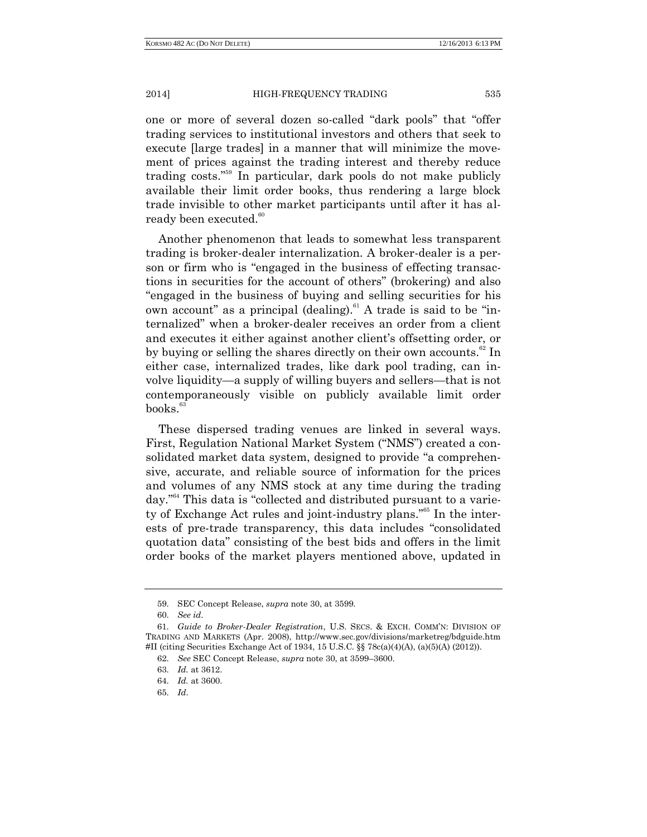one or more of several dozen so-called "dark pools" that "offer trading services to institutional investors and others that seek to execute [large trades] in a manner that will minimize the movement of prices against the trading interest and thereby reduce trading costs."<sup>59</sup> In particular, dark pools do not make publicly available their limit order books, thus rendering a large block trade invisible to other market participants until after it has already been executed.<sup>60</sup>

Another phenomenon that leads to somewhat less transparent trading is broker-dealer internalization. A broker-dealer is a person or firm who is "engaged in the business of effecting transactions in securities for the account of others" (brokering) and also "engaged in the business of buying and selling securities for his own account" as a principal (dealing).<sup>61</sup> A trade is said to be "internalized" when a broker-dealer receives an order from a client and executes it either against another client's offsetting order, or by buying or selling the shares directly on their own accounts.<sup>62</sup> In either case, internalized trades, like dark pool trading, can involve liquidity—a supply of willing buyers and sellers—that is not contemporaneously visible on publicly available limit order books.<sup>63</sup>

These dispersed trading venues are linked in several ways. First, Regulation National Market System ("NMS") created a consolidated market data system, designed to provide "a comprehensive, accurate, and reliable source of information for the prices and volumes of any NMS stock at any time during the trading day." <sup>64</sup> This data is "collected and distributed pursuant to a variety of Exchange Act rules and joint-industry plans."<sup>65</sup> In the interests of pre-trade transparency, this data includes "consolidated quotation data" consisting of the best bids and offers in the limit order books of the market players mentioned above, updated in

<sup>59.</sup> SEC Concept Release, *supra* note 30, at 3599.

<sup>60.</sup> *See id*.

<sup>61.</sup> *Guide to Broker-Dealer Registration*, U.S. SECS. & EXCH. COMM'N: DIVISION OF TRADING AND MARKETS (Apr. 2008), http://www.sec.gov/divisions/marketreg/bdguide.htm #II (citing Securities Exchange Act of 1934, 15 U.S.C. §§ 78c(a)(4)(A), (a)(5)(A) (2012)).

<sup>62.</sup> *See* SEC Concept Release, *supra* note 30, at 3599–3600.

<sup>63.</sup> *Id.* at 3612.

<sup>64.</sup> *Id.* at 3600.

<sup>65.</sup> *Id*.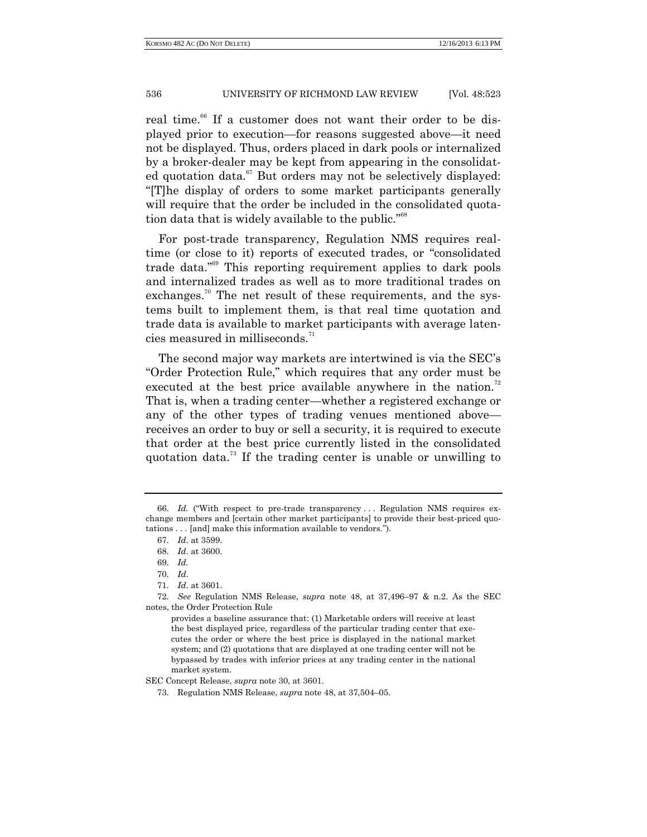real time.<sup>66</sup> If a customer does not want their order to be displayed prior to execution—for reasons suggested above—it need not be displayed. Thus, orders placed in dark pools or internalized by a broker-dealer may be kept from appearing in the consolidated quotation data. $67$  But orders may not be selectively displayed: "[T]he display of orders to some market participants generally will require that the order be included in the consolidated quotation data that is widely available to the public."<sup>68</sup>

For post-trade transparency, Regulation NMS requires realtime (or close to it) reports of executed trades, or "consolidated trade data." <sup>69</sup> This reporting requirement applies to dark pools and internalized trades as well as to more traditional trades on exchanges.<sup>70</sup> The net result of these requirements, and the systems built to implement them, is that real time quotation and trade data is available to market participants with average latencies measured in milliseconds.<sup>71</sup>

The second major way markets are intertwined is via the SEC's "Order Protection Rule," which requires that any order must be executed at the best price available anywhere in the nation.<sup>72</sup> That is, when a trading center—whether a registered exchange or any of the other types of trading venues mentioned above receives an order to buy or sell a security, it is required to execute that order at the best price currently listed in the consolidated quotation data.<sup>73</sup> If the trading center is unable or unwilling to

SEC Concept Release, *supra* note 30, at 3601.

<sup>66.</sup> *Id.* ("With respect to pre-trade transparency . . . Regulation NMS requires exchange members and [certain other market participants] to provide their best-priced quotations . . . [and] make this information available to vendors.").

<sup>67.</sup> *Id*. at 3599.

<sup>68.</sup> *Id*. at 3600.

<sup>69.</sup> *Id.*

<sup>70.</sup> *Id*.

<sup>71.</sup> *Id*. at 3601.

<sup>72.</sup> *See* Regulation NMS Release, *supra* note 48, at 37,496–97 & n.2. As the SEC notes, the Order Protection Rule

provides a baseline assurance that: (1) Marketable orders will receive at least the best displayed price, regardless of the particular trading center that executes the order or where the best price is displayed in the national market system; and (2) quotations that are displayed at one trading center will not be bypassed by trades with inferior prices at any trading center in the national market system.

<sup>73.</sup> Regulation NMS Release, *supra* note 48, at 37,504–05.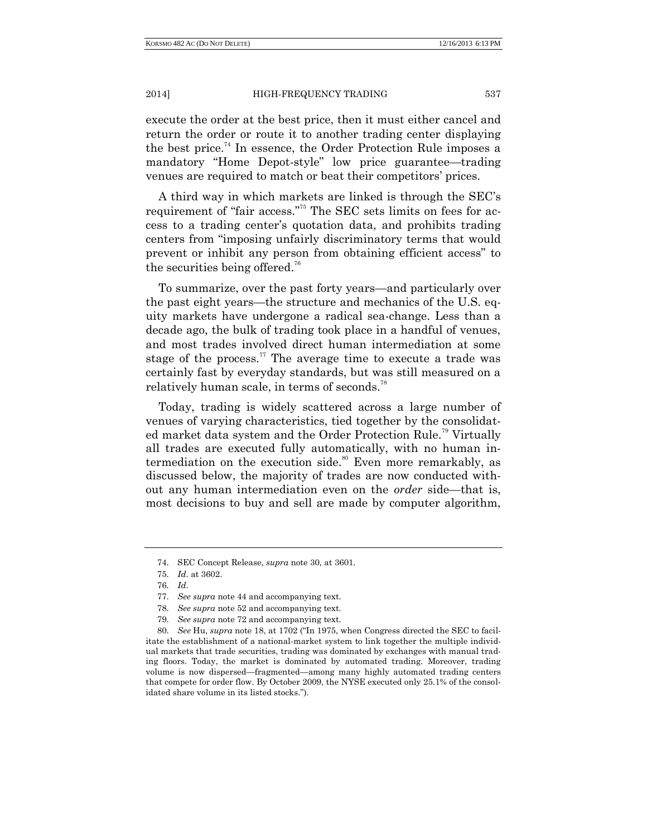execute the order at the best price, then it must either cancel and return the order or route it to another trading center displaying the best price.<sup>74</sup> In essence, the Order Protection Rule imposes a mandatory "Home Depot-style" low price guarantee—trading venues are required to match or beat their competitors' prices.

A third way in which markets are linked is through the SEC's requirement of "fair access."<sup>75</sup> The SEC sets limits on fees for access to a trading center's quotation data, and prohibits trading centers from "imposing unfairly discriminatory terms that would prevent or inhibit any person from obtaining efficient access" to the securities being offered.<sup>76</sup>

To summarize, over the past forty years—and particularly over the past eight years—the structure and mechanics of the U.S. equity markets have undergone a radical sea-change. Less than a decade ago, the bulk of trading took place in a handful of venues, and most trades involved direct human intermediation at some stage of the process.<sup>77</sup> The average time to execute a trade was certainly fast by everyday standards, but was still measured on a relatively human scale, in terms of seconds.<sup>78</sup>

Today, trading is widely scattered across a large number of venues of varying characteristics, tied together by the consolidated market data system and the Order Protection Rule.<sup>79</sup> Virtually all trades are executed fully automatically, with no human intermediation on the execution side.<sup>80</sup> Even more remarkably, as discussed below, the majority of trades are now conducted without any human intermediation even on the *order* side—that is, most decisions to buy and sell are made by computer algorithm,

<sup>74.</sup> SEC Concept Release, *supra* note 30, at 3601.

<sup>75.</sup> *Id*. at 3602.

<sup>76.</sup> *Id*.

<sup>77.</sup> *See supra* note 44 and accompanying text.

<sup>78.</sup> *See supra* note 52 and accompanying text.

<sup>79.</sup> *See supra* note 72 and accompanying text.

<sup>80.</sup> *See* Hu, *supra* note 18, at 1702 ("In 1975, when Congress directed the SEC to facilitate the establishment of a national-market system to link together the multiple individual markets that trade securities, trading was dominated by exchanges with manual trading floors. Today, the market is dominated by automated trading. Moreover, trading volume is now dispersed—fragmented—among many highly automated trading centers that compete for order flow. By October 2009, the NYSE executed only 25.1% of the consolidated share volume in its listed stocks.").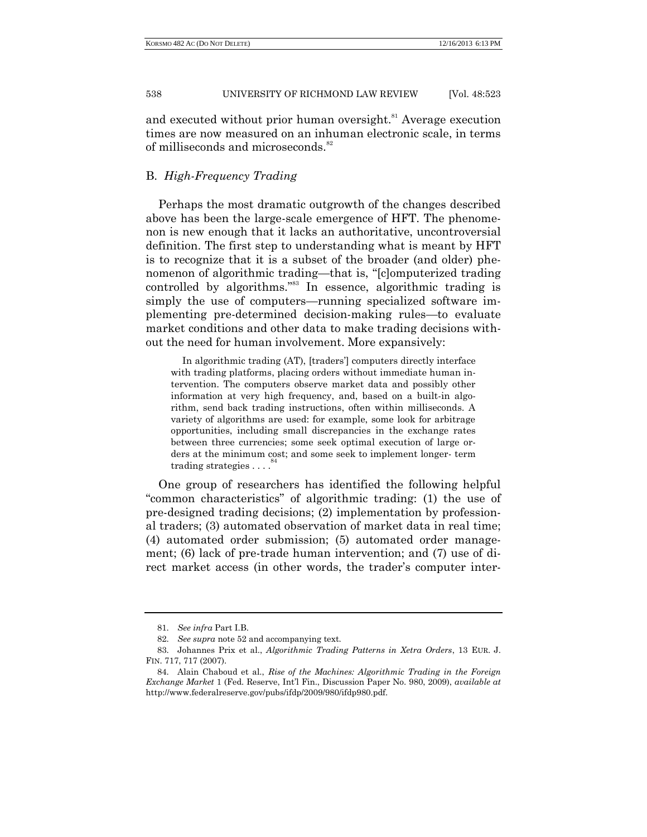and executed without prior human oversight.<sup>81</sup> Average execution times are now measured on an inhuman electronic scale, in terms of milliseconds and microseconds.<sup>82</sup>

## B. *High-Frequency Trading*

Perhaps the most dramatic outgrowth of the changes described above has been the large-scale emergence of HFT. The phenomenon is new enough that it lacks an authoritative, uncontroversial definition. The first step to understanding what is meant by HFT is to recognize that it is a subset of the broader (and older) phenomenon of algorithmic trading—that is, "[c]omputerized trading controlled by algorithms." <sup>83</sup> In essence, algorithmic trading is simply the use of computers—running specialized software implementing pre-determined decision-making rules—to evaluate market conditions and other data to make trading decisions without the need for human involvement. More expansively:

In algorithmic trading (AT), [traders'] computers directly interface with trading platforms, placing orders without immediate human intervention. The computers observe market data and possibly other information at very high frequency, and, based on a built-in algorithm, send back trading instructions, often within milliseconds. A variety of algorithms are used: for example, some look for arbitrage opportunities, including small discrepancies in the exchange rates between three currencies; some seek optimal execution of large orders at the minimum cost; and some seek to implement longer- term trading strategies . . . . <sup>84</sup>

One group of researchers has identified the following helpful "common characteristics" of algorithmic trading: (1) the use of pre-designed trading decisions; (2) implementation by professional traders; (3) automated observation of market data in real time; (4) automated order submission; (5) automated order management; (6) lack of pre-trade human intervention; and (7) use of direct market access (in other words, the trader's computer inter-

<sup>81.</sup> *See infra* Part I.B.

<sup>82.</sup> *See supra* note 52 and accompanying text.

<sup>83.</sup> Johannes Prix et al., *Algorithmic Trading Patterns in Xetra Orders*, 13 EUR. J. FIN. 717, 717 (2007).

<sup>84.</sup> Alain Chaboud et al., *Rise of the Machines: Algorithmic Trading in the Foreign Exchange Market* 1 (Fed. Reserve, Int'l Fin., Discussion Paper No. 980, 2009), *available at* http://www.federalreserve.gov/pubs/ifdp/2009/980/ifdp980.pdf.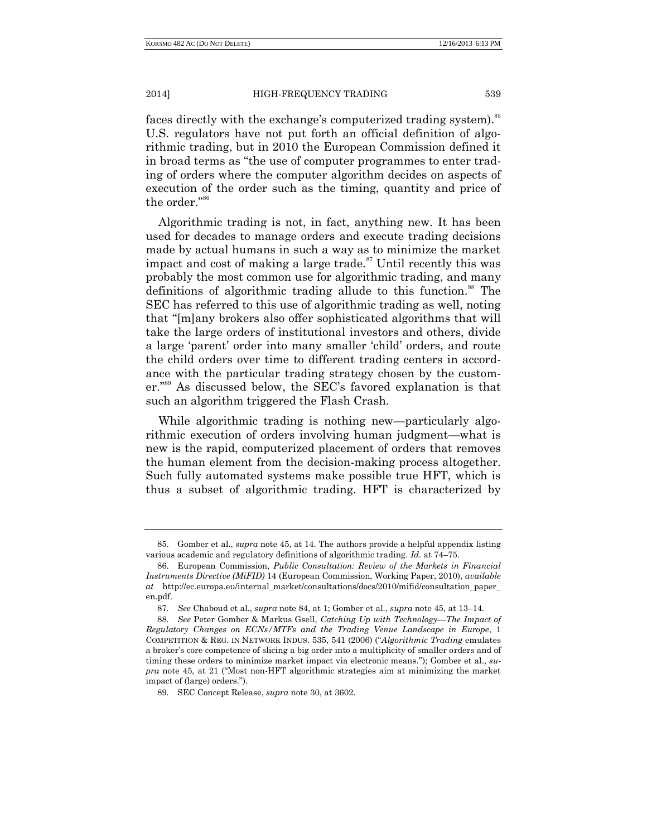faces directly with the exchange's computerized trading system).<sup>55</sup> U.S. regulators have not put forth an official definition of algorithmic trading, but in 2010 the European Commission defined it in broad terms as "the use of computer programmes to enter trading of orders where the computer algorithm decides on aspects of execution of the order such as the timing, quantity and price of the order." 86

Algorithmic trading is not, in fact, anything new. It has been used for decades to manage orders and execute trading decisions made by actual humans in such a way as to minimize the market impact and cost of making a large trade.<sup>87</sup> Until recently this was probably the most common use for algorithmic trading, and many definitions of algorithmic trading allude to this function.<sup>88</sup> The SEC has referred to this use of algorithmic trading as well, noting that "[m]any brokers also offer sophisticated algorithms that will take the large orders of institutional investors and others, divide a large 'parent' order into many smaller 'child' orders, and route the child orders over time to different trading centers in accordance with the particular trading strategy chosen by the customer." <sup>89</sup> As discussed below, the SEC's favored explanation is that such an algorithm triggered the Flash Crash.

While algorithmic trading is nothing new—particularly algorithmic execution of orders involving human judgment—what is new is the rapid, computerized placement of orders that removes the human element from the decision-making process altogether. Such fully automated systems make possible true HFT, which is thus a subset of algorithmic trading. HFT is characterized by

<sup>85.</sup> Gomber et al., *supra* note 45, at 14. The authors provide a helpful appendix listing various academic and regulatory definitions of algorithmic trading. *Id*. at 74–75.

<sup>86.</sup> European Commission, *Public Consultation: Review of the Markets in Financial Instruments Directive (MiFID)* 14 (European Commission, Working Paper, 2010), *available at* http://ec.europa.eu/internal\_market/consultations/docs/2010/mifid/consultation\_paper\_ en.pdf.

<sup>87.</sup> *See* Chaboud et al., *supra* note 84, at 1; Gomber et al., *supra* note 45, at 13–14.

<sup>88.</sup> *See* Peter Gomber & Markus Gsell, *Catching Up with Technology—The Impact of Regulatory Changes on ECNs/MTFs and the Trading Venue Landscape in Europe*, 1 COMPETITION & REG. IN NETWORK INDUS. 535, 541 (2006) ("*Algorithmic Trading* emulates a broker's core competence of slicing a big order into a multiplicity of smaller orders and of timing these orders to minimize market impact via electronic means."); Gomber et al., *supra* note 45, at 21 ("Most non-HFT algorithmic strategies aim at minimizing the market impact of (large) orders.").

<sup>89.</sup> SEC Concept Release, *supra* note 30, at 3602.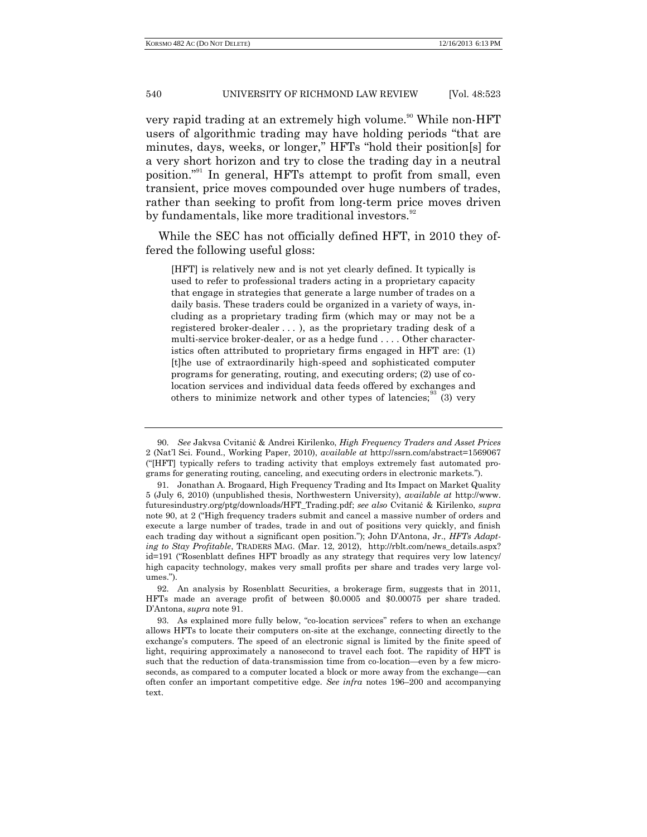very rapid trading at an extremely high volume.<sup>90</sup> While non-HFT users of algorithmic trading may have holding periods "that are minutes, days, weeks, or longer," HFTs "hold their position[s] for a very short horizon and try to close the trading day in a neutral position." <sup>91</sup> In general, HFTs attempt to profit from small, even transient, price moves compounded over huge numbers of trades, rather than seeking to profit from long-term price moves driven by fundamentals, like more traditional investors.<sup>92</sup>

While the SEC has not officially defined HFT, in 2010 they offered the following useful gloss:

[HFT] is relatively new and is not yet clearly defined. It typically is used to refer to professional traders acting in a proprietary capacity that engage in strategies that generate a large number of trades on a daily basis. These traders could be organized in a variety of ways, including as a proprietary trading firm (which may or may not be a registered broker-dealer . . . ), as the proprietary trading desk of a multi-service broker-dealer, or as a hedge fund . . . . Other characteristics often attributed to proprietary firms engaged in HFT are: (1) [t]he use of extraordinarily high-speed and sophisticated computer programs for generating, routing, and executing orders; (2) use of colocation services and individual data feeds offered by exchanges and others to minimize network and other types of latencies;  $\frac{3}{3}$  (3) very

<sup>90.</sup> *See* Jakvsa Cvitanić & Andrei Kirilenko, *High Frequency Traders and Asset Prices* 2 (Nat'l Sci. Found., Working Paper, 2010), *available at* http://ssrn.com/abstract=1569067 ("[HFT] typically refers to trading activity that employs extremely fast automated programs for generating routing, canceling, and executing orders in electronic markets.").

<sup>91.</sup> Jonathan A. Brogaard, High Frequency Trading and Its Impact on Market Quality 5 (July 6, 2010) (unpublished thesis, Northwestern University), *available at* http://www. futuresindustry.org/ptg/downloads/HFT\_Trading.pdf; *see also* Cvitanić & Kirilenko, *supra* note 90, at 2 ("High frequency traders submit and cancel a massive number of orders and execute a large number of trades, trade in and out of positions very quickly, and finish each trading day without a significant open position."); John D'Antona, Jr., *HFTs Adapting to Stay Profitable*, TRADERS MAG. (Mar. 12, 2012), http://rblt.com/news\_details.aspx? id=191 ("Rosenblatt defines HFT broadly as any strategy that requires very low latency/ high capacity technology, makes very small profits per share and trades very large volumes.").

<sup>92.</sup> An analysis by Rosenblatt Securities, a brokerage firm, suggests that in 2011, HFTs made an average profit of between \$0.0005 and \$0.00075 per share traded. D'Antona, *supra* note 91.

<sup>93.</sup> As explained more fully below, "co-location services" refers to when an exchange allows HFTs to locate their computers on-site at the exchange, connecting directly to the exchange's computers. The speed of an electronic signal is limited by the finite speed of light, requiring approximately a nanosecond to travel each foot. The rapidity of HFT is such that the reduction of data-transmission time from co-location—even by a few microseconds, as compared to a computer located a block or more away from the exchange—can often confer an important competitive edge. *See infra* notes 196–200 and accompanying text.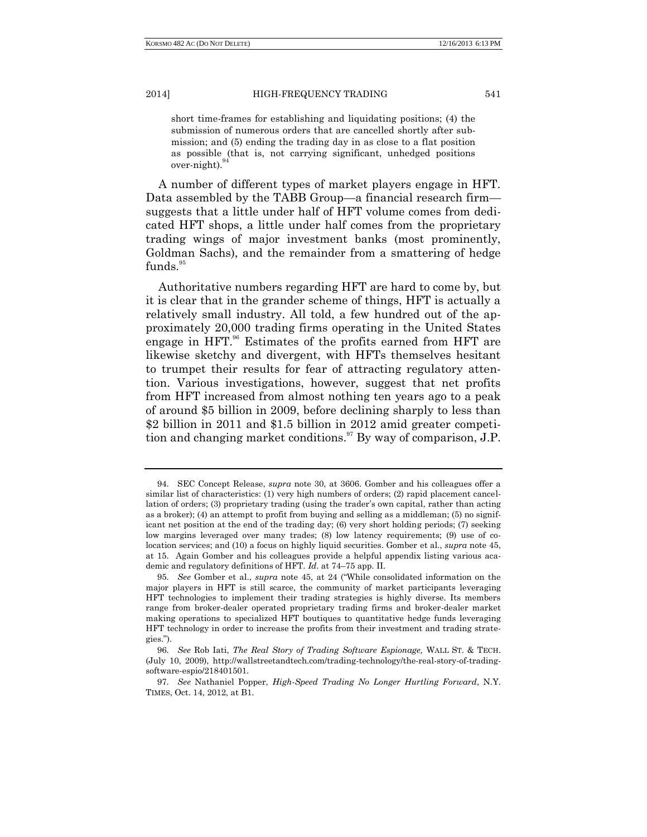short time-frames for establishing and liquidating positions; (4) the submission of numerous orders that are cancelled shortly after submission; and (5) ending the trading day in as close to a flat position as possible (that is, not carrying significant, unhedged positions over-night). 94

A number of different types of market players engage in HFT. Data assembled by the TABB Group—a financial research firm suggests that a little under half of HFT volume comes from dedicated HFT shops, a little under half comes from the proprietary trading wings of major investment banks (most prominently, Goldman Sachs), and the remainder from a smattering of hedge funds.<sup>95</sup>

Authoritative numbers regarding HFT are hard to come by, but it is clear that in the grander scheme of things, HFT is actually a relatively small industry. All told, a few hundred out of the approximately 20,000 trading firms operating in the United States engage in HFT.<sup>96</sup> Estimates of the profits earned from HFT are likewise sketchy and divergent, with HFTs themselves hesitant to trumpet their results for fear of attracting regulatory attention. Various investigations, however, suggest that net profits from HFT increased from almost nothing ten years ago to a peak of around \$5 billion in 2009, before declining sharply to less than \$2 billion in 2011 and \$1.5 billion in 2012 amid greater competition and changing market conditions.<sup>97</sup> By way of comparison, J.P.

<sup>94.</sup> SEC Concept Release, *supra* note 30, at 3606. Gomber and his colleagues offer a similar list of characteristics: (1) very high numbers of orders; (2) rapid placement cancellation of orders; (3) proprietary trading (using the trader's own capital, rather than acting as a broker); (4) an attempt to profit from buying and selling as a middleman; (5) no significant net position at the end of the trading day; (6) very short holding periods; (7) seeking low margins leveraged over many trades; (8) low latency requirements; (9) use of colocation services; and (10) a focus on highly liquid securities. Gomber et al., *supra* note 45, at 15. Again Gomber and his colleagues provide a helpful appendix listing various academic and regulatory definitions of HFT. *Id*. at 74–75 app. II.

<sup>95.</sup> *See* Gomber et al., *supra* note 45, at 24 ("While consolidated information on the major players in HFT is still scarce, the community of market participants leveraging HFT technologies to implement their trading strategies is highly diverse. Its members range from broker-dealer operated proprietary trading firms and broker-dealer market making operations to specialized HFT boutiques to quantitative hedge funds leveraging HFT technology in order to increase the profits from their investment and trading strategies.").

<sup>96.</sup> *See* Rob Iati, *The Real Story of Trading Software Espionage,* WALL ST. & TECH. (July 10, 2009), http://wallstreetandtech.com/trading-technology/the-real-story-of-tradingsoftware-espio/218401501.

<sup>97.</sup> *See* Nathaniel Popper, *High-Speed Trading No Longer Hurtling Forward*, N.Y. TIMES, Oct. 14, 2012, at B1.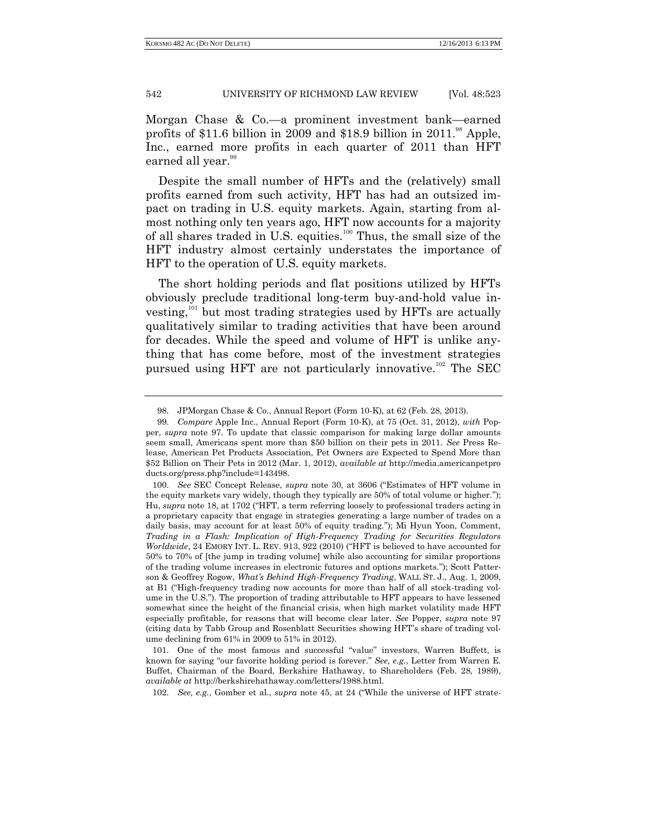Morgan Chase & Co.—a prominent investment bank—earned profits of \$11.6 billion in 2009 and \$18.9 billion in  $2011.^{88}$  Apple, Inc., earned more profits in each quarter of 2011 than HFT earned all year.<sup>99</sup>

Despite the small number of HFTs and the (relatively) small profits earned from such activity, HFT has had an outsized impact on trading in U.S. equity markets. Again, starting from almost nothing only ten years ago, HFT now accounts for a majority of all shares traded in U.S. equities.<sup>100</sup> Thus, the small size of the HFT industry almost certainly understates the importance of HFT to the operation of U.S. equity markets.

The short holding periods and flat positions utilized by HFTs obviously preclude traditional long-term buy-and-hold value investing,<sup>101</sup> but most trading strategies used by HFTs are actually qualitatively similar to trading activities that have been around for decades. While the speed and volume of HFT is unlike anything that has come before, most of the investment strategies pursued using HFT are not particularly innovative. <sup>102</sup> The SEC

101. One of the most famous and successful "value" investors, Warren Buffett, is known for saying "our favorite holding period is forever." *See, e.g.*, Letter from Warren E. Buffet, Chairman of the Board, Berkshire Hathaway, to Shareholders (Feb. 28, 1989), *available at* http://berkshirehathaway.com/letters/1988.html.

102. *See, e.g.*, Gomber et al., *supra* note 45, at 24 ("While the universe of HFT strate-

<sup>98.</sup> JPMorgan Chase & Co., Annual Report (Form 10-K), at 62 (Feb. 28, 2013).

<sup>99.</sup> *Compare* Apple Inc., Annual Report (Form 10-K), at 75 (Oct. 31, 2012), *with* Popper, *supra* note 97. To update that classic comparison for making large dollar amounts seem small, Americans spent more than \$50 billion on their pets in 2011. *See* Press Release, American Pet Products Association, Pet Owners are Expected to Spend More than \$52 Billion on Their Pets in 2012 (Mar. 1, 2012), *available at* http://media.americanpetpro ducts.org/press.php?include=143498.

<sup>100.</sup> *See* SEC Concept Release, *supra* note 30, at 3606 ("Estimates of HFT volume in the equity markets vary widely, though they typically are 50% of total volume or higher."); Hu, *supra* note 18, at 1702 ("HFT, a term referring loosely to professional traders acting in a proprietary capacity that engage in strategies generating a large number of trades on a daily basis, may account for at least 50% of equity trading."); Mi Hyun Yoon, Comment, *Trading in a Flash: Implication of High-Frequency Trading for Securities Regulators Worldwide*, 24 EMORY INT. L. REV. 913, 922 (2010) ("HFT is believed to have accounted for 50% to 70% of [the jump in trading volume] while also accounting for similar proportions of the trading volume increases in electronic futures and options markets."); Scott Patterson & Geoffrey Rogow, *What's Behind High-Frequency Trading*, WALL ST. J., Aug. 1, 2009, at B1 ("High-frequency trading now accounts for more than half of all stock-trading volume in the U.S."). The proportion of trading attributable to HFT appears to have lessened somewhat since the height of the financial crisis, when high market volatility made HFT especially profitable, for reasons that will become clear later. *See* Popper, *supra* note 97 (citing data by Tabb Group and Rosenblatt Securities showing HFT's share of trading volume declining from 61% in 2009 to 51% in 2012).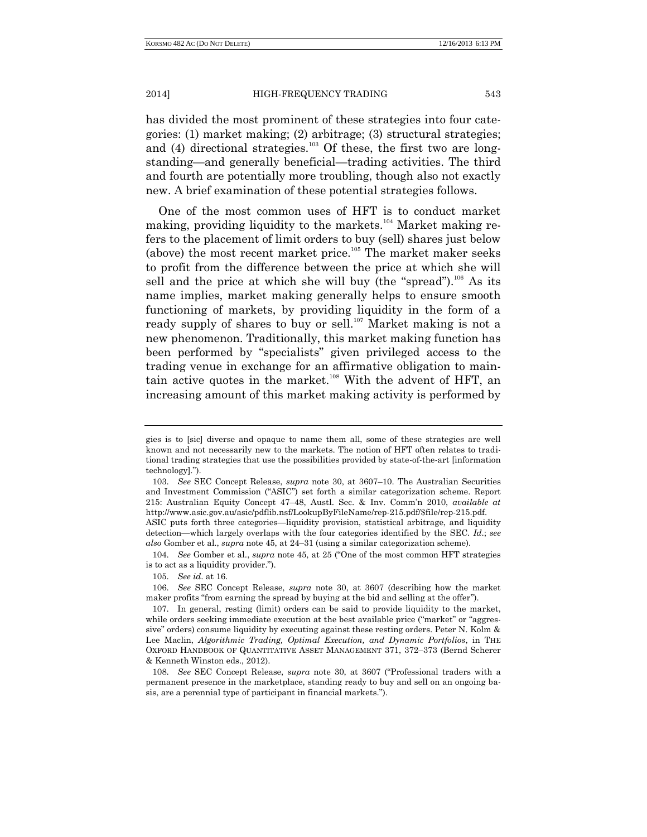has divided the most prominent of these strategies into four categories: (1) market making; (2) arbitrage; (3) structural strategies; and (4) directional strategies.<sup>103</sup> Of these, the first two are longstanding—and generally beneficial—trading activities. The third and fourth are potentially more troubling, though also not exactly new. A brief examination of these potential strategies follows.

One of the most common uses of HFT is to conduct market making, providing liquidity to the markets.<sup>104</sup> Market making refers to the placement of limit orders to buy (sell) shares just below (above) the most recent market price.<sup>105</sup> The market maker seeks to profit from the difference between the price at which she will sell and the price at which she will buy (the "spread").<sup>106</sup> As its name implies, market making generally helps to ensure smooth functioning of markets, by providing liquidity in the form of a ready supply of shares to buy or sell.<sup>107</sup> Market making is not a new phenomenon. Traditionally, this market making function has been performed by "specialists" given privileged access to the trading venue in exchange for an affirmative obligation to maintain active quotes in the market.<sup>108</sup> With the advent of HFT, an increasing amount of this market making activity is performed by

104. *See* Gomber et al., *supra* note 45, at 25 ("One of the most common HFT strategies is to act as a liquidity provider.").

gies is to [sic] diverse and opaque to name them all, some of these strategies are well known and not necessarily new to the markets. The notion of HFT often relates to traditional trading strategies that use the possibilities provided by state-of-the-art [information technology].").

<sup>103.</sup> *See* SEC Concept Release, *supra* note 30, at 3607–10. The Australian Securities and Investment Commission ("ASIC") set forth a similar categorization scheme. Report 215: Australian Equity Concept 47–48, Austl. Sec. & Inv. Comm'n 2010, *available at* http://www.asic.gov.au/asic/pdflib.nsf/LookupByFileName/rep-215.pdf/\$file/rep-215.pdf. ASIC puts forth three categories—liquidity provision, statistical arbitrage, and liquidity

detection—which largely overlaps with the four categories identified by the SEC. *Id*.; *see also* Gomber et al., *supra* note 45, at 24–31 (using a similar categorization scheme).

<sup>105.</sup> *See id*. at 16.

<sup>106.</sup> *See* SEC Concept Release, *supra* note 30, at 3607 (describing how the market maker profits "from earning the spread by buying at the bid and selling at the offer").

<sup>107.</sup> In general, resting (limit) orders can be said to provide liquidity to the market, while orders seeking immediate execution at the best available price ("market" or "aggressive" orders) consume liquidity by executing against these resting orders. Peter N. Kolm & Lee Maclin, *Algorithmic Trading, Optimal Execution, and Dynamic Portfolios*, in THE OXFORD HANDBOOK OF QUANTITATIVE ASSET MANAGEMENT 371, 372–373 (Bernd Scherer & Kenneth Winston eds., 2012).

<sup>108.</sup> *See* SEC Concept Release, *supra* note 30, at 3607 ("Professional traders with a permanent presence in the marketplace, standing ready to buy and sell on an ongoing basis, are a perennial type of participant in financial markets.").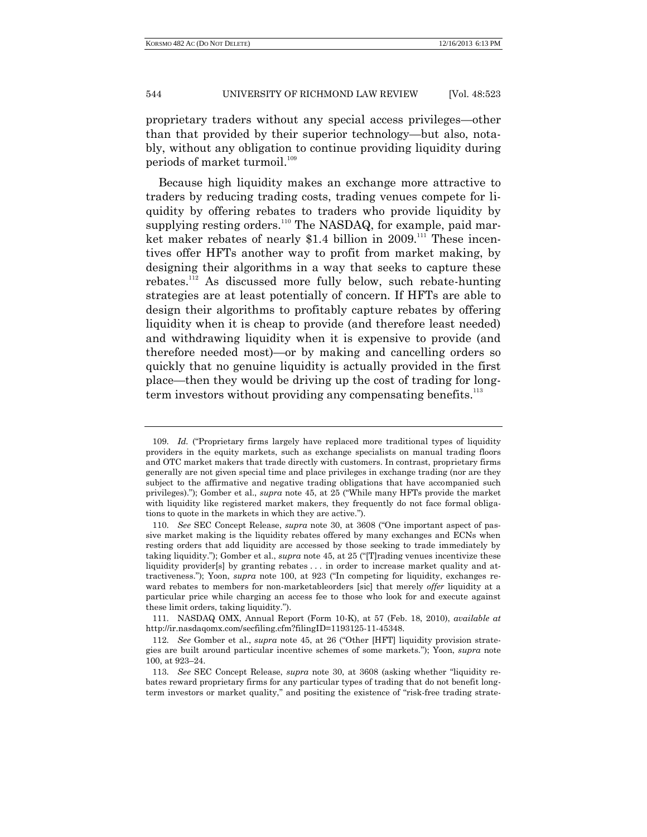proprietary traders without any special access privileges—other than that provided by their superior technology—but also, notably, without any obligation to continue providing liquidity during periods of market turmoil.<sup>109</sup>

Because high liquidity makes an exchange more attractive to traders by reducing trading costs, trading venues compete for liquidity by offering rebates to traders who provide liquidity by supplying resting orders.<sup>110</sup> The NASDAQ, for example, paid market maker rebates of nearly \$1.4 billion in  $2009$ .<sup>111</sup> These incentives offer HFTs another way to profit from market making, by designing their algorithms in a way that seeks to capture these rebates.<sup>112</sup> As discussed more fully below, such rebate-hunting strategies are at least potentially of concern. If HFTs are able to design their algorithms to profitably capture rebates by offering liquidity when it is cheap to provide (and therefore least needed) and withdrawing liquidity when it is expensive to provide (and therefore needed most)—or by making and cancelling orders so quickly that no genuine liquidity is actually provided in the first place—then they would be driving up the cost of trading for longterm investors without providing any compensating benefits.<sup>113</sup>

111. NASDAQ OMX, Annual Report (Form 10-K), at 57 (Feb. 18, 2010), *available at* http://ir.nasdaqomx.com/secfiling.cfm?filingID=1193125-11-45348.

<sup>109.</sup> *Id.* ("Proprietary firms largely have replaced more traditional types of liquidity providers in the equity markets, such as exchange specialists on manual trading floors and OTC market makers that trade directly with customers. In contrast, proprietary firms generally are not given special time and place privileges in exchange trading (nor are they subject to the affirmative and negative trading obligations that have accompanied such privileges)."); Gomber et al., *supra* note 45, at 25 ("While many HFTs provide the market with liquidity like registered market makers, they frequently do not face formal obligations to quote in the markets in which they are active.").

<sup>110.</sup> *See* SEC Concept Release, *supra* note 30, at 3608 ("One important aspect of passive market making is the liquidity rebates offered by many exchanges and ECNs when resting orders that add liquidity are accessed by those seeking to trade immediately by taking liquidity."); Gomber et al., *supra* note 45, at 25 ("[T]rading venues incentivize these liquidity provider[s] by granting rebates ... in order to increase market quality and attractiveness."); Yoon, *supra* note 100, at 923 ("In competing for liquidity, exchanges reward rebates to members for non-marketableorders [sic] that merely *offer* liquidity at a particular price while charging an access fee to those who look for and execute against these limit orders, taking liquidity.").

<sup>112.</sup> *See* Gomber et al., *supra* note 45, at 26 ("Other [HFT] liquidity provision strategies are built around particular incentive schemes of some markets."); Yoon, *supra* note 100, at 923–24.

<sup>113.</sup> *See* SEC Concept Release, *supra* note 30, at 3608 (asking whether "liquidity rebates reward proprietary firms for any particular types of trading that do not benefit longterm investors or market quality," and positing the existence of "risk-free trading strate-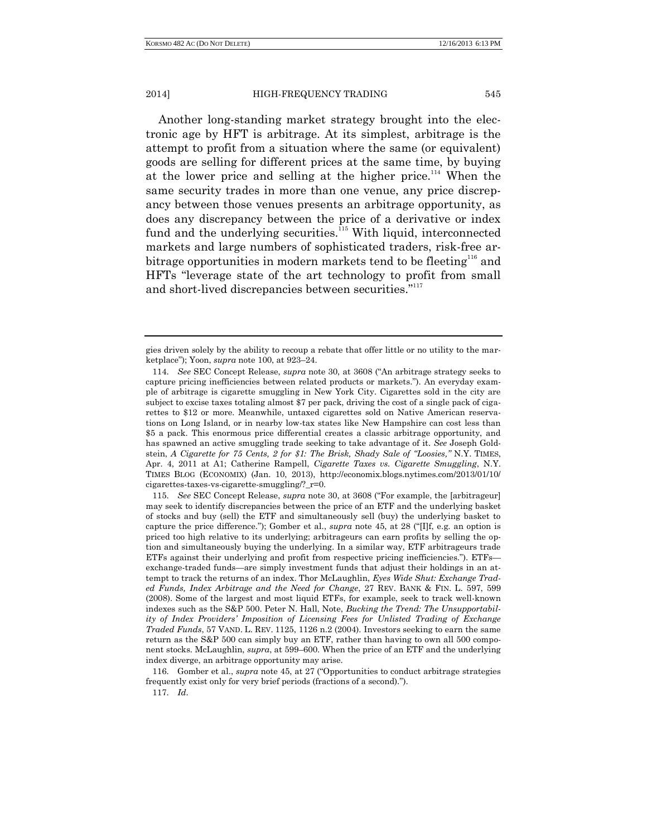Another long-standing market strategy brought into the electronic age by HFT is arbitrage. At its simplest, arbitrage is the attempt to profit from a situation where the same (or equivalent) goods are selling for different prices at the same time, by buying at the lower price and selling at the higher price.<sup>114</sup> When the same security trades in more than one venue, any price discrepancy between those venues presents an arbitrage opportunity, as does any discrepancy between the price of a derivative or index fund and the underlying securities.<sup>115</sup> With liquid, interconnected markets and large numbers of sophisticated traders, risk-free arbitrage opportunities in modern markets tend to be fleeting<sup>116</sup> and HFTs "leverage state of the art technology to profit from small and short-lived discrepancies between securities."<sup>117</sup>

116. Gomber et al., *supra* note 45, at 27 ("Opportunities to conduct arbitrage strategies frequently exist only for very brief periods (fractions of a second).").

117. *Id*.

gies driven solely by the ability to recoup a rebate that offer little or no utility to the marketplace"); Yoon, *supra* note 100, at 923–24.

<sup>114.</sup> *See* SEC Concept Release, *supra* note 30, at 3608 ("An arbitrage strategy seeks to capture pricing inefficiencies between related products or markets."). An everyday example of arbitrage is cigarette smuggling in New York City. Cigarettes sold in the city are subject to excise taxes totaling almost \$7 per pack, driving the cost of a single pack of cigarettes to \$12 or more. Meanwhile, untaxed cigarettes sold on Native American reservations on Long Island, or in nearby low-tax states like New Hampshire can cost less than \$5 a pack. This enormous price differential creates a classic arbitrage opportunity, and has spawned an active smuggling trade seeking to take advantage of it. *See* Joseph Goldstein, *A Cigarette for 75 Cents, 2 for \$1: The Brisk, Shady Sale of "Loosies," N.Y. TIMES,* Apr. 4, 2011 at A1; Catherine Rampell, *Cigarette Taxes vs. Cigarette Smuggling*, N.Y. TIMES BLOG (ECONOMIX) (Jan. 10, 2013), http://economix.blogs.nytimes.com/2013/01/10/ cigarettes-taxes-vs-cigarette-smuggling/?\_r=0.

<sup>115.</sup> *See* SEC Concept Release, *supra* note 30, at 3608 ("For example, the [arbitrageur] may seek to identify discrepancies between the price of an ETF and the underlying basket of stocks and buy (sell) the ETF and simultaneously sell (buy) the underlying basket to capture the price difference."); Gomber et al., *supra* note 45, at 28 ("[I]f, e.g. an option is priced too high relative to its underlying; arbitrageurs can earn profits by selling the option and simultaneously buying the underlying. In a similar way, ETF arbitrageurs trade ETFs against their underlying and profit from respective pricing inefficiencies."). ETFs exchange-traded funds—are simply investment funds that adjust their holdings in an attempt to track the returns of an index. Thor McLaughlin, *Eyes Wide Shut: Exchange Traded Funds, Index Arbitrage and the Need for Change*, 27 REV. BANK & FIN. L. 597, 599 (2008). Some of the largest and most liquid ETFs, for example, seek to track well-known indexes such as the S&P 500. Peter N. Hall, Note, *Bucking the Trend: The Unsupportability of Index Providers' Imposition of Licensing Fees for Unlisted Trading of Exchange Traded Funds*, 57 VAND. L. REV. 1125, 1126 n.2 (2004). Investors seeking to earn the same return as the S&P 500 can simply buy an ETF, rather than having to own all 500 component stocks. McLaughlin, *supra*, at 599–600. When the price of an ETF and the underlying index diverge, an arbitrage opportunity may arise.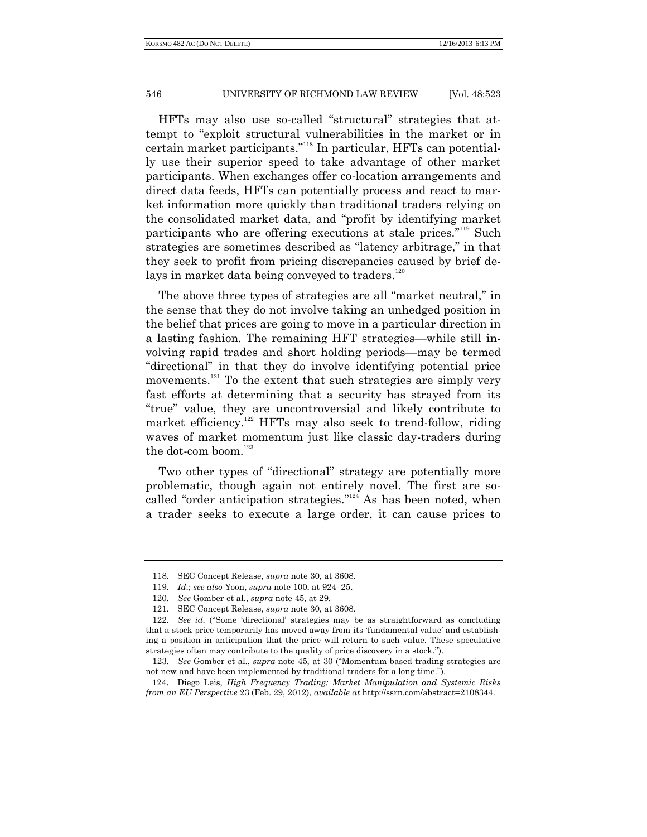HFTs may also use so-called "structural" strategies that attempt to "exploit structural vulnerabilities in the market or in certain market participants." <sup>118</sup> In particular, HFTs can potentially use their superior speed to take advantage of other market participants. When exchanges offer co-location arrangements and direct data feeds, HFTs can potentially process and react to market information more quickly than traditional traders relying on the consolidated market data, and "profit by identifying market participants who are offering executions at stale prices."<sup>119</sup> Such strategies are sometimes described as "latency arbitrage," in that they seek to profit from pricing discrepancies caused by brief delays in market data being conveyed to traders. $120$ 

The above three types of strategies are all "market neutral," in the sense that they do not involve taking an unhedged position in the belief that prices are going to move in a particular direction in a lasting fashion. The remaining HFT strategies—while still involving rapid trades and short holding periods—may be termed "directional" in that they do involve identifying potential price movements.<sup>121</sup> To the extent that such strategies are simply very fast efforts at determining that a security has strayed from its "true" value, they are uncontroversial and likely contribute to market efficiency.<sup>122</sup> HFTs may also seek to trend-follow, riding waves of market momentum just like classic day-traders during the dot-com boom. $123$ 

Two other types of "directional" strategy are potentially more problematic, though again not entirely novel. The first are socalled "order anticipation strategies."<sup>124</sup> As has been noted, when a trader seeks to execute a large order, it can cause prices to

<sup>118.</sup> SEC Concept Release, *supra* note 30, at 3608.

<sup>119.</sup> *Id*.; *see also* Yoon, *supra* note 100, at 924–25.

<sup>120.</sup> *See* Gomber et al., *supra* note 45, at 29.

<sup>121.</sup> SEC Concept Release, *supra* note 30, at 3608.

<sup>122.</sup> *See id*. ("Some 'directional' strategies may be as straightforward as concluding that a stock price temporarily has moved away from its 'fundamental value' and establishing a position in anticipation that the price will return to such value. These speculative strategies often may contribute to the quality of price discovery in a stock.").

<sup>123.</sup> *See* Gomber et al., *supra* note 45, at 30 ("Momentum based trading strategies are not new and have been implemented by traditional traders for a long time.").

<sup>124</sup>. Diego Leis, *High Frequency Trading: Market Manipulation and Systemic Risks from an EU Perspective* 23 (Feb. 29, 2012), *available at* http://ssrn.com/abstract=2108344.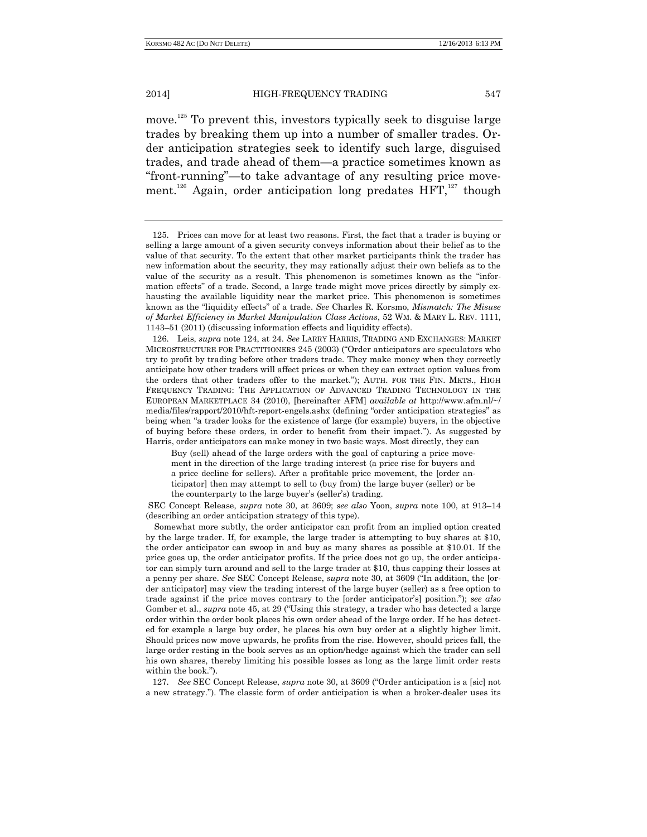move. <sup>125</sup> To prevent this, investors typically seek to disguise large trades by breaking them up into a number of smaller trades. Order anticipation strategies seek to identify such large, disguised trades, and trade ahead of them—a practice sometimes known as "front-running"—to take advantage of any resulting price movement.<sup>126</sup> Again, order anticipation long predates  $HFT$ ,<sup>127</sup> though

126. Leis, *supra* note 124, at 24. *See* LARRY HARRIS, TRADING AND EXCHANGES: MARKET MICROSTRUCTURE FOR PRACTITIONERS 245 (2003) ("Order anticipators are speculators who try to profit by trading before other traders trade. They make money when they correctly anticipate how other traders will affect prices or when they can extract option values from the orders that other traders offer to the market."); AUTH. FOR THE FIN. MKTS., HIGH FREQUENCY TRADING: THE APPLICATION OF ADVANCED TRADING TECHNOLOGY IN THE EUROPEAN MARKETPLACE 34 (2010), [hereinafter AFM] *available at* http://www.afm.nl/~/ media/files/rapport/2010/hft-report-engels.ashx (defining "order anticipation strategies" as being when "a trader looks for the existence of large (for example) buyers, in the objective of buying before these orders, in order to benefit from their impact."). As suggested by Harris, order anticipators can make money in two basic ways. Most directly, they can

Buy (sell) ahead of the large orders with the goal of capturing a price movement in the direction of the large trading interest (a price rise for buyers and a price decline for sellers). After a profitable price movement, the [order anticipator] then may attempt to sell to (buy from) the large buyer (seller) or be the counterparty to the large buyer's (seller's) trading.

SEC Concept Release, *supra* note 30, at 3609; *see also* Yoon, *supra* note 100, at 913–14 (describing an order anticipation strategy of this type).

Somewhat more subtly, the order anticipator can profit from an implied option created by the large trader. If, for example, the large trader is attempting to buy shares at \$10, the order anticipator can swoop in and buy as many shares as possible at \$10.01. If the price goes up, the order anticipator profits. If the price does not go up, the order anticipator can simply turn around and sell to the large trader at \$10, thus capping their losses at a penny per share. *See* SEC Concept Release, *supra* note 30, at 3609 ("In addition, the [order anticipator] may view the trading interest of the large buyer (seller) as a free option to trade against if the price moves contrary to the [order anticipator's] position."); *see also*  Gomber et al., *supra* note 45, at 29 ("Using this strategy, a trader who has detected a large order within the order book places his own order ahead of the large order. If he has detected for example a large buy order, he places his own buy order at a slightly higher limit. Should prices now move upwards, he profits from the rise. However, should prices fall, the large order resting in the book serves as an option/hedge against which the trader can sell his own shares, thereby limiting his possible losses as long as the large limit order rests within the book.").

127. *See* SEC Concept Release, *supra* note 30, at 3609 ("Order anticipation is a [sic] not a new strategy."). The classic form of order anticipation is when a broker-dealer uses its

<sup>125.</sup> Prices can move for at least two reasons. First, the fact that a trader is buying or selling a large amount of a given security conveys information about their belief as to the value of that security. To the extent that other market participants think the trader has new information about the security, they may rationally adjust their own beliefs as to the value of the security as a result. This phenomenon is sometimes known as the "information effects" of a trade. Second, a large trade might move prices directly by simply exhausting the available liquidity near the market price. This phenomenon is sometimes known as the "liquidity effects" of a trade. *See* Charles R. Korsmo, *Mismatch: The Misuse of Market Efficiency in Market Manipulation Class Actions*, 52 WM. & MARY L. REV. 1111, 1143–51 (2011) (discussing information effects and liquidity effects).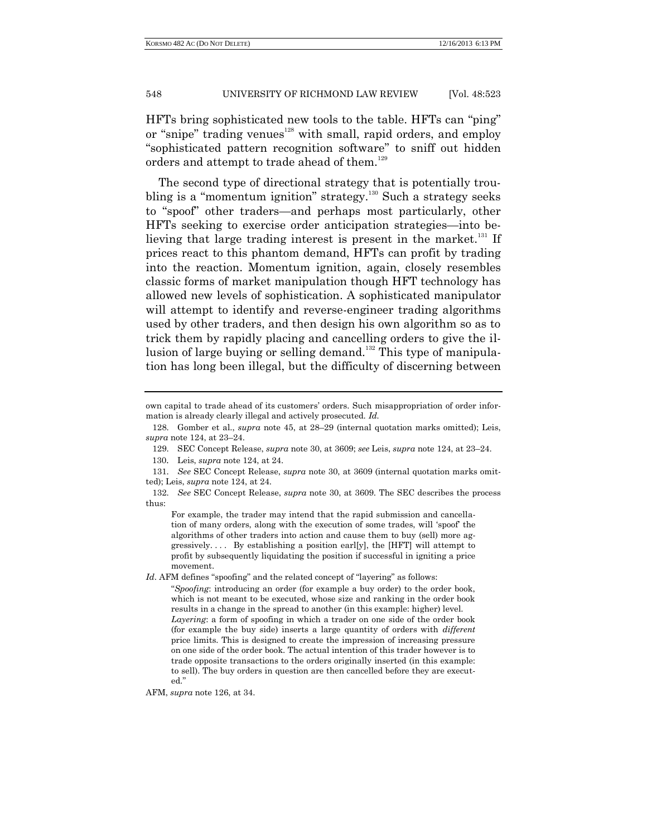HFTs bring sophisticated new tools to the table. HFTs can "ping" or "snipe" trading venues $128$  with small, rapid orders, and employ "sophisticated pattern recognition software" to sniff out hidden orders and attempt to trade ahead of them.<sup>129</sup>

The second type of directional strategy that is potentially troubling is a "momentum ignition" strategy.<sup>130</sup> Such a strategy seeks to "spoof" other traders—and perhaps most particularly, other HFTs seeking to exercise order anticipation strategies—into believing that large trading interest is present in the market.<sup>131</sup> If prices react to this phantom demand, HFTs can profit by trading into the reaction. Momentum ignition, again, closely resembles classic forms of market manipulation though HFT technology has allowed new levels of sophistication. A sophisticated manipulator will attempt to identify and reverse-engineer trading algorithms used by other traders, and then design his own algorithm so as to trick them by rapidly placing and cancelling orders to give the illusion of large buying or selling demand.<sup>132</sup> This type of manipulation has long been illegal, but the difficulty of discerning between

For example, the trader may intend that the rapid submission and cancellation of many orders, along with the execution of some trades, will 'spoof' the algorithms of other traders into action and cause them to buy (sell) more aggressively.... By establishing a position earl[y], the [HFT] will attempt to profit by subsequently liquidating the position if successful in igniting a price movement.

*Id*. AFM defines "spoofing" and the related concept of "layering" as follows:

AFM, *supra* note 126, at 34.

own capital to trade ahead of its customers' orders. Such misappropriation of order information is already clearly illegal and actively prosecuted. *Id.*

<sup>128.</sup> Gomber et al., *supra* note 45, at 28–29 (internal quotation marks omitted); Leis, *supra* note 124, at 23–24.

<sup>129.</sup> SEC Concept Release, *supra* note 30, at 3609; *see* Leis, *supra* note 124, at 23–24.

<sup>130</sup>. Leis, *supra* note 124, at 24.

<sup>131.</sup> *See* SEC Concept Release, *supra* note 30, at 3609 (internal quotation marks omitted); Leis, *supra* note 124, at 24.

<sup>132.</sup> *See* SEC Concept Release, *supra* note 30, at 3609. The SEC describes the process thus:

<sup>&</sup>quot;*Spoofing*: introducing an order (for example a buy order) to the order book, which is not meant to be executed, whose size and ranking in the order book results in a change in the spread to another (in this example: higher) level. *Layering*: a form of spoofing in which a trader on one side of the order book (for example the buy side) inserts a large quantity of orders with *different* price limits. This is designed to create the impression of increasing pressure on one side of the order book. The actual intention of this trader however is to trade opposite transactions to the orders originally inserted (in this example: to sell). The buy orders in question are then cancelled before they are executed."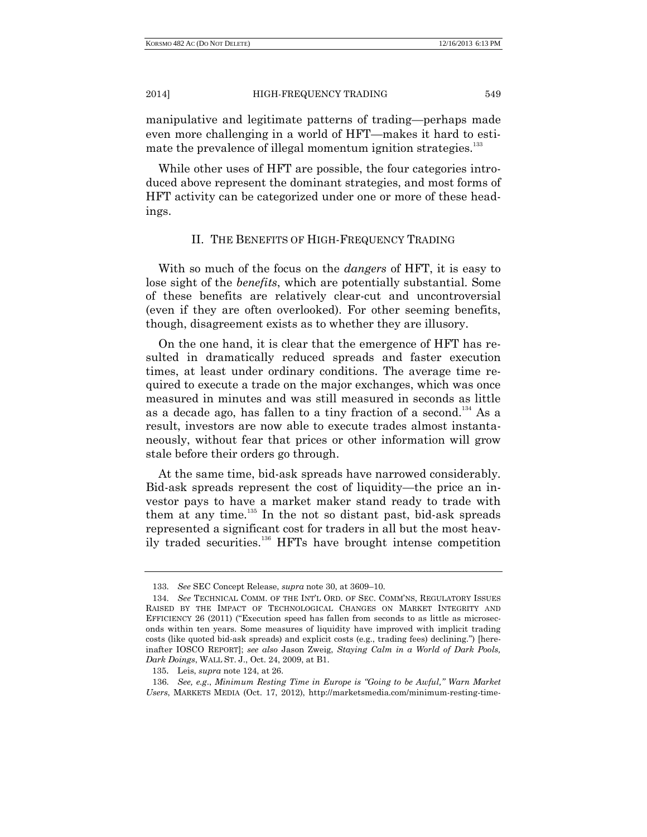manipulative and legitimate patterns of trading—perhaps made even more challenging in a world of HFT—makes it hard to estimate the prevalence of illegal momentum ignition strategies.<sup>133</sup>

While other uses of HFT are possible, the four categories introduced above represent the dominant strategies, and most forms of HFT activity can be categorized under one or more of these headings.

# II. THE BENEFITS OF HIGH-FREQUENCY TRADING

With so much of the focus on the *dangers* of HFT, it is easy to lose sight of the *benefits*, which are potentially substantial. Some of these benefits are relatively clear-cut and uncontroversial (even if they are often overlooked). For other seeming benefits, though, disagreement exists as to whether they are illusory.

On the one hand, it is clear that the emergence of HFT has resulted in dramatically reduced spreads and faster execution times, at least under ordinary conditions. The average time required to execute a trade on the major exchanges, which was once measured in minutes and was still measured in seconds as little as a decade ago, has fallen to a tiny fraction of a second.<sup>134</sup> As a result, investors are now able to execute trades almost instantaneously, without fear that prices or other information will grow stale before their orders go through.

At the same time, bid-ask spreads have narrowed considerably. Bid-ask spreads represent the cost of liquidity—the price an investor pays to have a market maker stand ready to trade with them at any time. $135$  In the not so distant past, bid-ask spreads represented a significant cost for traders in all but the most heavily traded securities.<sup>136</sup> HFTs have brought intense competition

<sup>133.</sup> *See* SEC Concept Release, *supra* note 30, at 3609–10.

<sup>134.</sup> *See* TECHNICAL COMM. OF THE INT'L ORD. OF SEC. COMM'NS, REGULATORY ISSUES RAISED BY THE IMPACT OF TECHNOLOGICAL CHANGES ON MARKET INTEGRITY AND EFFICIENCY 26 (2011) ("Execution speed has fallen from seconds to as little as microseconds within ten years. Some measures of liquidity have improved with implicit trading costs (like quoted bid-ask spreads) and explicit costs (e.g., trading fees) declining.") [hereinafter IOSCO REPORT]; *see also* Jason Zweig, *Staying Calm in a World of Dark Pools, Dark Doings*, WALL ST. J., Oct. 24, 2009, at B1.

<sup>135</sup>. Leis, *supra* note 124, at 26.

<sup>136.</sup> *See, e.g*., *Minimum Resting Time in Europe is "Going to be Awful," Warn Market Users*, MARKETS MEDIA (Oct. 17, 2012), http://marketsmedia.com/minimum-resting-time-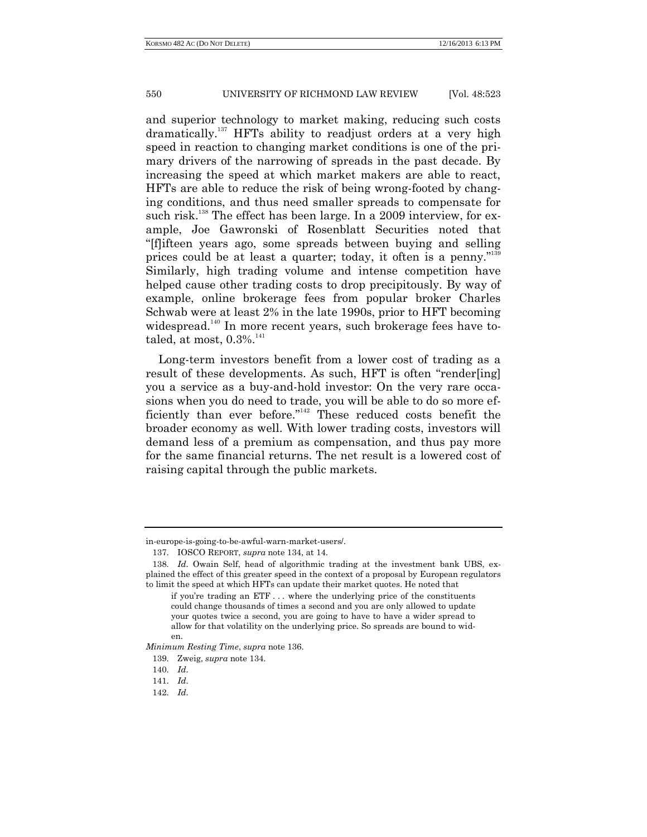and superior technology to market making, reducing such costs dramatically.<sup>137</sup> HFTs ability to readjust orders at a very high speed in reaction to changing market conditions is one of the primary drivers of the narrowing of spreads in the past decade. By increasing the speed at which market makers are able to react, HFTs are able to reduce the risk of being wrong-footed by changing conditions, and thus need smaller spreads to compensate for such risk.<sup>138</sup> The effect has been large. In a 2009 interview, for example, Joe Gawronski of Rosenblatt Securities noted that "[f]ifteen years ago, some spreads between buying and selling prices could be at least a quarter; today, it often is a penny."<sup>139</sup> Similarly, high trading volume and intense competition have helped cause other trading costs to drop precipitously. By way of example, online brokerage fees from popular broker Charles Schwab were at least 2% in the late 1990s, prior to HFT becoming widespread.<sup>140</sup> In more recent years, such brokerage fees have totaled, at most,  $0.3\%$ .<sup>141</sup>

Long-term investors benefit from a lower cost of trading as a result of these developments. As such, HFT is often "render[ing] you a service as a buy-and-hold investor: On the very rare occasions when you do need to trade, you will be able to do so more efficiently than ever before."<sup>142</sup> These reduced costs benefit the broader economy as well. With lower trading costs, investors will demand less of a premium as compensation, and thus pay more for the same financial returns. The net result is a lowered cost of raising capital through the public markets.

*Minimum Resting Time*, *supra* note 136.

in-europe-is-going-to-be-awful-warn-market-users/.

<sup>137.</sup> IOSCO REPORT, *supra* note 134, at 14.

<sup>138.</sup> *Id*. Owain Self, head of algorithmic trading at the investment bank UBS, explained the effect of this greater speed in the context of a proposal by European regulators to limit the speed at which HFTs can update their market quotes. He noted that

if you're trading an ETF . . . where the underlying price of the constituents could change thousands of times a second and you are only allowed to update your quotes twice a second, you are going to have to have a wider spread to allow for that volatility on the underlying price. So spreads are bound to widen.

<sup>139.</sup> Zweig, *supra* note 134.

<sup>140.</sup> *Id*.

<sup>141.</sup> *Id*.

<sup>142.</sup> *Id*.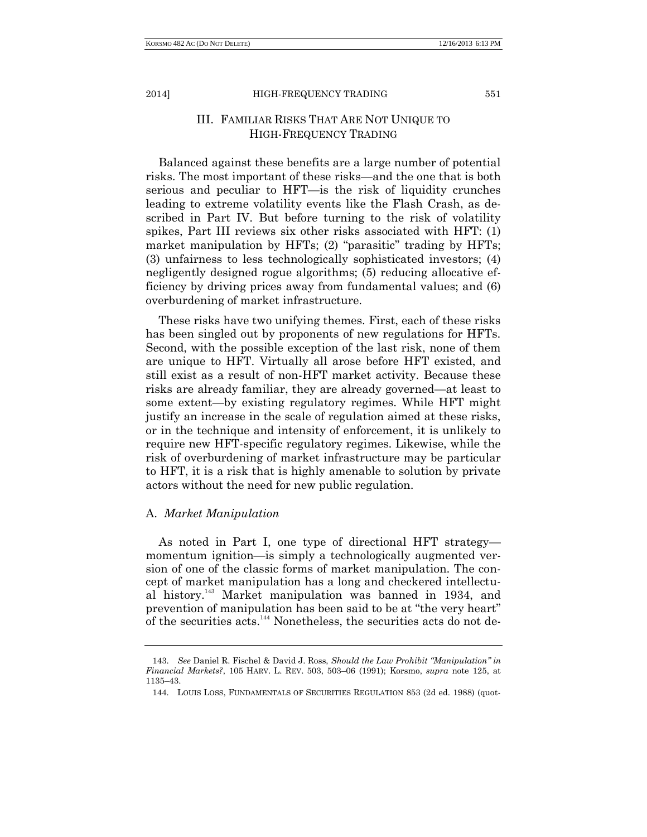# III. FAMILIAR RISKS THAT ARE NOT UNIQUE TO HIGH-FREQUENCY TRADING

Balanced against these benefits are a large number of potential risks. The most important of these risks—and the one that is both serious and peculiar to HFT—is the risk of liquidity crunches leading to extreme volatility events like the Flash Crash, as described in Part IV. But before turning to the risk of volatility spikes, Part III reviews six other risks associated with HFT: (1) market manipulation by HFTs; (2) "parasitic" trading by HFTs; (3) unfairness to less technologically sophisticated investors; (4) negligently designed rogue algorithms; (5) reducing allocative efficiency by driving prices away from fundamental values; and (6) overburdening of market infrastructure.

These risks have two unifying themes. First, each of these risks has been singled out by proponents of new regulations for HFTs. Second, with the possible exception of the last risk, none of them are unique to HFT. Virtually all arose before HFT existed, and still exist as a result of non-HFT market activity. Because these risks are already familiar, they are already governed—at least to some extent—by existing regulatory regimes. While HFT might justify an increase in the scale of regulation aimed at these risks, or in the technique and intensity of enforcement, it is unlikely to require new HFT-specific regulatory regimes. Likewise, while the risk of overburdening of market infrastructure may be particular to HFT, it is a risk that is highly amenable to solution by private actors without the need for new public regulation.

## A. *Market Manipulation*

As noted in Part I, one type of directional HFT strategy momentum ignition—is simply a technologically augmented version of one of the classic forms of market manipulation. The concept of market manipulation has a long and checkered intellectual history.<sup>143</sup> Market manipulation was banned in 1934, and prevention of manipulation has been said to be at "the very heart" of the securities acts.<sup>144</sup> Nonetheless, the securities acts do not de-

<sup>143.</sup> *See* Daniel R. Fischel & David J. Ross, *Should the Law Prohibit "Manipulation" in Financial Markets?*, 105 HARV. L. REV. 503, 503–06 (1991); Korsmo, *supra* note 125, at 1135–43.

<sup>144.</sup> LOUIS LOSS, FUNDAMENTALS OF SECURITIES REGULATION 853 (2d ed. 1988) (quot-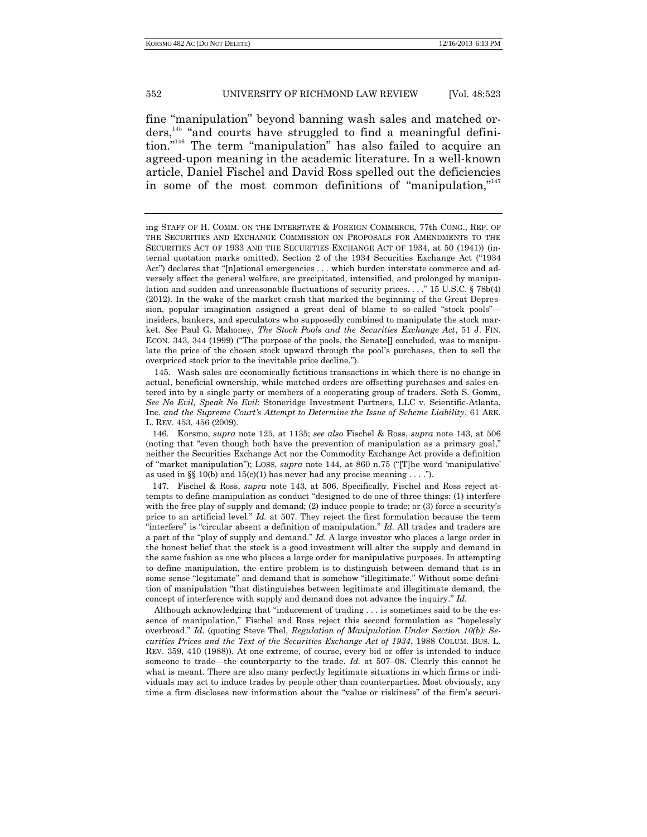fine "manipulation" beyond banning wash sales and matched orders,<sup>145</sup> "and courts have struggled to find a meaningful definition." <sup>146</sup> The term "manipulation" has also failed to acquire an agreed-upon meaning in the academic literature. In a well-known article, Daniel Fischel and David Ross spelled out the deficiencies in some of the most common definitions of "manipulation,"<sup>147</sup>

145. Wash sales are economically fictitious transactions in which there is no change in actual, beneficial ownership, while matched orders are offsetting purchases and sales entered into by a single party or members of a cooperating group of traders. Seth S. Gomm, *See No Evil, Speak No Evil*: Stoneridge Investment Partners, LLC v. Scientific-Atlanta, Inc. *and the Supreme Court's Attempt to Determine the Issue of Scheme Liability*, 61 ARK. L. REV. 453, 456 (2009).

147. Fischel & Ross, *supra* note 143, at 506. Specifically, Fischel and Ross reject attempts to define manipulation as conduct "designed to do one of three things: (1) interfere with the free play of supply and demand; (2) induce people to trade; or (3) force a security's price to an artificial level." *Id.* at 507. They reject the first formulation because the term "interfere" is "circular absent a definition of manipulation." *Id.* All trades and traders are a part of the "play of supply and demand." *Id.* A large investor who places a large order in the honest belief that the stock is a good investment will alter the supply and demand in the same fashion as one who places a large order for manipulative purposes. In attempting to define manipulation, the entire problem is to distinguish between demand that is in some sense "legitimate" and demand that is somehow "illegitimate." Without some definition of manipulation "that distinguishes between legitimate and illegitimate demand, the concept of interference with supply and demand does not advance the inquiry." *Id.*

Although acknowledging that "inducement of trading . . . is sometimes said to be the essence of manipulation," Fischel and Ross reject this second formulation as "hopelessly overbroad." *Id*. (quoting Steve Thel, *Regulation of Manipulation Under Section 10(b): Securities Prices and the Text of the Securities Exchange Act of 1934*, 1988 COLUM. BUS. L. REV. 359, 410 (1988)). At one extreme, of course, every bid or offer is intended to induce someone to trade—the counterparty to the trade. *Id.* at 507–08. Clearly this cannot be what is meant. There are also many perfectly legitimate situations in which firms or individuals may act to induce trades by people other than counterparties. Most obviously, any time a firm discloses new information about the "value or riskiness" of the firm's securi-

ing STAFF OF H. COMM. ON THE INTERSTATE & FOREIGN COMMERCE, 77th CONG., REP. OF THE SECURITIES AND EXCHANGE COMMISSION ON PROPOSALS FOR AMENDMENTS TO THE SECURITIES ACT OF 1933 AND THE SECURITIES EXCHANGE ACT OF 1934, at 50 (1941)) (internal quotation marks omitted). Section 2 of the 1934 Securities Exchange Act ("1934 Act") declares that "[n]ational emergencies . . . which burden interstate commerce and adversely affect the general welfare, are precipitated, intensified, and prolonged by manipulation and sudden and unreasonable fluctuations of security prices. . . ." 15 U.S.C. § 78b(4) (2012). In the wake of the market crash that marked the beginning of the Great Depression, popular imagination assigned a great deal of blame to so-called "stock pools" insiders, bankers, and speculators who supposedly combined to manipulate the stock market. *See* Paul G. Mahoney, *The Stock Pools and the Securities Exchange Act*, 51 J. FIN. ECON. 343, 344 (1999) ("The purpose of the pools, the Senate concluded, was to manipulate the price of the chosen stock upward through the pool's purchases, then to sell the overpriced stock prior to the inevitable price decline.").

<sup>146.</sup> Korsmo, *supra* note 125, at 1135; *see also* Fischel & Ross, *supra* note 143, at 506 (noting that "even though both have the prevention of manipulation as a primary goal," neither the Securities Exchange Act nor the Commodity Exchange Act provide a definition of "market manipulation"); LOSS, *supra* note 144, at 860 n.75 ("[T]he word 'manipulative' as used in §§ 10(b) and 15(c)(1) has never had any precise meaning  $\dots$ .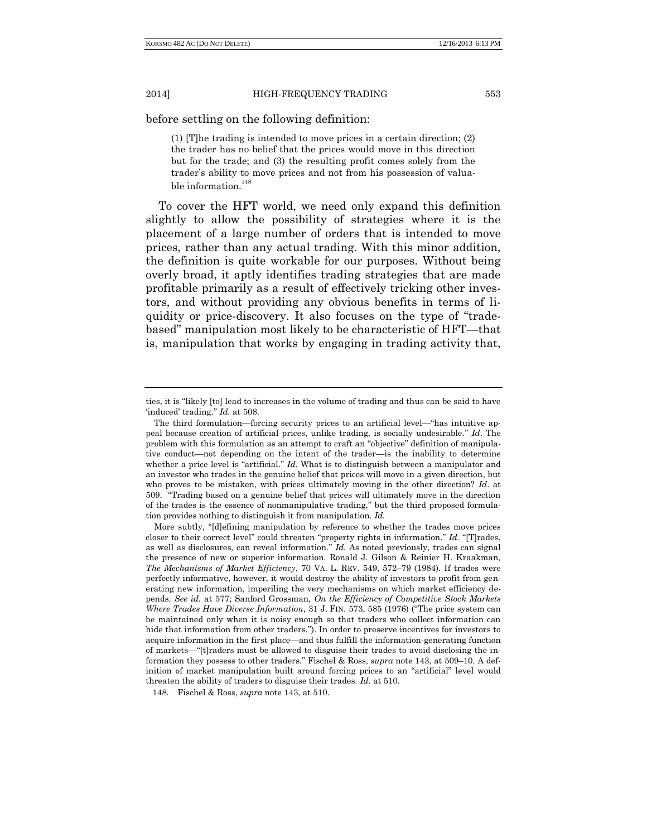before settling on the following definition:

(1) [T]he trading is intended to move prices in a certain direction; (2) the trader has no belief that the prices would move in this direction but for the trade; and (3) the resulting profit comes solely from the trader's ability to move prices and not from his possession of valuable information.  $\real^{148}$ 

To cover the HFT world, we need only expand this definition slightly to allow the possibility of strategies where it is the placement of a large number of orders that is intended to move prices, rather than any actual trading. With this minor addition, the definition is quite workable for our purposes. Without being overly broad, it aptly identifies trading strategies that are made profitable primarily as a result of effectively tricking other investors, and without providing any obvious benefits in terms of liquidity or price-discovery. It also focuses on the type of "tradebased" manipulation most likely to be characteristic of HFT—that is, manipulation that works by engaging in trading activity that,

ties, it is "likely [to] lead to increases in the volume of trading and thus can be said to have 'induced' trading." *Id.* at 508.

The third formulation—forcing security prices to an artificial level—"has intuitive appeal because creation of artificial prices, unlike trading, is socially undesirable." *Id*. The problem with this formulation as an attempt to craft an "objective" definition of manipulative conduct—not depending on the intent of the trader—is the inability to determine whether a price level is "artificial." *Id*. What is to distinguish between a manipulator and an investor who trades in the genuine belief that prices will move in a given direction, but who proves to be mistaken, with prices ultimately moving in the other direction? *Id*. at 509. "Trading based on a genuine belief that prices will ultimately move in the direction of the trades is the essence of nonmanipulative trading," but the third proposed formulation provides nothing to distinguish it from manipulation. *Id.*

More subtly, "[d]efining manipulation by reference to whether the trades move prices closer to their correct level" could threaten "property rights in information." *Id.* "[T]rades, as well as disclosures, can reveal information." *Id.* As noted previously, trades can signal the presence of new or superior information. Ronald J. Gilson & Reinier H. Kraakman, *The Mechanisms of Market Efficiency*, 70 VA. L. REV. 549, 572–79 (1984). If trades were perfectly informative, however, it would destroy the ability of investors to profit from generating new information, imperiling the very mechanisms on which market efficiency depends. *See id.* at 577; Sanford Grossman, *On the Efficiency of Competitive Stock Markets Where Trades Have Diverse Information*, 31 J. FIN. 573, 585 (1976) ("The price system can be maintained only when it is noisy enough so that traders who collect information can hide that information from other traders."). In order to preserve incentives for investors to acquire information in the first place—and thus fulfill the information-generating function of markets—"[t]raders must be allowed to disguise their trades to avoid disclosing the information they possess to other traders." Fischel & Ross, *supra* note 143, at 509–10. A definition of market manipulation built around forcing prices to an "artificial" level would threaten the ability of traders to disguise their trades. *Id*. at 510.

<sup>148.</sup> Fischel & Ross, *supra* note 143, at 510.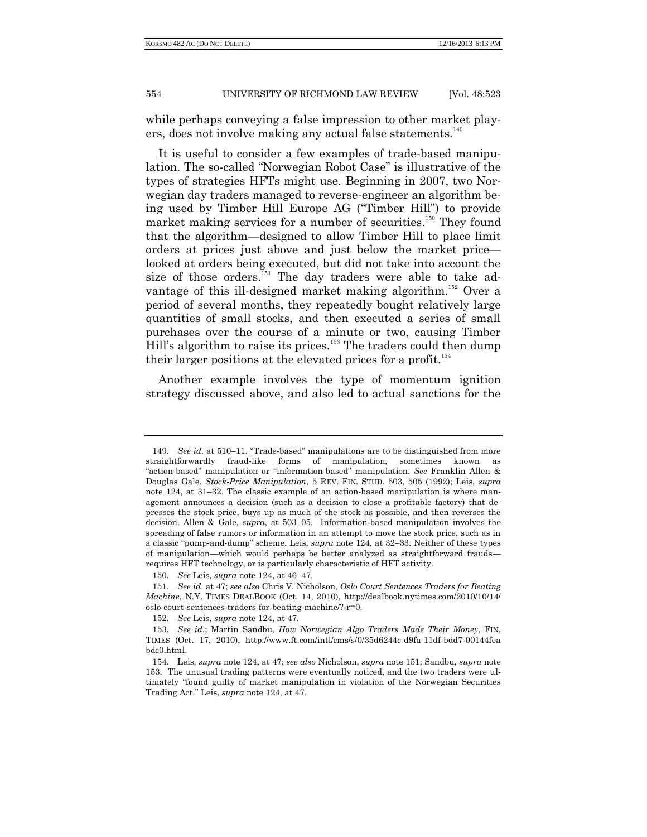while perhaps conveying a false impression to other market players, does not involve making any actual false statements.<sup>149</sup>

It is useful to consider a few examples of trade-based manipulation. The so-called "Norwegian Robot Case" is illustrative of the types of strategies HFTs might use. Beginning in 2007, two Norwegian day traders managed to reverse-engineer an algorithm being used by Timber Hill Europe AG ("Timber Hill") to provide market making services for a number of securities.<sup>150</sup> They found that the algorithm—designed to allow Timber Hill to place limit orders at prices just above and just below the market price looked at orders being executed, but did not take into account the size of those orders.<sup>151</sup> The day traders were able to take advantage of this ill-designed market making algorithm.<sup>152</sup> Over a period of several months, they repeatedly bought relatively large quantities of small stocks, and then executed a series of small purchases over the course of a minute or two, causing Timber Hill's algorithm to raise its prices.<sup>153</sup> The traders could then dump their larger positions at the elevated prices for a profit.<sup>154</sup>

Another example involves the type of momentum ignition strategy discussed above, and also led to actual sanctions for the

<sup>149.</sup> *See id*. at 510–11. "Trade-based" manipulations are to be distinguished from more straightforwardly fraud-like forms of manipulation, sometimes known as "action-based" manipulation or "information-based" manipulation. *See* Franklin Allen & Douglas Gale, *Stock-Price Manipulation*, 5 REV. FIN. STUD. 503, 505 (1992); Leis, *supra* note 124, at 31–32. The classic example of an action-based manipulation is where management announces a decision (such as a decision to close a profitable factory) that depresses the stock price, buys up as much of the stock as possible, and then reverses the decision. Allen & Gale, *supra*, at 503–05. Information-based manipulation involves the spreading of false rumors or information in an attempt to move the stock price, such as in a classic "pump-and-dump" scheme. Leis, *supra* note 124, at 32–33. Neither of these types of manipulation—which would perhaps be better analyzed as straightforward frauds requires HFT technology, or is particularly characteristic of HFT activity.

<sup>150.</sup> *See* Leis, *supra* note 124, at 46–47.

<sup>151.</sup> *See id*. at 47; *see also* Chris V. Nicholson, *Oslo Court Sentences Traders for Beating Machine*, N.Y. TIMES DEALBOOK (Oct. 14, 2010), http://dealbook.nytimes.com/2010/10/14/ oslo-court-sentences-traders-for-beating-machine/?-r=0.

<sup>152.</sup> *See* Leis, *supra* note 124, at 47.

<sup>153.</sup> *See id*.; Martin Sandbu, *How Norwegian Algo Traders Made Their Money*, FIN. TIMES (Oct. 17, 2010), http://www.ft.com/intl/cms/s/0/35d6244c-d9fa-11df-bdd7-00144fea bdc0.html.

<sup>154.</sup> Leis, *supra* note 124, at 47; *see also* Nicholson, *supra* note 151; Sandbu, *supra* note 153. The unusual trading patterns were eventually noticed, and the two traders were ultimately "found guilty of market manipulation in violation of the Norwegian Securities Trading Act." Leis, *supra* note 124, at 47.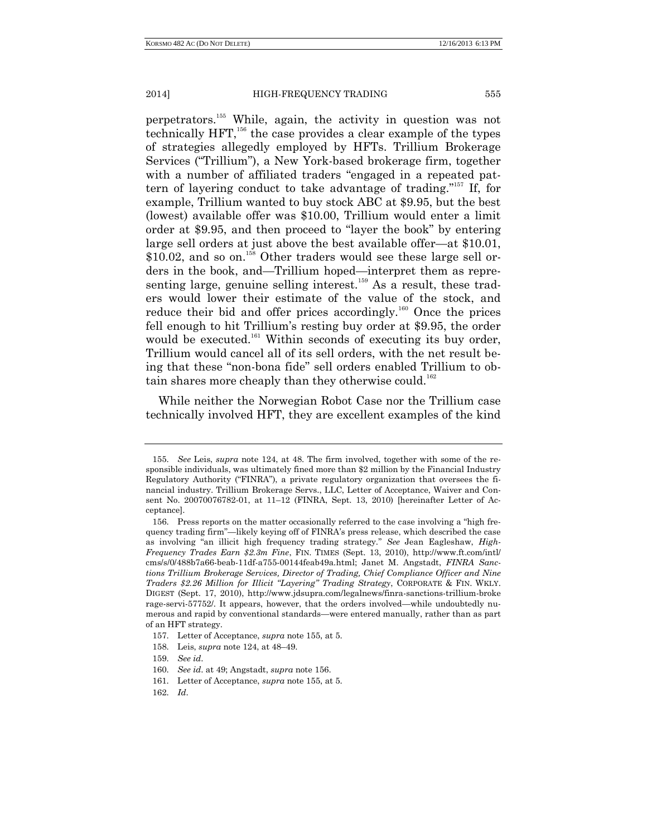perpetrators.<sup>155</sup> While, again, the activity in question was not technically  $HFT$ ,<sup>156</sup>, the case provides a clear example of the types of strategies allegedly employed by HFTs. Trillium Brokerage Services ("Trillium"), a New York-based brokerage firm, together with a number of affiliated traders "engaged in a repeated pattern of layering conduct to take advantage of trading." <sup>157</sup> If, for example, Trillium wanted to buy stock ABC at \$9.95, but the best (lowest) available offer was \$10.00, Trillium would enter a limit order at \$9.95, and then proceed to "layer the book" by entering large sell orders at just above the best available offer—at \$10.01,  $$10.02$ , and so on.<sup>158</sup> Other traders would see these large sell orders in the book, and—Trillium hoped—interpret them as representing large, genuine selling interest.<sup>159</sup> As a result, these traders would lower their estimate of the value of the stock, and reduce their bid and offer prices accordingly.<sup>160</sup> Once the prices fell enough to hit Trillium's resting buy order at \$9.95, the order would be executed.<sup>161</sup> Within seconds of executing its buy order, Trillium would cancel all of its sell orders, with the net result being that these "non-bona fide" sell orders enabled Trillium to obtain shares more cheaply than they otherwise could.<sup>162</sup>

While neither the Norwegian Robot Case nor the Trillium case technically involved HFT, they are excellent examples of the kind

<sup>155.</sup> *See* Leis, *supra* note 124, at 48. The firm involved, together with some of the responsible individuals, was ultimately fined more than \$2 million by the Financial Industry Regulatory Authority ("FINRA"), a private regulatory organization that oversees the financial industry. Trillium Brokerage Servs., LLC, Letter of Acceptance, Waiver and Consent No. 20070076782-01, at 11–12 (FINRA, Sept. 13, 2010) [hereinafter Letter of Acceptance].

<sup>156.</sup> Press reports on the matter occasionally referred to the case involving a "high frequency trading firm"—likely keying off of FINRA's press release, which described the case as involving "an illicit high frequency trading strategy." *See* Jean Eagleshaw, *High-Frequency Trades Earn \$2.3m Fine*, FIN. TIMES (Sept. 13, 2010), http://www.ft.com/intl/ cms/s/0/488b7a66-beab-11df-a755-00144feab49a.html; Janet M. Angstadt, *FINRA Sanctions Trillium Brokerage Services, Director of Trading, Chief Compliance Officer and Nine Traders \$2.26 Million for Illicit "Layering" Trading Strategy*, CORPORATE & FIN. WKLY. DIGEST (Sept. 17, 2010), http://www.jdsupra.com/legalnews/finra-sanctions-trillium-broke rage-servi-57752/. It appears, however, that the orders involved—while undoubtedly numerous and rapid by conventional standards—were entered manually, rather than as part of an HFT strategy.

<sup>157.</sup> Letter of Acceptance, *supra* note 155, at 5.

<sup>158.</sup> Leis, *supra* note 124, at 48–49.

<sup>159.</sup> *See id*.

<sup>160.</sup> *See id*. at 49; Angstadt, *supra* note 156.

<sup>161.</sup> Letter of Acceptance, *supra* note 155, at 5.

<sup>162.</sup> *Id*.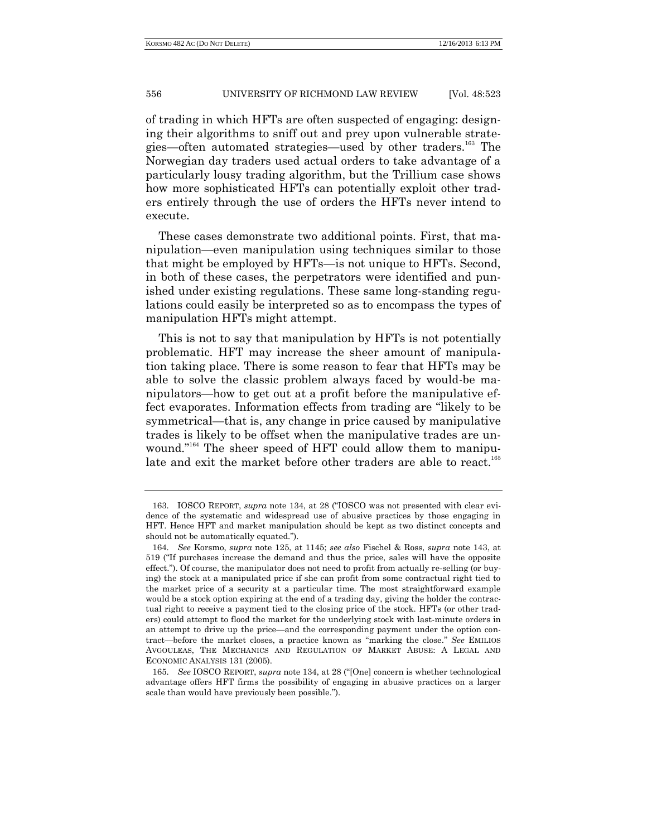of trading in which HFTs are often suspected of engaging: designing their algorithms to sniff out and prey upon vulnerable strategies—often automated strategies—used by other traders.<sup>163</sup> The Norwegian day traders used actual orders to take advantage of a particularly lousy trading algorithm, but the Trillium case shows how more sophisticated HFTs can potentially exploit other traders entirely through the use of orders the HFTs never intend to execute.

These cases demonstrate two additional points. First, that manipulation—even manipulation using techniques similar to those that might be employed by HFTs—is not unique to HFTs. Second, in both of these cases, the perpetrators were identified and punished under existing regulations. These same long-standing regulations could easily be interpreted so as to encompass the types of manipulation HFTs might attempt.

This is not to say that manipulation by HFTs is not potentially problematic. HFT may increase the sheer amount of manipulation taking place. There is some reason to fear that HFTs may be able to solve the classic problem always faced by would-be manipulators—how to get out at a profit before the manipulative effect evaporates. Information effects from trading are "likely to be symmetrical—that is, any change in price caused by manipulative trades is likely to be offset when the manipulative trades are unwound." <sup>164</sup> The sheer speed of HFT could allow them to manipulate and exit the market before other traders are able to react.<sup>165</sup>

<sup>163.</sup> IOSCO REPORT, *supra* note 134, at 28 ("IOSCO was not presented with clear evidence of the systematic and widespread use of abusive practices by those engaging in HFT. Hence HFT and market manipulation should be kept as two distinct concepts and should not be automatically equated.").

<sup>164.</sup> *See* Korsmo, *supra* note 125, at 1145; *see also* Fischel & Ross, *supra* note 143, at 519 ("If purchases increase the demand and thus the price, sales will have the opposite effect."). Of course, the manipulator does not need to profit from actually re-selling (or buying) the stock at a manipulated price if she can profit from some contractual right tied to the market price of a security at a particular time. The most straightforward example would be a stock option expiring at the end of a trading day, giving the holder the contractual right to receive a payment tied to the closing price of the stock. HFTs (or other traders) could attempt to flood the market for the underlying stock with last-minute orders in an attempt to drive up the price—and the corresponding payment under the option contract—before the market closes, a practice known as "marking the close." *See* EMILIOS AVGOULEAS, THE MECHANICS AND REGULATION OF MARKET ABUSE: A LEGAL AND ECONOMIC ANALYSIS 131 (2005).

<sup>165.</sup> *See* IOSCO REPORT, *supra* note 134, at 28 ("[One] concern is whether technological advantage offers HFT firms the possibility of engaging in abusive practices on a larger scale than would have previously been possible.").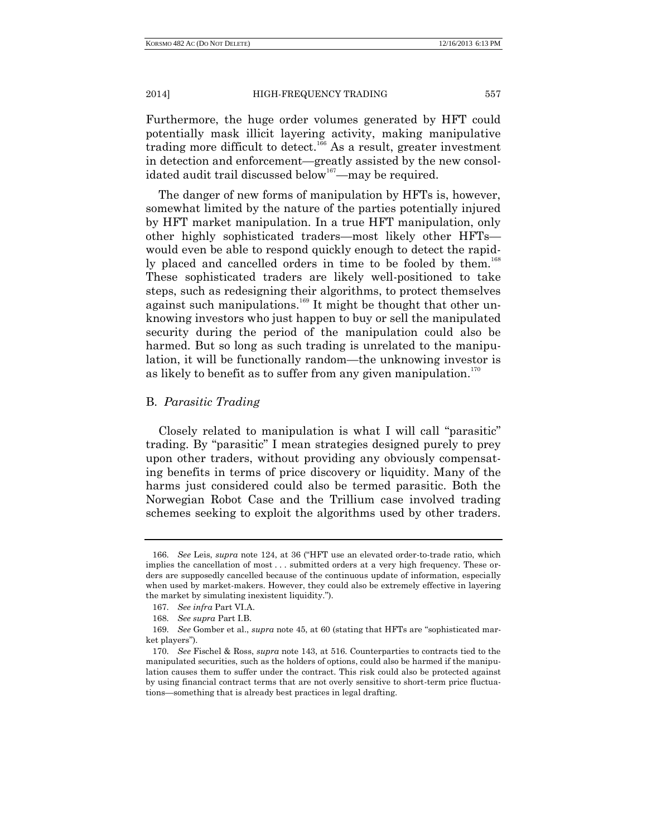Furthermore, the huge order volumes generated by HFT could potentially mask illicit layering activity, making manipulative trading more difficult to detect.<sup>166</sup> As a result, greater investment in detection and enforcement—greatly assisted by the new consolidated audit trail discussed below<sup>167</sup>—may be required.

The danger of new forms of manipulation by HFTs is, however, somewhat limited by the nature of the parties potentially injured by HFT market manipulation. In a true HFT manipulation, only other highly sophisticated traders—most likely other HFTs would even be able to respond quickly enough to detect the rapidly placed and cancelled orders in time to be fooled by them.<sup>168</sup> These sophisticated traders are likely well-positioned to take steps, such as redesigning their algorithms, to protect themselves against such manipulations.<sup>169</sup> It might be thought that other unknowing investors who just happen to buy or sell the manipulated security during the period of the manipulation could also be harmed. But so long as such trading is unrelated to the manipulation, it will be functionally random—the unknowing investor is as likely to benefit as to suffer from any given manipulation.<sup>170</sup>

## B. *Parasitic Trading*

Closely related to manipulation is what I will call "parasitic" trading. By "parasitic" I mean strategies designed purely to prey upon other traders, without providing any obviously compensating benefits in terms of price discovery or liquidity. Many of the harms just considered could also be termed parasitic. Both the Norwegian Robot Case and the Trillium case involved trading schemes seeking to exploit the algorithms used by other traders.

<sup>166.</sup> *See* Leis, *supra* note 124, at 36 ("HFT use an elevated order-to-trade ratio, which implies the cancellation of most . . . submitted orders at a very high frequency. These orders are supposedly cancelled because of the continuous update of information, especially when used by market-makers. However, they could also be extremely effective in layering the market by simulating inexistent liquidity.").

<sup>167.</sup> *See infra* Part VI.A.

<sup>168.</sup> *See supra* Part I.B.

<sup>169.</sup> *See* Gomber et al., *supra* note 45, at 60 (stating that HFTs are "sophisticated market players").

<sup>170.</sup> *See* Fischel & Ross, *supra* note 143, at 516. Counterparties to contracts tied to the manipulated securities, such as the holders of options, could also be harmed if the manipulation causes them to suffer under the contract. This risk could also be protected against by using financial contract terms that are not overly sensitive to short-term price fluctuations—something that is already best practices in legal drafting.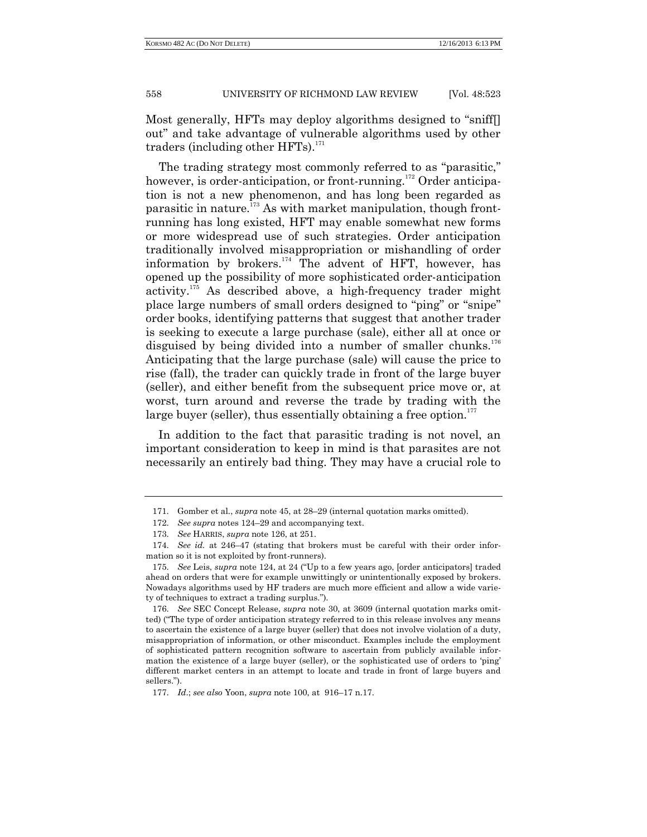Most generally, HFTs may deploy algorithms designed to "sniff[] out" and take advantage of vulnerable algorithms used by other traders (including other  $HFTs$ ).<sup>171</sup>

The trading strategy most commonly referred to as "parasitic," however, is order-anticipation, or front-running.<sup>172</sup> Order anticipation is not a new phenomenon, and has long been regarded as parasitic in nature.<sup>173</sup> As with market manipulation, though frontrunning has long existed, HFT may enable somewhat new forms or more widespread use of such strategies. Order anticipation traditionally involved misappropriation or mishandling of order information by brokers. $174$  The advent of HFT, however, has opened up the possibility of more sophisticated order-anticipation activity.<sup>175</sup> As described above, a high-frequency trader might place large numbers of small orders designed to "ping" or "snipe" order books, identifying patterns that suggest that another trader is seeking to execute a large purchase (sale), either all at once or disguised by being divided into a number of smaller chunks.<sup>176</sup> Anticipating that the large purchase (sale) will cause the price to rise (fall), the trader can quickly trade in front of the large buyer (seller), and either benefit from the subsequent price move or, at worst, turn around and reverse the trade by trading with the large buyer (seller), thus essentially obtaining a free option. $177$ 

In addition to the fact that parasitic trading is not novel, an important consideration to keep in mind is that parasites are not necessarily an entirely bad thing. They may have a crucial role to

<sup>171.</sup> Gomber et al., *supra* note 45, at 28–29 (internal quotation marks omitted).

<sup>172.</sup> *See supra* notes 124–29 and accompanying text.

<sup>173.</sup> *See* HARRIS, *supra* note 126, at 251.

<sup>174.</sup> *See id.* at 246–47 (stating that brokers must be careful with their order information so it is not exploited by front-runners).

<sup>175.</sup> *See* Leis, *supra* note 124, at 24 ("Up to a few years ago, [order anticipators] traded ahead on orders that were for example unwittingly or unintentionally exposed by brokers. Nowadays algorithms used by HF traders are much more efficient and allow a wide variety of techniques to extract a trading surplus.").

<sup>176.</sup> *See* SEC Concept Release, *supra* note 30, at 3609 (internal quotation marks omitted) ("The type of order anticipation strategy referred to in this release involves any means to ascertain the existence of a large buyer (seller) that does not involve violation of a duty, misappropriation of information, or other misconduct. Examples include the employment of sophisticated pattern recognition software to ascertain from publicly available information the existence of a large buyer (seller), or the sophisticated use of orders to 'ping' different market centers in an attempt to locate and trade in front of large buyers and sellers.").

<sup>177.</sup> *Id*.; *see also* Yoon, *supra* note 100, at 916–17 n.17.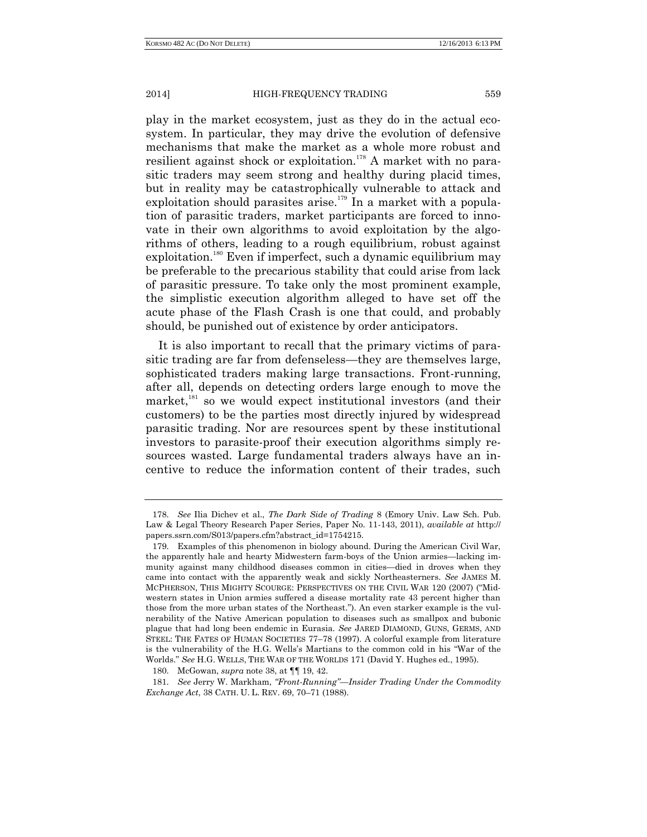play in the market ecosystem, just as they do in the actual ecosystem. In particular, they may drive the evolution of defensive mechanisms that make the market as a whole more robust and resilient against shock or exploitation.<sup>178</sup> A market with no parasitic traders may seem strong and healthy during placid times, but in reality may be catastrophically vulnerable to attack and exploitation should parasites arise.<sup>179</sup> In a market with a population of parasitic traders, market participants are forced to innovate in their own algorithms to avoid exploitation by the algorithms of others, leading to a rough equilibrium, robust against  $exploitation.<sup>180</sup>$  Even if imperfect, such a dynamic equilibrium may be preferable to the precarious stability that could arise from lack of parasitic pressure. To take only the most prominent example, the simplistic execution algorithm alleged to have set off the acute phase of the Flash Crash is one that could, and probably should, be punished out of existence by order anticipators.

It is also important to recall that the primary victims of parasitic trading are far from defenseless—they are themselves large, sophisticated traders making large transactions. Front-running, after all, depends on detecting orders large enough to move the market, $181$  so we would expect institutional investors (and their customers) to be the parties most directly injured by widespread parasitic trading. Nor are resources spent by these institutional investors to parasite-proof their execution algorithms simply resources wasted. Large fundamental traders always have an incentive to reduce the information content of their trades, such

<sup>178.</sup> *See* Ilia Dichev et al., *The Dark Side of Trading* 8 (Emory Univ. Law Sch. Pub. Law & Legal Theory Research Paper Series, Paper No. 11-143, 2011), *available at* http:// papers.ssrn.com/S013/papers.cfm?abstract\_id=1754215.

<sup>179.</sup> Examples of this phenomenon in biology abound. During the American Civil War, the apparently hale and hearty Midwestern farm-boys of the Union armies—lacking immunity against many childhood diseases common in cities—died in droves when they came into contact with the apparently weak and sickly Northeasterners. *See* JAMES M. MCPHERSON, THIS MIGHTY SCOURGE: PERSPECTIVES ON THE CIVIL WAR 120 (2007) ("Midwestern states in Union armies suffered a disease mortality rate 43 percent higher than those from the more urban states of the Northeast."). An even starker example is the vulnerability of the Native American population to diseases such as smallpox and bubonic plague that had long been endemic in Eurasia. *See* JARED DIAMOND, GUNS, GERMS, AND STEEL: THE FATES OF HUMAN SOCIETIES 77–78 (1997). A colorful example from literature is the vulnerability of the H.G. Wells's Martians to the common cold in his "War of the Worlds." *See* H.G. WELLS, THE WAR OF THE WORLDS 171 (David Y. Hughes ed., 1995).

<sup>180.</sup> McGowan, *supra* note 38, at ¶¶ 19, 42.

<sup>181.</sup> *See* Jerry W. Markham, *"Front-Running"—Insider Trading Under the Commodity Exchange Act*, 38 CATH. U. L. REV. 69, 70–71 (1988).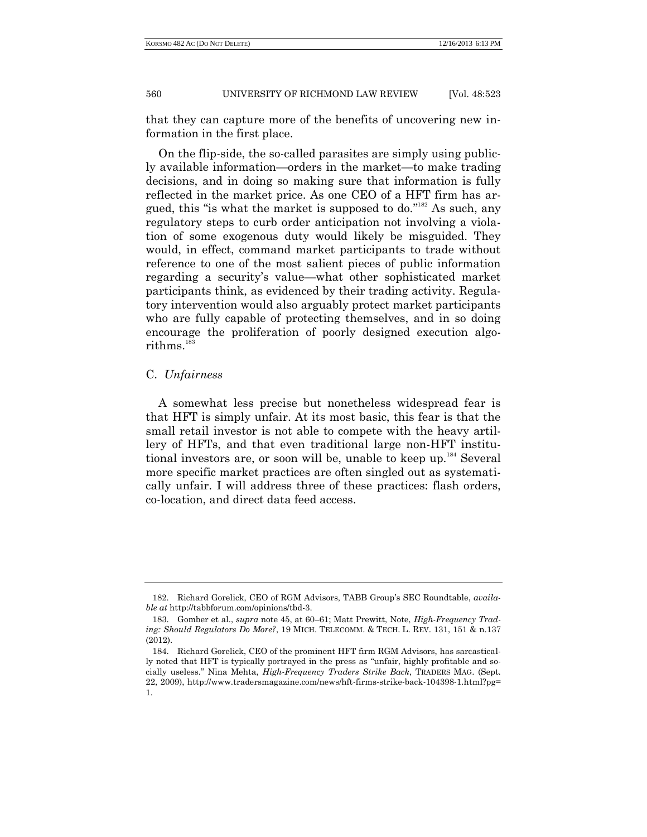that they can capture more of the benefits of uncovering new information in the first place.

On the flip-side, the so-called parasites are simply using publicly available information—orders in the market—to make trading decisions, and in doing so making sure that information is fully reflected in the market price. As one CEO of a HFT firm has argued, this "is what the market is supposed to do."<sup>182</sup> As such, any regulatory steps to curb order anticipation not involving a violation of some exogenous duty would likely be misguided. They would, in effect, command market participants to trade without reference to one of the most salient pieces of public information regarding a security's value—what other sophisticated market participants think, as evidenced by their trading activity. Regulatory intervention would also arguably protect market participants who are fully capable of protecting themselves, and in so doing encourage the proliferation of poorly designed execution algorithms.<sup>183</sup>

# C. *Unfairness*

A somewhat less precise but nonetheless widespread fear is that HFT is simply unfair. At its most basic, this fear is that the small retail investor is not able to compete with the heavy artillery of HFTs, and that even traditional large non-HFT institutional investors are, or soon will be, unable to keep up.<sup>184</sup> Several more specific market practices are often singled out as systematically unfair. I will address three of these practices: flash orders, co-location, and direct data feed access.

<sup>182.</sup> Richard Gorelick, CEO of RGM Advisors, TABB Group's SEC Roundtable, *available at* http://tabbforum.com/opinions/tbd-3.

<sup>183.</sup> Gomber et al., *supra* note 45, at 60–61; Matt Prewitt, Note, *High-Frequency Trading: Should Regulators Do More?*, 19 MICH. TELECOMM. & TECH. L. REV. 131, 151 & n.137 (2012).

<sup>184.</sup> Richard Gorelick, CEO of the prominent HFT firm RGM Advisors, has sarcastically noted that HFT is typically portrayed in the press as "unfair, highly profitable and socially useless." Nina Mehta, *High-Frequency Traders Strike Back*, TRADERS MAG. (Sept. 22, 2009), http://www.tradersmagazine.com/news/hft-firms-strike-back-104398-1.html?pg= 1.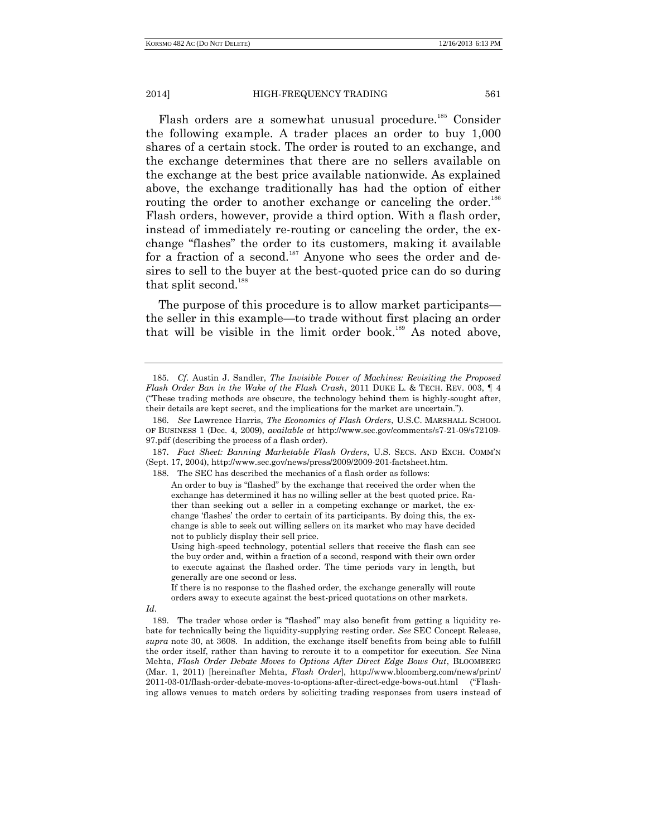Flash orders are a somewhat unusual procedure.<sup>185</sup> Consider the following example. A trader places an order to buy 1,000 shares of a certain stock. The order is routed to an exchange, and the exchange determines that there are no sellers available on the exchange at the best price available nationwide. As explained above, the exchange traditionally has had the option of either routing the order to another exchange or canceling the order.<sup>186</sup> Flash orders, however, provide a third option. With a flash order, instead of immediately re-routing or canceling the order, the exchange "flashes" the order to its customers, making it available for a fraction of a second.<sup>187</sup> Anyone who sees the order and desires to sell to the buyer at the best-quoted price can do so during that split second.<sup>188</sup>

The purpose of this procedure is to allow market participants the seller in this example—to trade without first placing an order that will be visible in the limit order book.<sup>189</sup> As noted above,

<sup>185.</sup> *Cf*. Austin J. Sandler, *The Invisible Power of Machines: Revisiting the Proposed Flash Order Ban in the Wake of the Flash Crash*, 2011 DUKE L. & TECH. REV. 003, ¶ 4 ("These trading methods are obscure, the technology behind them is highly-sought after, their details are kept secret, and the implications for the market are uncertain.").

<sup>186.</sup> *See* Lawrence Harris, *The Economics of Flash Orders*, U.S.C. MARSHALL SCHOOL OF BUSINESS 1 (Dec. 4, 2009), *available at* http://www.sec.gov/comments/s7-21-09/s72109- 97.pdf (describing the process of a flash order).

<sup>187.</sup> *Fact Sheet: Banning Marketable Flash Orders*, U.S. SECS. AND EXCH. COMM'N (Sept. 17, 2004), http://www.sec.gov/news/press/2009/2009-201-factsheet.htm.

<sup>188.</sup> The SEC has described the mechanics of a flash order as follows:

An order to buy is "flashed" by the exchange that received the order when the exchange has determined it has no willing seller at the best quoted price. Rather than seeking out a seller in a competing exchange or market, the exchange 'flashes' the order to certain of its participants. By doing this, the exchange is able to seek out willing sellers on its market who may have decided not to publicly display their sell price.

Using high-speed technology, potential sellers that receive the flash can see the buy order and, within a fraction of a second, respond with their own order to execute against the flashed order. The time periods vary in length, but generally are one second or less.

If there is no response to the flashed order, the exchange generally will route orders away to execute against the best-priced quotations on other markets.

*Id*.

<sup>189.</sup> The trader whose order is "flashed" may also benefit from getting a liquidity rebate for technically being the liquidity-supplying resting order. *See* SEC Concept Release, *supra* note 30, at 3608. In addition, the exchange itself benefits from being able to fulfill the order itself, rather than having to reroute it to a competitor for execution. *See* Nina Mehta, *Flash Order Debate Moves to Options After Direct Edge Bows Out*, BLOOMBERG (Mar. 1, 2011) [hereinafter Mehta, *Flash Order*], http://www.bloomberg.com/news/print/ 2011-03-01/flash-order-debate-moves-to-options-after-direct-edge-bows-out.html ("Flashing allows venues to match orders by soliciting trading responses from users instead of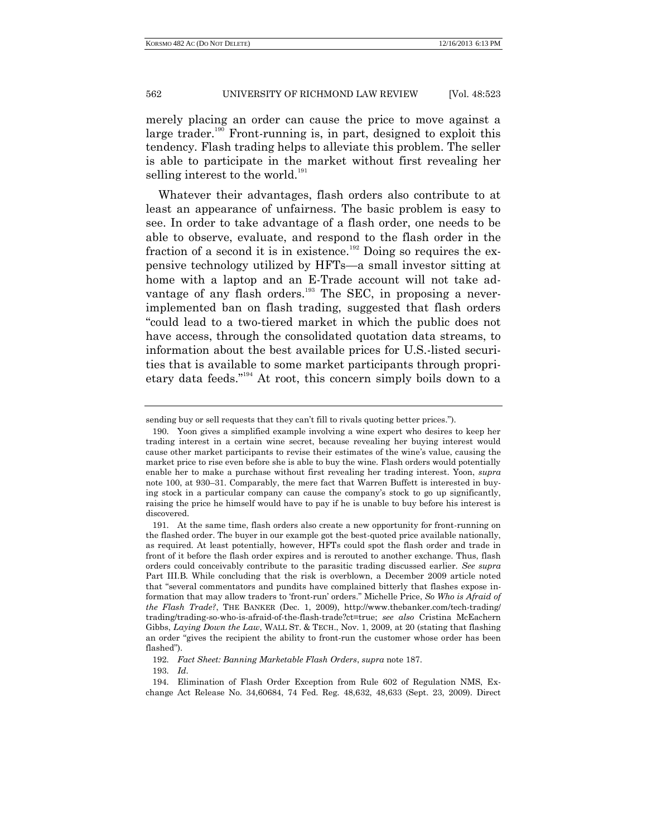merely placing an order can cause the price to move against a large trader.<sup>190</sup> Front-running is, in part, designed to exploit this tendency. Flash trading helps to alleviate this problem. The seller is able to participate in the market without first revealing her selling interest to the world.<sup>191</sup>

Whatever their advantages, flash orders also contribute to at least an appearance of unfairness. The basic problem is easy to see. In order to take advantage of a flash order, one needs to be able to observe, evaluate, and respond to the flash order in the fraction of a second it is in existence.<sup>192</sup> Doing so requires the expensive technology utilized by HFTs—a small investor sitting at home with a laptop and an E-Trade account will not take advantage of any flash orders.<sup>193</sup> The SEC, in proposing a neverimplemented ban on flash trading, suggested that flash orders "could lead to a two-tiered market in which the public does not have access, through the consolidated quotation data streams, to information about the best available prices for U.S.-listed securities that is available to some market participants through proprietary data feeds." <sup>194</sup> At root, this concern simply boils down to a

sending buy or sell requests that they can't fill to rivals quoting better prices.").

<sup>190.</sup> Yoon gives a simplified example involving a wine expert who desires to keep her trading interest in a certain wine secret, because revealing her buying interest would cause other market participants to revise their estimates of the wine's value, causing the market price to rise even before she is able to buy the wine. Flash orders would potentially enable her to make a purchase without first revealing her trading interest. Yoon, *supra* note 100, at 930–31. Comparably, the mere fact that Warren Buffett is interested in buying stock in a particular company can cause the company's stock to go up significantly, raising the price he himself would have to pay if he is unable to buy before his interest is discovered.

<sup>191.</sup> At the same time, flash orders also create a new opportunity for front-running on the flashed order. The buyer in our example got the best-quoted price available nationally, as required. At least potentially, however, HFTs could spot the flash order and trade in front of it before the flash order expires and is rerouted to another exchange. Thus, flash orders could conceivably contribute to the parasitic trading discussed earlier. *See supra* Part III.B. While concluding that the risk is overblown, a December 2009 article noted that "several commentators and pundits have complained bitterly that flashes expose information that may allow traders to 'front-run' orders." Michelle Price, *So Who is Afraid of the Flash Trade?*, THE BANKER (Dec. 1, 2009), http://www.thebanker.com/tech-trading/ trading/trading-so-who-is-afraid-of-the-flash-trade?ct=true; *see also* Cristina McEachern Gibbs, *Laying Down the Law*, WALL ST. & TECH., Nov. 1, 2009, at 20 (stating that flashing an order "gives the recipient the ability to front-run the customer whose order has been flashed").

<sup>192.</sup> *Fact Sheet: Banning Marketable Flash Orders*, *supra* note 187.

<sup>193.</sup> *Id*.

<sup>194.</sup> Elimination of Flash Order Exception from Rule 602 of Regulation NMS, Exchange Act Release No. 34,60684, 74 Fed. Reg. 48,632, 48,633 (Sept. 23, 2009). Direct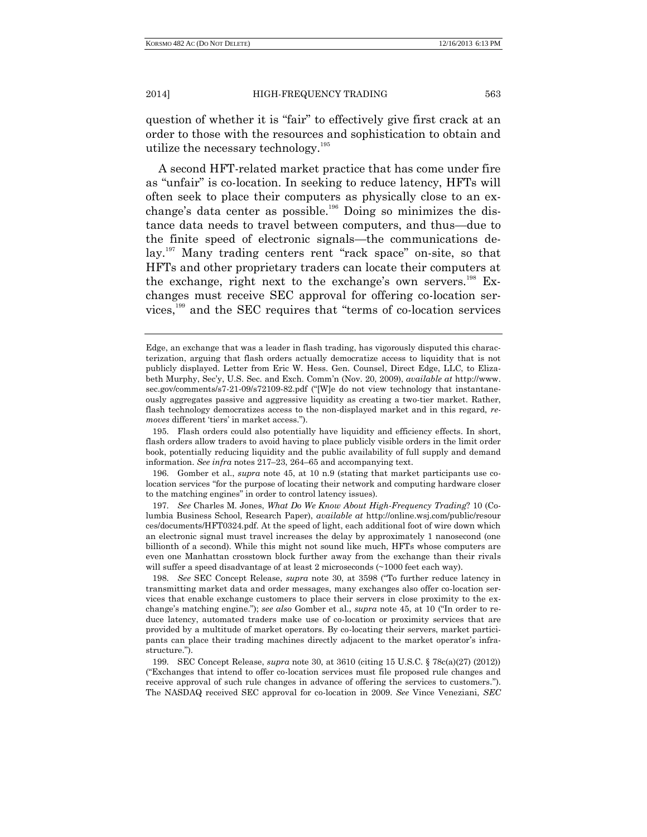question of whether it is "fair" to effectively give first crack at an order to those with the resources and sophistication to obtain and utilize the necessary technology. 195

A second HFT-related market practice that has come under fire as "unfair" is co-location. In seeking to reduce latency, HFTs will often seek to place their computers as physically close to an exchange's data center as possible.<sup>196</sup> Doing so minimizes the distance data needs to travel between computers, and thus—due to the finite speed of electronic signals—the communications delay.<sup>197</sup> Many trading centers rent "rack space" on-site, so that HFTs and other proprietary traders can locate their computers at the exchange, right next to the exchange's own servers.<sup>198</sup> Exchanges must receive SEC approval for offering co-location services,<sup>199</sup> and the SEC requires that "terms of co-location services

196. Gomber et al., *supra* note 45, at 10 n.9 (stating that market participants use colocation services "for the purpose of locating their network and computing hardware closer to the matching engines" in order to control latency issues).

197. *See* Charles M. Jones, *What Do We Know About High-Frequency Trading*? 10 (Columbia Business School, Research Paper), *available at* http://online.wsj.com/public/resour ces/documents/HFT0324.pdf. At the speed of light, each additional foot of wire down which an electronic signal must travel increases the delay by approximately 1 nanosecond (one billionth of a second). While this might not sound like much, HFTs whose computers are even one Manhattan crosstown block further away from the exchange than their rivals will suffer a speed disadvantage of at least 2 microseconds (~1000 feet each way).

198. *See* SEC Concept Release, *supra* note 30, at 3598 ("To further reduce latency in transmitting market data and order messages, many exchanges also offer co-location services that enable exchange customers to place their servers in close proximity to the exchange's matching engine."); *see also* Gomber et al., *supra* note 45, at 10 ("In order to reduce latency, automated traders make use of co-location or proximity services that are provided by a multitude of market operators. By co-locating their servers, market participants can place their trading machines directly adjacent to the market operator's infrastructure.").

Edge, an exchange that was a leader in flash trading, has vigorously disputed this characterization, arguing that flash orders actually democratize access to liquidity that is not publicly displayed. Letter from Eric W. Hess. Gen. Counsel, Direct Edge, LLC, to Elizabeth Murphy, Sec'y, U.S. Sec. and Exch. Comm'n (Nov. 20, 2009), *available at* http://www. sec.gov/comments/s7-21-09/s72109-82.pdf ("[W]e do not view technology that instantaneously aggregates passive and aggressive liquidity as creating a two-tier market. Rather, flash technology democratizes access to the non-displayed market and in this regard, *removes* different 'tiers' in market access.").

<sup>195.</sup> Flash orders could also potentially have liquidity and efficiency effects. In short, flash orders allow traders to avoid having to place publicly visible orders in the limit order book, potentially reducing liquidity and the public availability of full supply and demand information. *See infra* notes 217–23, 264–65 and accompanying text.

<sup>199.</sup> SEC Concept Release, *supra* note 30, at 3610 (citing 15 U.S.C. § 78c(a)(27) (2012)) ("Exchanges that intend to offer co-location services must file proposed rule changes and receive approval of such rule changes in advance of offering the services to customers."). The NASDAQ received SEC approval for co-location in 2009. *See* Vince Veneziani, *SEC*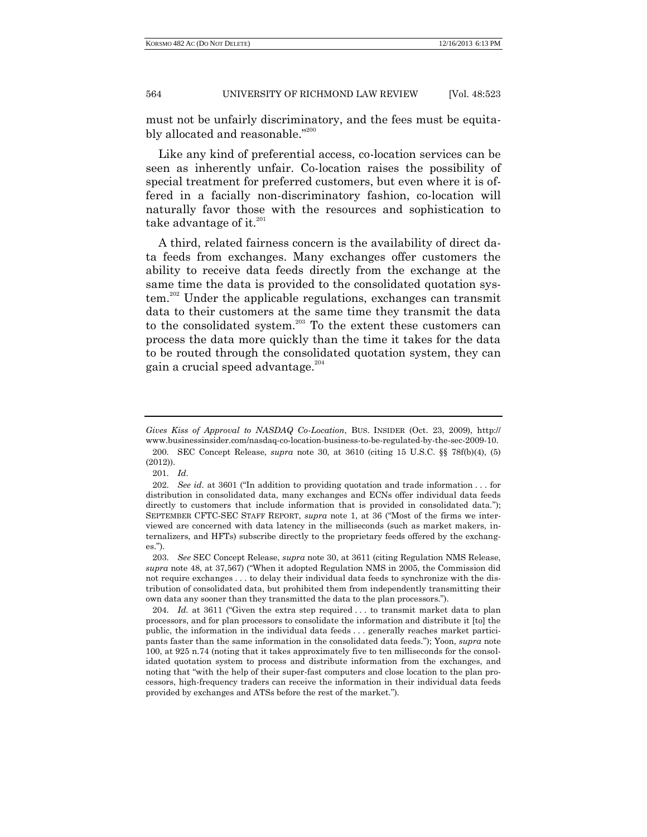must not be unfairly discriminatory, and the fees must be equitably allocated and reasonable."200

Like any kind of preferential access, co-location services can be seen as inherently unfair. Co-location raises the possibility of special treatment for preferred customers, but even where it is offered in a facially non-discriminatory fashion, co-location will naturally favor those with the resources and sophistication to take advantage of it. $^{201}$ 

A third, related fairness concern is the availability of direct data feeds from exchanges. Many exchanges offer customers the ability to receive data feeds directly from the exchange at the same time the data is provided to the consolidated quotation system.<sup>202</sup> Under the applicable regulations, exchanges can transmit data to their customers at the same time they transmit the data to the consolidated system.<sup>203</sup> To the extent these customers can process the data more quickly than the time it takes for the data to be routed through the consolidated quotation system, they can gain a crucial speed advantage.<sup>204</sup>

201. *Id*.

*Gives Kiss of Approval to NASDAQ Co-Location*, BUS. INSIDER (Oct. 23, 2009), http:// www.businessinsider.com/nasdaq-co-location-business-to-be-regulated-by-the-sec-2009-10. 200. SEC Concept Release, *supra* note 30, at 3610 (citing 15 U.S.C. §§ 78f(b)(4), (5) (2012)).

<sup>202.</sup> *See id.* at 3601 ("In addition to providing quotation and trade information . . . for distribution in consolidated data, many exchanges and ECNs offer individual data feeds directly to customers that include information that is provided in consolidated data."); SEPTEMBER CFTC-SEC STAFF REPORT, *supra* note 1, at 36 ("Most of the firms we interviewed are concerned with data latency in the milliseconds (such as market makers, internalizers, and HFTs) subscribe directly to the proprietary feeds offered by the exchanges.").

<sup>203.</sup> *See* SEC Concept Release, *supra* note 30, at 3611 (citing Regulation NMS Release, *supra* note 48, at 37,567) ("When it adopted Regulation NMS in 2005, the Commission did not require exchanges . . . to delay their individual data feeds to synchronize with the distribution of consolidated data, but prohibited them from independently transmitting their own data any sooner than they transmitted the data to the plan processors.").

<sup>204.</sup> *Id.* at 3611 ("Given the extra step required . . . to transmit market data to plan processors, and for plan processors to consolidate the information and distribute it [to] the public, the information in the individual data feeds . . . generally reaches market participants faster than the same information in the consolidated data feeds."); Yoon, *supra* note 100, at 925 n.74 (noting that it takes approximately five to ten milliseconds for the consolidated quotation system to process and distribute information from the exchanges, and noting that "with the help of their super-fast computers and close location to the plan processors, high-frequency traders can receive the information in their individual data feeds provided by exchanges and ATSs before the rest of the market.").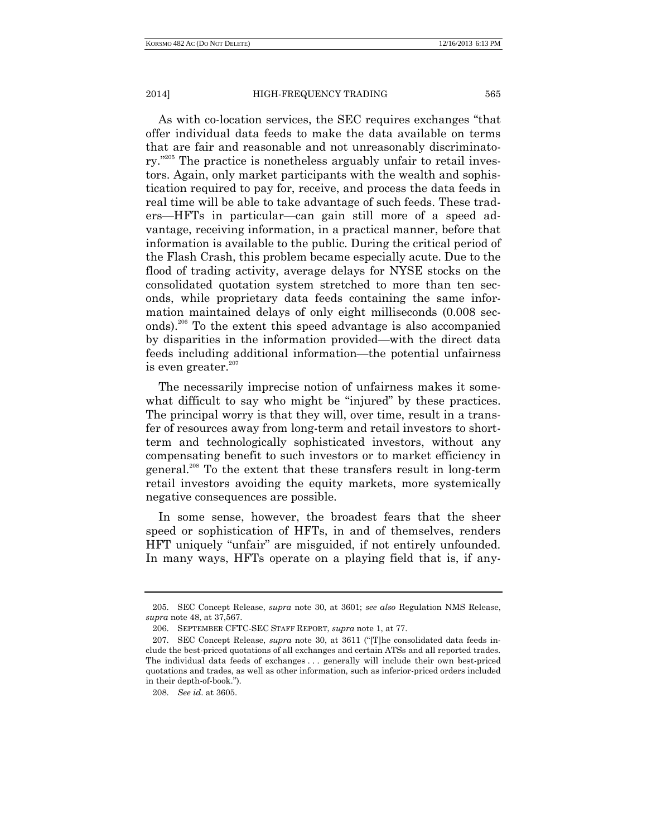As with co-location services, the SEC requires exchanges "that offer individual data feeds to make the data available on terms that are fair and reasonable and not unreasonably discriminatory.<sup>205</sup> The practice is nonetheless arguably unfair to retail investors. Again, only market participants with the wealth and sophistication required to pay for, receive, and process the data feeds in real time will be able to take advantage of such feeds. These traders—HFTs in particular—can gain still more of a speed advantage, receiving information, in a practical manner, before that information is available to the public. During the critical period of the Flash Crash, this problem became especially acute. Due to the flood of trading activity, average delays for NYSE stocks on the consolidated quotation system stretched to more than ten seconds, while proprietary data feeds containing the same information maintained delays of only eight milliseconds (0.008 seconds).<sup>206</sup> To the extent this speed advantage is also accompanied by disparities in the information provided—with the direct data feeds including additional information—the potential unfairness is even greater. 207

The necessarily imprecise notion of unfairness makes it somewhat difficult to say who might be "injured" by these practices. The principal worry is that they will, over time, result in a transfer of resources away from long-term and retail investors to shortterm and technologically sophisticated investors, without any compensating benefit to such investors or to market efficiency in general.<sup>208</sup> To the extent that these transfers result in long-term retail investors avoiding the equity markets, more systemically negative consequences are possible.

In some sense, however, the broadest fears that the sheer speed or sophistication of HFTs, in and of themselves, renders HFT uniquely "unfair" are misguided, if not entirely unfounded. In many ways, HFTs operate on a playing field that is, if any-

<sup>205.</sup> SEC Concept Release, *supra* note 30, at 3601; *see also* Regulation NMS Release, *supra* note 48, at 37,567.

<sup>206.</sup> SEPTEMBER CFTC-SEC STAFF REPORT, *supra* note 1, at 77.

<sup>207.</sup> SEC Concept Release, *supra* note 30, at 3611 ("[T]he consolidated data feeds include the best-priced quotations of all exchanges and certain ATSs and all reported trades. The individual data feeds of exchanges . . . generally will include their own best-priced quotations and trades, as well as other information, such as inferior-priced orders included in their depth-of-book.").

<sup>208.</sup> *See id*. at 3605.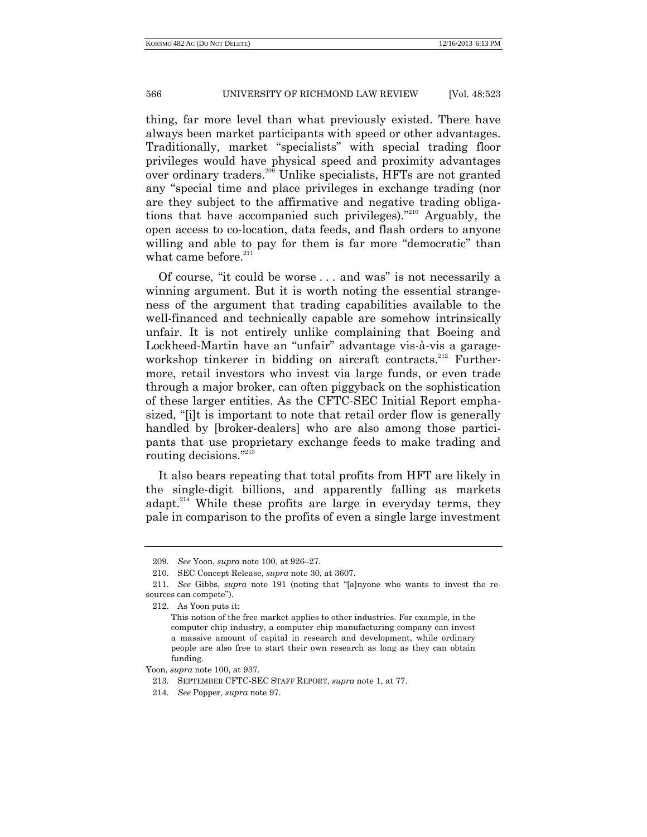thing, far more level than what previously existed. There have always been market participants with speed or other advantages. Traditionally, market "specialists" with special trading floor privileges would have physical speed and proximity advantages over ordinary traders.<sup>209</sup> Unlike specialists, HFTs are not granted any "special time and place privileges in exchange trading (nor are they subject to the affirmative and negative trading obligations that have accompanied such privileges)." <sup>210</sup> Arguably, the open access to co-location, data feeds, and flash orders to anyone willing and able to pay for them is far more "democratic" than what came before.<sup>211</sup>

Of course, "it could be worse . . . and was" is not necessarily a winning argument. But it is worth noting the essential strangeness of the argument that trading capabilities available to the well-financed and technically capable are somehow intrinsically unfair. It is not entirely unlike complaining that Boeing and Lockheed-Martin have an "unfair" advantage vis-à-vis a garageworkshop tinkerer in bidding on aircraft contracts.<sup>212</sup> Furthermore, retail investors who invest via large funds, or even trade through a major broker, can often piggyback on the sophistication of these larger entities. As the CFTC-SEC Initial Report emphasized, "[i]t is important to note that retail order flow is generally handled by [broker-dealers] who are also among those participants that use proprietary exchange feeds to make trading and routing decisions."213

It also bears repeating that total profits from HFT are likely in the single-digit billions, and apparently falling as markets adapt.<sup>214</sup> While these profits are large in everyday terms, they pale in comparison to the profits of even a single large investment

<sup>209.</sup> *See* Yoon, *supra* note 100, at 926–27.

<sup>210.</sup> SEC Concept Release, *supra* note 30, at 3607.

<sup>211.</sup> *See* Gibbs, *supra* note 191 (noting that "[a]nyone who wants to invest the resources can compete").

<sup>212.</sup> As Yoon puts it:

This notion of the free market applies to other industries. For example, in the computer chip industry, a computer chip manufacturing company can invest a massive amount of capital in research and development, while ordinary people are also free to start their own research as long as they can obtain funding.

Yoon, *supra* note 100, at 937.

<sup>213.</sup> SEPTEMBER CFTC-SEC STAFF REPORT, *supra* note 1, at 77.

<sup>214.</sup> *See* Popper, *supra* note 97.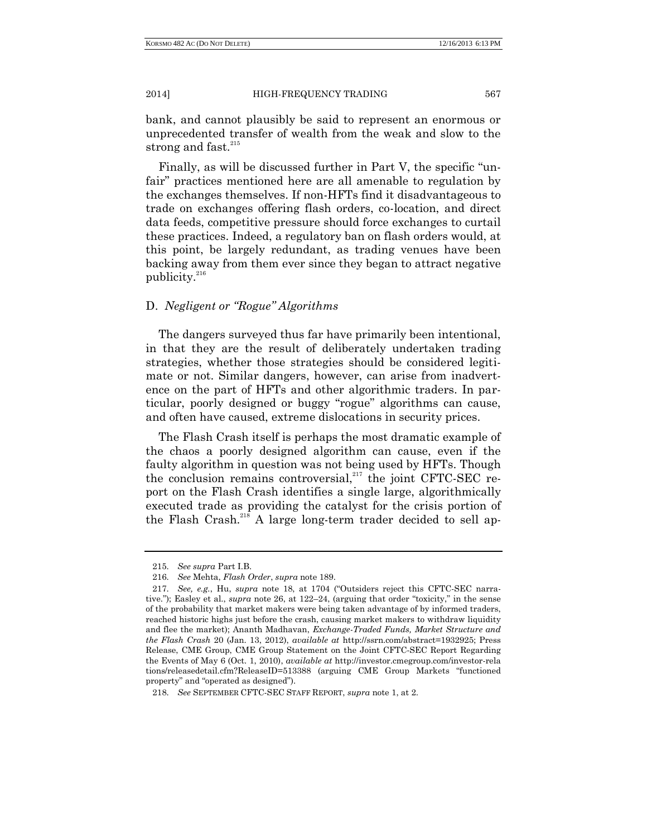bank, and cannot plausibly be said to represent an enormous or unprecedented transfer of wealth from the weak and slow to the strong and fast. $215$ 

Finally, as will be discussed further in Part V, the specific "unfair" practices mentioned here are all amenable to regulation by the exchanges themselves. If non-HFTs find it disadvantageous to trade on exchanges offering flash orders, co-location, and direct data feeds, competitive pressure should force exchanges to curtail these practices. Indeed, a regulatory ban on flash orders would, at this point, be largely redundant, as trading venues have been backing away from them ever since they began to attract negative publicity.<sup>216</sup>

# D. *Negligent or "Rogue" Algorithms*

The dangers surveyed thus far have primarily been intentional, in that they are the result of deliberately undertaken trading strategies, whether those strategies should be considered legitimate or not. Similar dangers, however, can arise from inadvertence on the part of HFTs and other algorithmic traders. In particular, poorly designed or buggy "rogue" algorithms can cause, and often have caused, extreme dislocations in security prices.

The Flash Crash itself is perhaps the most dramatic example of the chaos a poorly designed algorithm can cause, even if the faulty algorithm in question was not being used by HFTs. Though the conclusion remains controversial,<sup>217</sup> the joint CFTC-SEC report on the Flash Crash identifies a single large, algorithmically executed trade as providing the catalyst for the crisis portion of the Flash Crash.<sup>218</sup> A large long-term trader decided to sell ap-

<sup>215.</sup> *See supra* Part I.B.

<sup>216.</sup> *See* Mehta, *Flash Order*, *supra* note 189.

<sup>217.</sup> *See, e.g.*, Hu, *supra* note 18, at 1704 ("Outsiders reject this CFTC-SEC narrative."); Easley et al., *supra* note 26, at 122–24, (arguing that order "toxicity," in the sense of the probability that market makers were being taken advantage of by informed traders, reached historic highs just before the crash, causing market makers to withdraw liquidity and flee the market); Ananth Madhavan, *Exchange-Traded Funds, Market Structure and the Flash Crash* 20 (Jan. 13, 2012), *available at* http://ssrn.com/abstract=1932925; Press Release, CME Group, CME Group Statement on the Joint CFTC-SEC Report Regarding the Events of May 6 (Oct. 1, 2010), *available at* http://investor.cmegroup.com/investor-rela tions/releasedetail.cfm?ReleaseID=513388 (arguing CME Group Markets "functioned property" and "operated as designed").

<sup>218.</sup> *See* SEPTEMBER CFTC-SEC STAFF REPORT, *supra* note 1, at 2.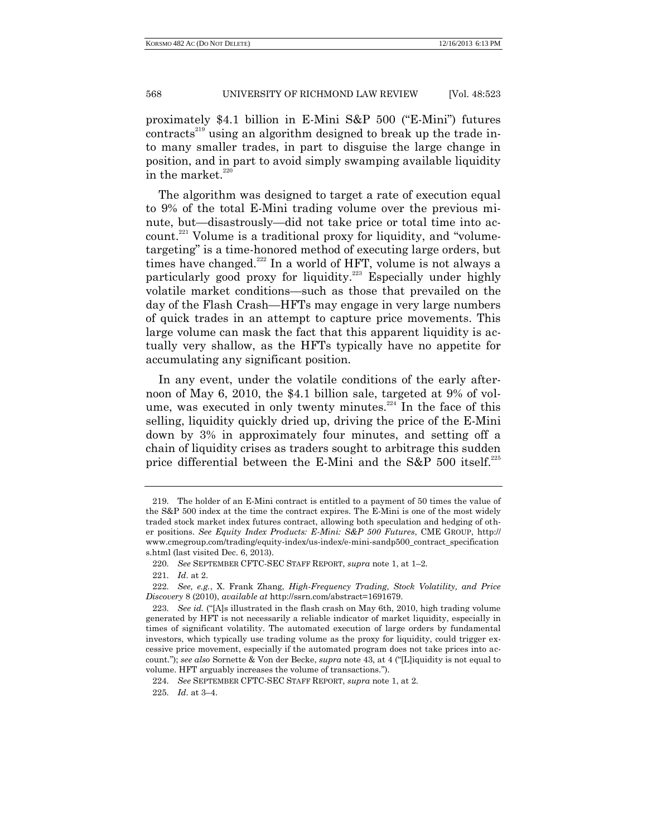proximately \$4.1 billion in E-Mini S&P 500 ("E-Mini") futures contracts<sup>219</sup> using an algorithm designed to break up the trade into many smaller trades, in part to disguise the large change in position, and in part to avoid simply swamping available liquidity in the market.<sup>220</sup>

The algorithm was designed to target a rate of execution equal to 9% of the total E-Mini trading volume over the previous minute, but—disastrously—did not take price or total time into account.<sup>221</sup> Volume is a traditional proxy for liquidity, and "volumetargeting" is a time-honored method of executing large orders, but times have changed.<sup>222</sup> In a world of HFT, volume is not always a particularly good proxy for liquidity.<sup>223</sup> Especially under highly volatile market conditions—such as those that prevailed on the day of the Flash Crash—HFTs may engage in very large numbers of quick trades in an attempt to capture price movements. This large volume can mask the fact that this apparent liquidity is actually very shallow, as the HFTs typically have no appetite for accumulating any significant position.

In any event, under the volatile conditions of the early afternoon of May 6, 2010, the \$4.1 billion sale, targeted at 9% of volume, was executed in only twenty minutes.<sup>224</sup> In the face of this selling, liquidity quickly dried up, driving the price of the E-Mini down by 3% in approximately four minutes, and setting off a chain of liquidity crises as traders sought to arbitrage this sudden price differential between the E-Mini and the S&P 500 itself.<sup>225</sup>

<sup>219.</sup> The holder of an E-Mini contract is entitled to a payment of 50 times the value of the S&P 500 index at the time the contract expires. The E-Mini is one of the most widely traded stock market index futures contract, allowing both speculation and hedging of other positions. *See Equity Index Products: E-Mini: S&P 500 Futures*, CME GROUP, http:// www.cmegroup.com/trading/equity-index/us-index/e-mini-sandp500\_contract\_specification s.html (last visited Dec. 6, 2013).

<sup>220.</sup> *See* SEPTEMBER CFTC-SEC STAFF REPORT, *supra* note 1, at 1–2.

<sup>221.</sup> *Id*. at 2.

<sup>222.</sup> *See, e.g.*, X. Frank Zhang, *High-Frequency Trading, Stock Volatility, and Price Discovery* 8 (2010), *available at* http://ssrn.com/abstract=1691679.

<sup>223.</sup> *See id.* ("[A]s illustrated in the flash crash on May 6th, 2010, high trading volume generated by HFT is not necessarily a reliable indicator of market liquidity, especially in times of significant volatility. The automated execution of large orders by fundamental investors, which typically use trading volume as the proxy for liquidity, could trigger excessive price movement, especially if the automated program does not take prices into account."); *see also* Sornette & Von der Becke, *supra* note 43, at 4 ("[L]iquidity is not equal to volume. HFT arguably increases the volume of transactions.").

<sup>224.</sup> *See* SEPTEMBER CFTC-SEC STAFF REPORT, *supra* note 1, at 2.

<sup>225.</sup> *Id*. at 3–4.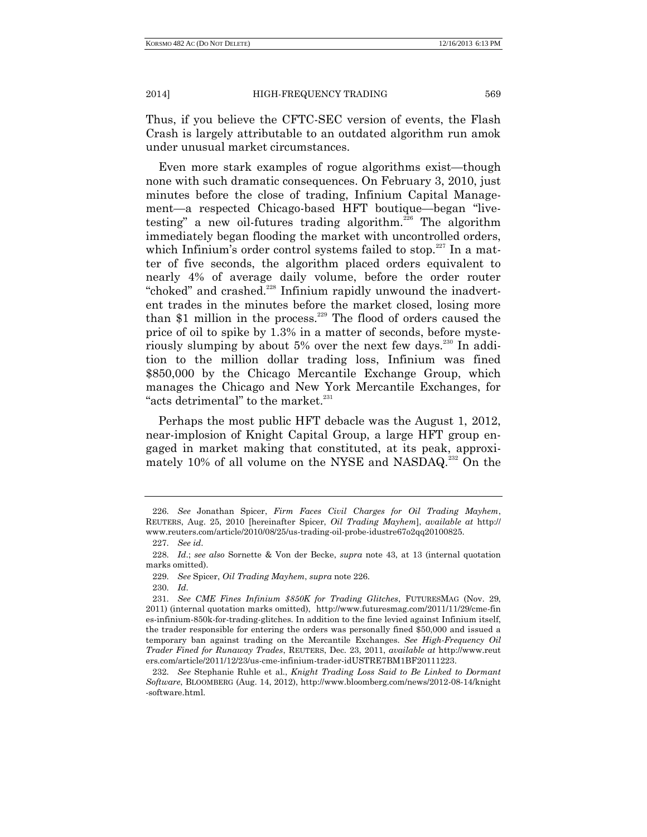Thus, if you believe the CFTC-SEC version of events, the Flash Crash is largely attributable to an outdated algorithm run amok under unusual market circumstances.

Even more stark examples of rogue algorithms exist—though none with such dramatic consequences. On February 3, 2010, just minutes before the close of trading, Infinium Capital Management—a respected Chicago-based HFT boutique—began "livetesting" a new oil-futures trading algorithm.<sup>226</sup> The algorithm immediately began flooding the market with uncontrolled orders, which Infinium's order control systems failed to stop.<sup>227</sup> In a matter of five seconds, the algorithm placed orders equivalent to nearly 4% of average daily volume, before the order router "choked" and crashed.<sup>228</sup> Infinium rapidly unwound the inadvertent trades in the minutes before the market closed, losing more than \$1 million in the process.<sup>229</sup> The flood of orders caused the price of oil to spike by 1.3% in a matter of seconds, before mysteriously slumping by about 5% over the next few days.<sup>230</sup> In addition to the million dollar trading loss, Infinium was fined \$850,000 by the Chicago Mercantile Exchange Group, which manages the Chicago and New York Mercantile Exchanges, for "acts detrimental" to the market. $231$ 

Perhaps the most public HFT debacle was the August 1, 2012, near-implosion of Knight Capital Group, a large HFT group engaged in market making that constituted, at its peak, approximately 10% of all volume on the NYSE and NASDAQ.<sup>232</sup> On the

<sup>226.</sup> *See* Jonathan Spicer, *Firm Faces Civil Charges for Oil Trading Mayhem*, REUTERS, Aug. 25, 2010 [hereinafter Spicer, *Oil Trading Mayhem*], *available at* http:// www.reuters.com/article/2010/08/25/us-trading-oil-probe-idustre67o2qq20100825.

<sup>227.</sup> *See id*.

<sup>228.</sup> *Id*.; *see also* Sornette & Von der Becke, *supra* note 43, at 13 (internal quotation marks omitted).

<sup>229.</sup> *See* Spicer, *Oil Trading Mayhem*, *supra* note 226.

<sup>230.</sup> *Id*.

<sup>231.</sup> *See CME Fines Infinium \$850K for Trading Glitches*, FUTURESMAG (Nov. 29, 2011) (internal quotation marks omitted), http://www.futuresmag.com/2011/11/29/cme-fin es-infinium-850k-for-trading-glitches. In addition to the fine levied against Infinium itself, the trader responsible for entering the orders was personally fined \$50,000 and issued a temporary ban against trading on the Mercantile Exchanges. *See High-Frequency Oil Trader Fined for Runaway Trades*, REUTERS, Dec. 23, 2011, *available at* http://www.reut ers.com/article/2011/12/23/us-cme-infinium-trader-idUSTRE7BM1BF20111223.

<sup>232.</sup> *See* Stephanie Ruhle et al., *Knight Trading Loss Said to Be Linked to Dormant Software*, BLOOMBERG (Aug. 14, 2012), http://www.bloomberg.com/news/2012-08-14/knight -software.html.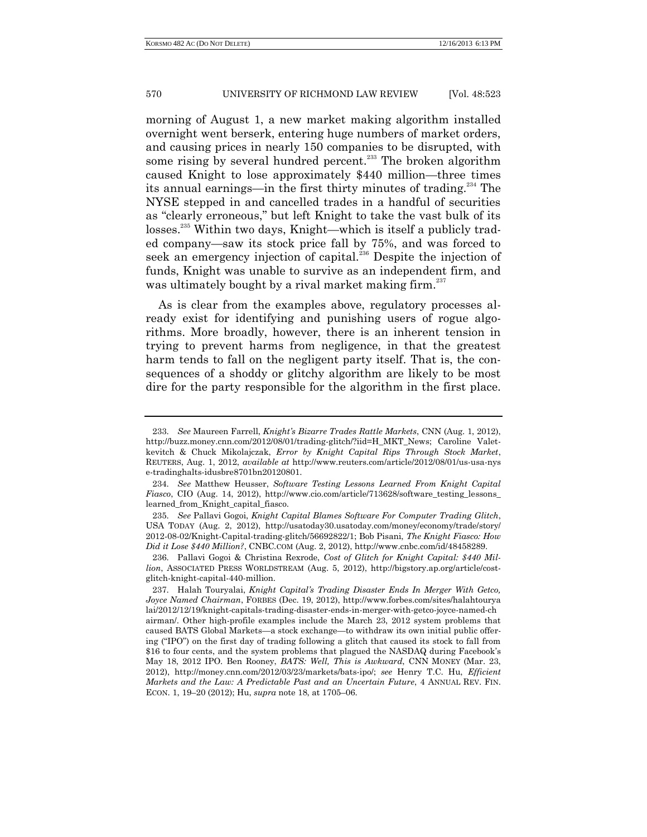morning of August 1, a new market making algorithm installed overnight went berserk, entering huge numbers of market orders, and causing prices in nearly 150 companies to be disrupted, with some rising by several hundred percent.<sup>233</sup> The broken algorithm caused Knight to lose approximately \$440 million—three times its annual earnings—in the first thirty minutes of trading.<sup>234</sup> The NYSE stepped in and cancelled trades in a handful of securities as "clearly erroneous," but left Knight to take the vast bulk of its losses.<sup>235</sup> Within two days, Knight—which is itself a publicly traded company—saw its stock price fall by 75%, and was forced to seek an emergency injection of capital.<sup>236</sup> Despite the injection of funds, Knight was unable to survive as an independent firm, and was ultimately bought by a rival market making firm.<sup>237</sup>

As is clear from the examples above, regulatory processes already exist for identifying and punishing users of rogue algorithms. More broadly, however, there is an inherent tension in trying to prevent harms from negligence, in that the greatest harm tends to fall on the negligent party itself. That is, the consequences of a shoddy or glitchy algorithm are likely to be most dire for the party responsible for the algorithm in the first place.

<sup>233.</sup> *See* Maureen Farrell, *Knight's Bizarre Trades Rattle Markets*, CNN (Aug. 1, 2012), http://buzz.money.cnn.com/2012/08/01/trading-glitch/?iid=H\_MKT\_News; Caroline Valetkevitch & Chuck Mikolajczak, *Error by Knight Capital Rips Through Stock Market*, REUTERS, Aug. 1, 2012, *available at* http://www.reuters.com/article/2012/08/01/us-usa-nys e-tradinghalts-idusbre8701bn20120801.

<sup>234.</sup> *See* Matthew Heusser, *Software Testing Lessons Learned From Knight Capital Fiasco*, CIO (Aug. 14, 2012), http://www.cio.com/article/713628/software\_testing\_lessons\_ learned\_from\_Knight\_capital\_fiasco.

<sup>235.</sup> *See* Pallavi Gogoi, *Knight Capital Blames Software For Computer Trading Glitch*, USA TODAY (Aug. 2, 2012), http://usatoday30.usatoday.com/money/economy/trade/story/ 2012-08-02/Knight-Capital-trading-glitch/56692822/1; Bob Pisani, *The Knight Fiasco: How Did it Lose \$440 Million?*, CNBC.COM (Aug. 2, 2012), http://www.cnbc.com/id/48458289.

<sup>236.</sup> Pallavi Gogoi & Christina Rexrode, *Cost of Glitch for Knight Capital: \$440 Million*, ASSOCIATED PRESS WORLDSTREAM (Aug. 5, 2012), http://bigstory.ap.org/article/costglitch-knight-capital-440-million.

<sup>237.</sup> Halah Touryalai, *Knight Capital's Trading Disaster Ends In Merger With Getco, Joyce Named Chairman*, FORBES (Dec. 19, 2012), http://www.forbes.com/sites/halahtourya lai/2012/12/19/knight-capitals-trading-disaster-ends-in-merger-with-getco-joyce-named-ch airman/. Other high-profile examples include the March 23, 2012 system problems that caused BATS Global Markets—a stock exchange—to withdraw its own initial public offering ("IPO") on the first day of trading following a glitch that caused its stock to fall from \$16 to four cents, and the system problems that plagued the NASDAQ during Facebook's May 18, 2012 IPO. Ben Rooney, *BATS: Well, This is Awkward*, CNN MONEY (Mar. 23, 2012), http://money.cnn.com/2012/03/23/markets/bats-ipo/; *see* Henry T.C. Hu, *Efficient Markets and the Law: A Predictable Past and an Uncertain Future*, 4 ANNUAL REV. FIN. ECON. 1, 19–20 (2012); Hu, *supra* note 18, at 1705–06.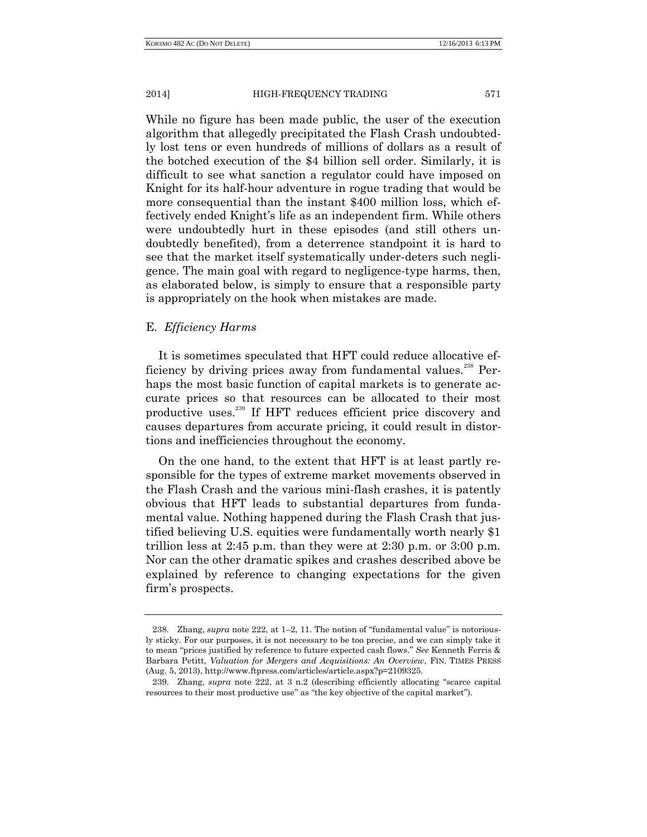While no figure has been made public, the user of the execution algorithm that allegedly precipitated the Flash Crash undoubtedly lost tens or even hundreds of millions of dollars as a result of the botched execution of the \$4 billion sell order. Similarly, it is difficult to see what sanction a regulator could have imposed on Knight for its half-hour adventure in rogue trading that would be more consequential than the instant \$400 million loss, which effectively ended Knight's life as an independent firm. While others were undoubtedly hurt in these episodes (and still others undoubtedly benefited), from a deterrence standpoint it is hard to see that the market itself systematically under-deters such negligence. The main goal with regard to negligence-type harms, then, as elaborated below, is simply to ensure that a responsible party is appropriately on the hook when mistakes are made.

# E. *Efficiency Harms*

It is sometimes speculated that HFT could reduce allocative efficiency by driving prices away from fundamental values.<sup>238</sup> Perhaps the most basic function of capital markets is to generate accurate prices so that resources can be allocated to their most productive uses.<sup>239</sup> If HFT reduces efficient price discovery and causes departures from accurate pricing, it could result in distortions and inefficiencies throughout the economy.

On the one hand, to the extent that HFT is at least partly responsible for the types of extreme market movements observed in the Flash Crash and the various mini-flash crashes, it is patently obvious that HFT leads to substantial departures from fundamental value. Nothing happened during the Flash Crash that justified believing U.S. equities were fundamentally worth nearly \$1 trillion less at 2:45 p.m. than they were at 2:30 p.m. or 3:00 p.m. Nor can the other dramatic spikes and crashes described above be explained by reference to changing expectations for the given firm's prospects.

<sup>238.</sup> Zhang, *supra* note 222, at 1–2, 11. The notion of "fundamental value" is notoriously sticky. For our purposes, it is not necessary to be too precise, and we can simply take it to mean "prices justified by reference to future expected cash flows." *See* Kenneth Ferris & Barbara Petitt, *Valuation for Mergers and Acquisitions: An Overview*, FIN. TIMES PRESS (Aug. 5, 2013), http://www.ftpress.com/articles/article.aspx?p=2109325.

<sup>239.</sup> Zhang, *supra* note 222, at 3 n.2 (describing efficiently allocating "scarce capital resources to their most productive use" as "the key objective of the capital market").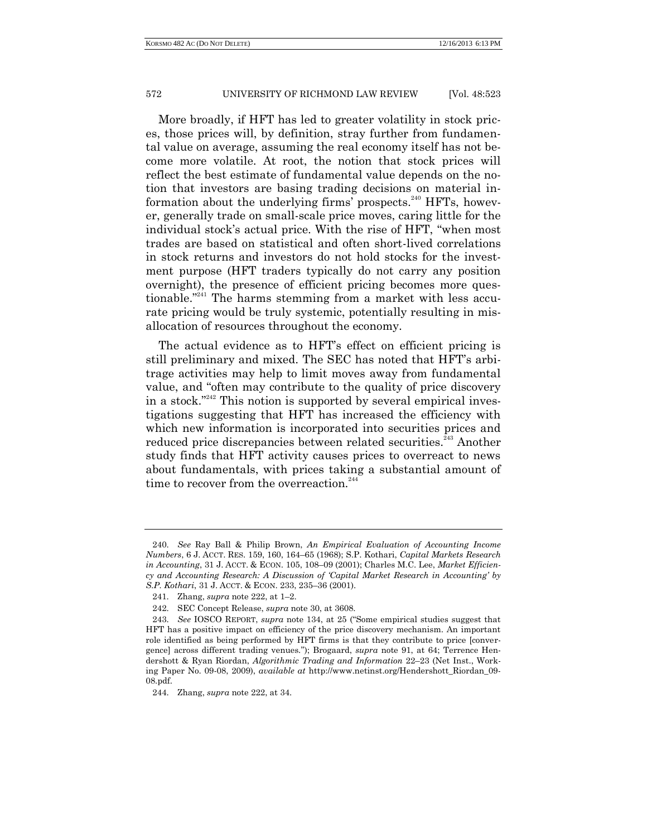More broadly, if HFT has led to greater volatility in stock prices, those prices will, by definition, stray further from fundamental value on average, assuming the real economy itself has not become more volatile. At root, the notion that stock prices will reflect the best estimate of fundamental value depends on the notion that investors are basing trading decisions on material information about the underlying firms' prospects.<sup>240</sup> HFTs, however, generally trade on small-scale price moves, caring little for the individual stock's actual price. With the rise of HFT, "when most trades are based on statistical and often short-lived correlations in stock returns and investors do not hold stocks for the investment purpose (HFT traders typically do not carry any position overnight), the presence of efficient pricing becomes more questionable."<sup>241</sup> The harms stemming from a market with less accurate pricing would be truly systemic, potentially resulting in misallocation of resources throughout the economy.

The actual evidence as to HFT's effect on efficient pricing is still preliminary and mixed. The SEC has noted that HFT's arbitrage activities may help to limit moves away from fundamental value, and "often may contribute to the quality of price discovery in a stock."<sup>242</sup> This notion is supported by several empirical investigations suggesting that HFT has increased the efficiency with which new information is incorporated into securities prices and reduced price discrepancies between related securities.<sup>243</sup> Another study finds that HFT activity causes prices to overreact to news about fundamentals, with prices taking a substantial amount of time to recover from the overreaction.<sup>244</sup>

<sup>240.</sup> *See* Ray Ball & Philip Brown, *An Empirical Evaluation of Accounting Income Numbers*, 6 J. ACCT. RES. 159, 160, 164–65 (1968); S.P. Kothari, *Capital Markets Research in Accounting*, 31 J. ACCT. & ECON. 105, 108–09 (2001); Charles M.C. Lee, *Market Efficiency and Accounting Research: A Discussion of 'Capital Market Research in Accounting' by S.P. Kothari*, 31 J. ACCT. & ECON. 233, 235–36 (2001).

<sup>241.</sup> Zhang, *supra* note 222, at 1–2.

<sup>242.</sup> SEC Concept Release, *supra* note 30, at 3608.

<sup>243.</sup> *See* IOSCO REPORT, *supra* note 134, at 25 ("Some empirical studies suggest that HFT has a positive impact on efficiency of the price discovery mechanism. An important role identified as being performed by HFT firms is that they contribute to price [convergence] across different trading venues."); Brogaard, *supra* note 91, at 64; Terrence Hendershott & Ryan Riordan, *Algorithmic Trading and Information* 22–23 (Net Inst., Working Paper No. 09-08, 2009), *available at* http://www.netinst.org/Hendershott\_Riordan\_09- 08.pdf.

<sup>244.</sup> Zhang, *supra* note 222, at 34.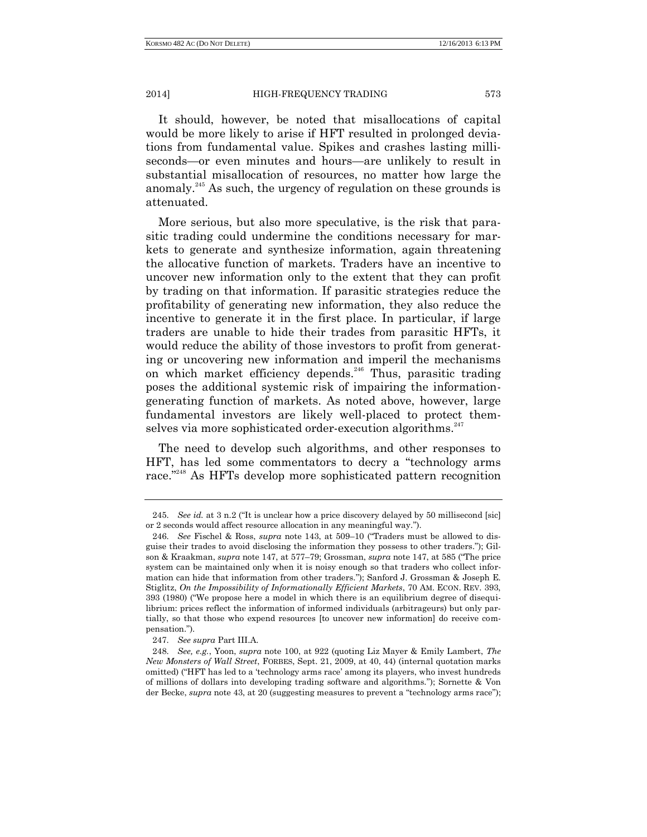It should, however, be noted that misallocations of capital would be more likely to arise if HFT resulted in prolonged deviations from fundamental value. Spikes and crashes lasting milliseconds—or even minutes and hours—are unlikely to result in substantial misallocation of resources, no matter how large the anomaly.<sup>245</sup> As such, the urgency of regulation on these grounds is attenuated.

More serious, but also more speculative, is the risk that parasitic trading could undermine the conditions necessary for markets to generate and synthesize information, again threatening the allocative function of markets. Traders have an incentive to uncover new information only to the extent that they can profit by trading on that information. If parasitic strategies reduce the profitability of generating new information, they also reduce the incentive to generate it in the first place. In particular, if large traders are unable to hide their trades from parasitic HFTs, it would reduce the ability of those investors to profit from generating or uncovering new information and imperil the mechanisms on which market efficiency depends.<sup>246</sup> Thus, parasitic trading poses the additional systemic risk of impairing the informationgenerating function of markets. As noted above, however, large fundamental investors are likely well-placed to protect themselves via more sophisticated order-execution algorithms.<sup>247</sup>

The need to develop such algorithms, and other responses to HFT, has led some commentators to decry a "technology arms race.<sup>"248</sup> As HFTs develop more sophisticated pattern recognition

<sup>245.</sup> *See id.* at 3 n.2 ("It is unclear how a price discovery delayed by 50 millisecond [sic] or 2 seconds would affect resource allocation in any meaningful way.").

<sup>246.</sup> *See* Fischel & Ross, *supra* note 143, at 509–10 ("Traders must be allowed to disguise their trades to avoid disclosing the information they possess to other traders."); Gilson & Kraakman, *supra* note 147, at 577–79; Grossman, *supra* note 147, at 585 ("The price system can be maintained only when it is noisy enough so that traders who collect information can hide that information from other traders."); Sanford J. Grossman & Joseph E. Stiglitz, *On the Impossibility of Informationally Efficient Markets*, 70 AM. ECON. REV. 393, 393 (1980) ("We propose here a model in which there is an equilibrium degree of disequilibrium: prices reflect the information of informed individuals (arbitrageurs) but only partially, so that those who expend resources [to uncover new information] do receive compensation.").

<sup>247.</sup> *See supra* Part III.A.

<sup>248.</sup> *See, e.g.*, Yoon, *supra* note 100, at 922 (quoting Liz Mayer & Emily Lambert, *The New Monsters of Wall Street*, FORBES, Sept. 21, 2009, at 40, 44) (internal quotation marks omitted) ("HFT has led to a 'technology arms race' among its players, who invest hundreds of millions of dollars into developing trading software and algorithms."); Sornette & Von der Becke, *supra* note 43, at 20 (suggesting measures to prevent a "technology arms race");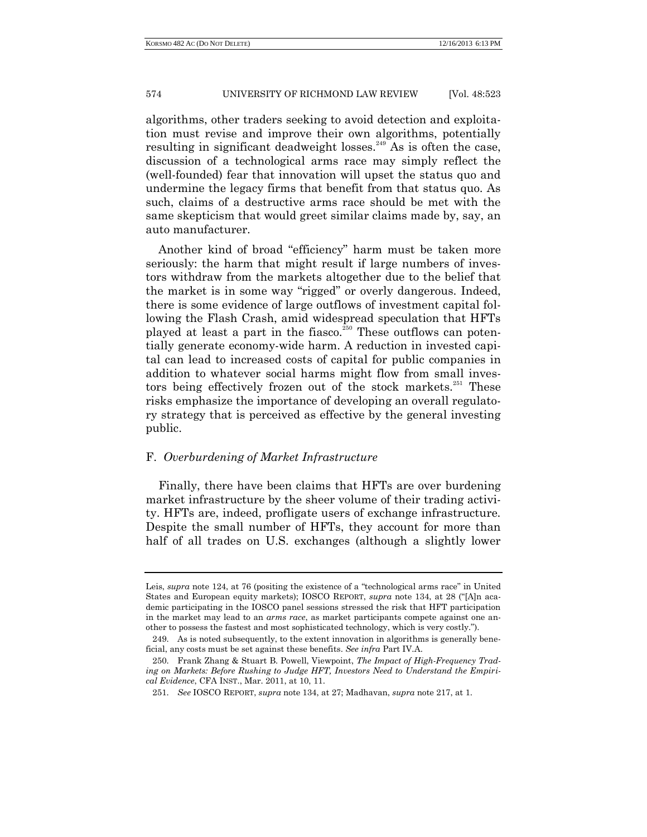algorithms, other traders seeking to avoid detection and exploitation must revise and improve their own algorithms, potentially resulting in significant deadweight losses.<sup>249</sup> As is often the case, discussion of a technological arms race may simply reflect the (well-founded) fear that innovation will upset the status quo and undermine the legacy firms that benefit from that status quo. As such, claims of a destructive arms race should be met with the same skepticism that would greet similar claims made by, say, an auto manufacturer.

Another kind of broad "efficiency" harm must be taken more seriously: the harm that might result if large numbers of investors withdraw from the markets altogether due to the belief that the market is in some way "rigged" or overly dangerous. Indeed, there is some evidence of large outflows of investment capital following the Flash Crash, amid widespread speculation that HFTs played at least a part in the fiasco.<sup>250</sup> These outflows can potentially generate economy-wide harm. A reduction in invested capital can lead to increased costs of capital for public companies in addition to whatever social harms might flow from small investors being effectively frozen out of the stock markets.<sup>251</sup> These risks emphasize the importance of developing an overall regulatory strategy that is perceived as effective by the general investing public.

## F. *Overburdening of Market Infrastructure*

Finally, there have been claims that HFTs are over burdening market infrastructure by the sheer volume of their trading activity. HFTs are, indeed, profligate users of exchange infrastructure. Despite the small number of HFTs, they account for more than half of all trades on U.S. exchanges (although a slightly lower

Leis, *supra* note 124, at 76 (positing the existence of a "technological arms race" in United States and European equity markets); IOSCO REPORT, *supra* note 134, at 28 ("[A]n academic participating in the IOSCO panel sessions stressed the risk that HFT participation in the market may lead to an *arms race*, as market participants compete against one another to possess the fastest and most sophisticated technology, which is very costly.").

<sup>249.</sup> As is noted subsequently, to the extent innovation in algorithms is generally beneficial, any costs must be set against these benefits. *See infra* Part IV.A.

<sup>250.</sup> Frank Zhang & Stuart B. Powell, Viewpoint, *The Impact of High-Frequency Trading on Markets: Before Rushing to Judge HFT, Investors Need to Understand the Empirical Evidence*, CFA INST., Mar. 2011, at 10, 11.

<sup>251.</sup> *See* IOSCO REPORT, *supra* note 134, at 27; Madhavan, *supra* note 217, at 1.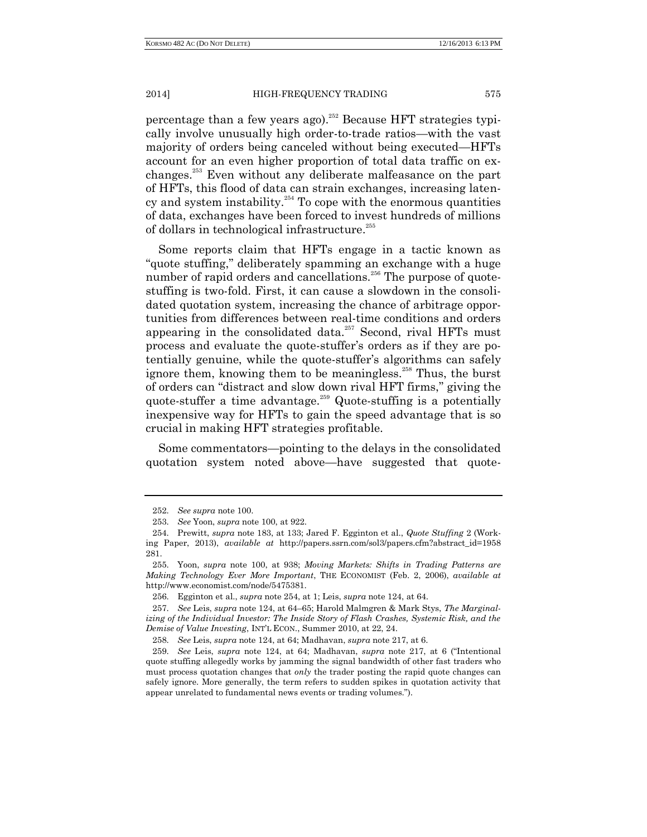percentage than a few years ago). <sup>252</sup> Because HFT strategies typically involve unusually high order-to-trade ratios—with the vast majority of orders being canceled without being executed—HFTs account for an even higher proportion of total data traffic on exchanges.<sup>253</sup> Even without any deliberate malfeasance on the part of HFTs, this flood of data can strain exchanges, increasing latency and system instability. $254$  To cope with the enormous quantities of data, exchanges have been forced to invest hundreds of millions of dollars in technological infrastructure. 255

Some reports claim that HFTs engage in a tactic known as "quote stuffing," deliberately spamming an exchange with a huge number of rapid orders and cancellations.<sup>256</sup> The purpose of quotestuffing is two-fold. First, it can cause a slowdown in the consolidated quotation system, increasing the chance of arbitrage opportunities from differences between real-time conditions and orders appearing in the consolidated data.<sup>257</sup> Second, rival HFTs must process and evaluate the quote-stuffer's orders as if they are potentially genuine, while the quote-stuffer's algorithms can safely ignore them, knowing them to be meaningless.<sup>258</sup> Thus, the burst of orders can "distract and slow down rival HFT firms," giving the quote-stuffer a time advantage.<sup>259</sup> Quote-stuffing is a potentially inexpensive way for HFTs to gain the speed advantage that is so crucial in making HFT strategies profitable.

Some commentators—pointing to the delays in the consolidated quotation system noted above—have suggested that quote-

<sup>252.</sup> *See supra* note 100.

<sup>253.</sup> *See* Yoon, *supra* note 100, at 922.

<sup>254.</sup> Prewitt, *supra* note 183, at 133; Jared F. Egginton et al., *Quote Stuffing* 2 (Working Paper, 2013), *available at* http://papers.ssrn.com/sol3/papers.cfm?abstract\_id=1958 281.

<sup>255.</sup> Yoon, *supra* note 100, at 938; *Moving Markets: Shifts in Trading Patterns are Making Technology Ever More Important*, THE ECONOMIST (Feb. 2, 2006), *available at*  http://www.economist.com/node/5475381.

<sup>256.</sup> Egginton et al., *supra* note 254, at 1; Leis, *supra* note 124, at 64.

<sup>257.</sup> *See* Leis, *supra* note 124, at 64–65; Harold Malmgren & Mark Stys, *The Marginalizing of the Individual Investor: The Inside Story of Flash Crashes, Systemic Risk, and the Demise of Value Investing*, INT'L ECON., Summer 2010, at 22, 24.

<sup>258.</sup> *See* Leis, *supra* note 124, at 64; Madhavan, *supra* note 217, at 6.

<sup>259.</sup> *See* Leis, *supra* note 124, at 64; Madhavan, *supra* note 217, at 6 ("Intentional quote stuffing allegedly works by jamming the signal bandwidth of other fast traders who must process quotation changes that *only* the trader posting the rapid quote changes can safely ignore. More generally, the term refers to sudden spikes in quotation activity that appear unrelated to fundamental news events or trading volumes.").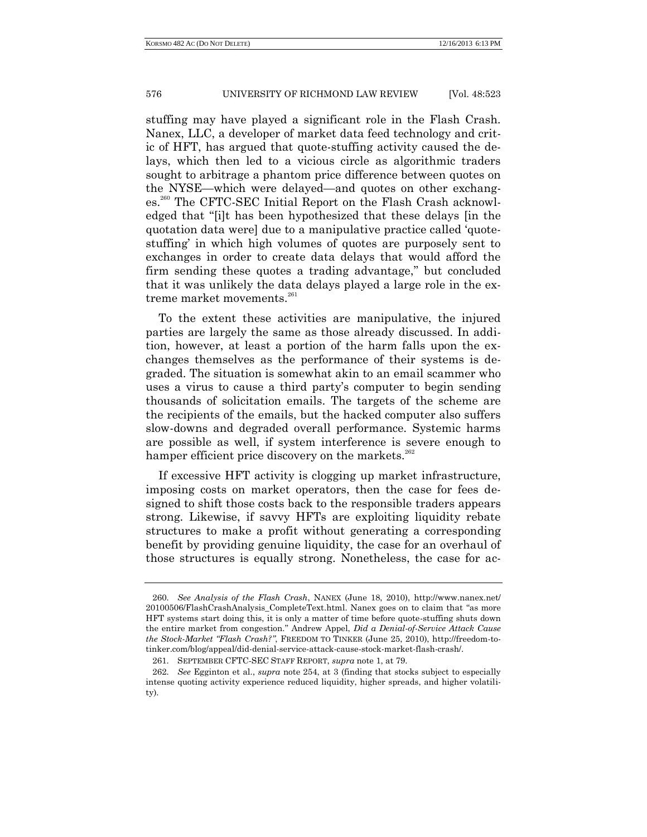stuffing may have played a significant role in the Flash Crash. Nanex, LLC, a developer of market data feed technology and critic of HFT, has argued that quote-stuffing activity caused the delays, which then led to a vicious circle as algorithmic traders sought to arbitrage a phantom price difference between quotes on the NYSE—which were delayed—and quotes on other exchanges.<sup>260</sup> The CFTC-SEC Initial Report on the Flash Crash acknowledged that "[i]t has been hypothesized that these delays [in the quotation data were] due to a manipulative practice called 'quotestuffing' in which high volumes of quotes are purposely sent to exchanges in order to create data delays that would afford the firm sending these quotes a trading advantage," but concluded that it was unlikely the data delays played a large role in the extreme market movements. $^{261}$ 

To the extent these activities are manipulative, the injured parties are largely the same as those already discussed. In addition, however, at least a portion of the harm falls upon the exchanges themselves as the performance of their systems is degraded. The situation is somewhat akin to an email scammer who uses a virus to cause a third party's computer to begin sending thousands of solicitation emails. The targets of the scheme are the recipients of the emails, but the hacked computer also suffers slow-downs and degraded overall performance. Systemic harms are possible as well, if system interference is severe enough to hamper efficient price discovery on the markets.<sup>262</sup>

If excessive HFT activity is clogging up market infrastructure, imposing costs on market operators, then the case for fees designed to shift those costs back to the responsible traders appears strong. Likewise, if savvy HFTs are exploiting liquidity rebate structures to make a profit without generating a corresponding benefit by providing genuine liquidity, the case for an overhaul of those structures is equally strong. Nonetheless, the case for ac-

<sup>260.</sup> *See Analysis of the Flash Crash*, NANEX (June 18, 2010), http://www.nanex.net/ 20100506/FlashCrashAnalysis\_CompleteText.html. Nanex goes on to claim that "as more HFT systems start doing this, it is only a matter of time before quote-stuffing shuts down the entire market from congestion." Andrew Appel, *Did a Denial-of-Service Attack Cause the Stock-Market "Flash Crash?"*, FREEDOM TO TINKER (June 25, 2010), http://freedom-totinker.com/blog/appeal/did-denial-service-attack-cause-stock-market-flash-crash/.

<sup>261.</sup> SEPTEMBER CFTC-SEC STAFF REPORT, *supra* note 1, at 79.

<sup>262.</sup> *See* Egginton et al., *supra* note 254, at 3 (finding that stocks subject to especially intense quoting activity experience reduced liquidity, higher spreads, and higher volatility).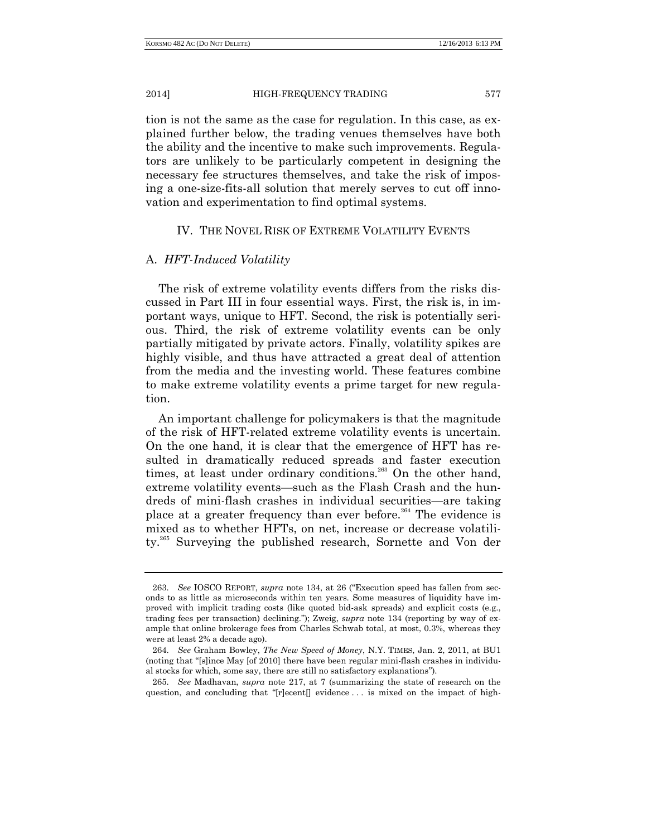tion is not the same as the case for regulation. In this case, as explained further below, the trading venues themselves have both the ability and the incentive to make such improvements. Regulators are unlikely to be particularly competent in designing the necessary fee structures themselves, and take the risk of imposing a one-size-fits-all solution that merely serves to cut off innovation and experimentation to find optimal systems.

## IV. THE NOVEL RISK OF EXTREME VOLATILITY EVENTS

# A. *HFT-Induced Volatility*

The risk of extreme volatility events differs from the risks discussed in Part III in four essential ways. First, the risk is, in important ways, unique to HFT. Second, the risk is potentially serious. Third, the risk of extreme volatility events can be only partially mitigated by private actors. Finally, volatility spikes are highly visible, and thus have attracted a great deal of attention from the media and the investing world. These features combine to make extreme volatility events a prime target for new regulation.

An important challenge for policymakers is that the magnitude of the risk of HFT-related extreme volatility events is uncertain. On the one hand, it is clear that the emergence of HFT has resulted in dramatically reduced spreads and faster execution times, at least under ordinary conditions.<sup>263</sup> On the other hand, extreme volatility events—such as the Flash Crash and the hundreds of mini-flash crashes in individual securities—are taking place at a greater frequency than ever before.<sup>264</sup> The evidence is mixed as to whether HFTs, on net, increase or decrease volatility.<sup>265</sup> Surveying the published research, Sornette and Von der

265. *See* Madhavan, *supra* note 217, at 7 (summarizing the state of research on the question, and concluding that "[r]ecent[] evidence . . . is mixed on the impact of high-

<sup>263.</sup> *See* IOSCO REPORT, *supra* note 134, at 26 ("Execution speed has fallen from seconds to as little as microseconds within ten years. Some measures of liquidity have improved with implicit trading costs (like quoted bid-ask spreads) and explicit costs (e.g., trading fees per transaction) declining."); Zweig, *supra* note 134 (reporting by way of example that online brokerage fees from Charles Schwab total, at most, 0.3%, whereas they were at least 2% a decade ago).

<sup>264.</sup> *See* Graham Bowley, *The New Speed of Money*, N.Y. TIMES, Jan. 2, 2011, at BU1 (noting that "[s]ince May [of 2010] there have been regular mini-flash crashes in individual stocks for which, some say, there are still no satisfactory explanations").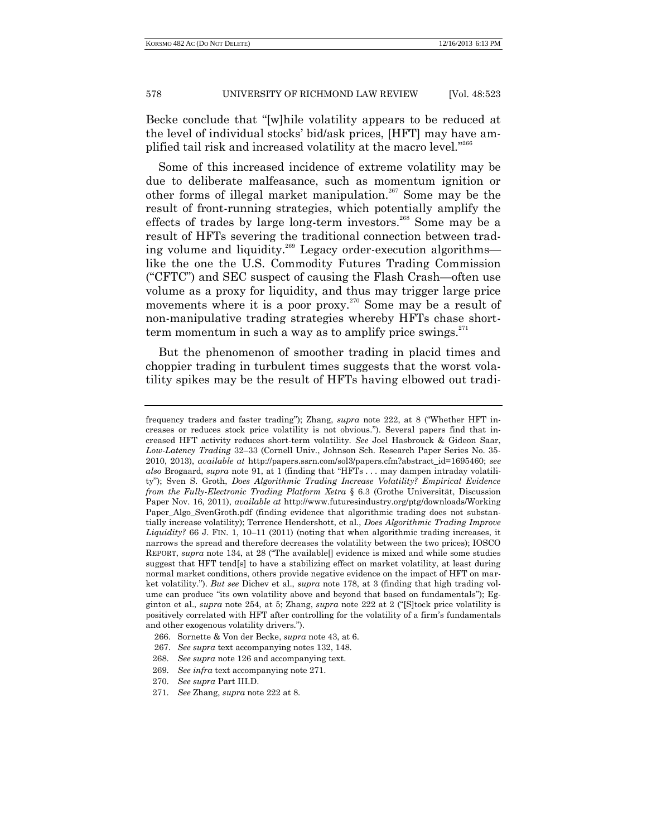Becke conclude that "[w]hile volatility appears to be reduced at the level of individual stocks' bid/ask prices, [HFT] may have amplified tail risk and increased volatility at the macro level."<sup>266</sup>

Some of this increased incidence of extreme volatility may be due to deliberate malfeasance, such as momentum ignition or other forms of illegal market manipulation.<sup>267</sup> Some may be the result of front-running strategies, which potentially amplify the effects of trades by large long-term investors.<sup>268</sup> Some may be a result of HFTs severing the traditional connection between trading volume and liquidity.<sup>269</sup> Legacy order-execution algorithms like the one the U.S. Commodity Futures Trading Commission ("CFTC") and SEC suspect of causing the Flash Crash—often use volume as a proxy for liquidity, and thus may trigger large price movements where it is a poor proxy.<sup>270</sup> Some may be a result of non-manipulative trading strategies whereby HFTs chase shortterm momentum in such a way as to amplify price swings. $^{271}$ 

But the phenomenon of smoother trading in placid times and choppier trading in turbulent times suggests that the worst volatility spikes may be the result of HFTs having elbowed out tradi-

frequency traders and faster trading"); Zhang, *supra* note 222, at 8 ("Whether HFT increases or reduces stock price volatility is not obvious."). Several papers find that increased HFT activity reduces short-term volatility. *See* Joel Hasbrouck & Gideon Saar, *Low-Latency Trading* 32–33 (Cornell Univ., Johnson Sch. Research Paper Series No. 35- 2010, 2013), *available at* http://papers.ssrn.com/sol3/papers.cfm?abstract\_id=1695460; *see also* Brogaard, *supra* note 91, at 1 (finding that "HFTs . . . may dampen intraday volatility"); Sven S. Groth, *Does Algorithmic Trading Increase Volatility? Empirical Evidence from the Fully-Electronic Trading Platform Xetra* § 6.3 (Grothe Universität, Discussion Paper Nov. 16, 2011), *available at* http://www.futuresindustry.org/ptg/downloads/Working Paper\_Algo\_SvenGroth.pdf (finding evidence that algorithmic trading does not substantially increase volatility); Terrence Hendershott, et al., *Does Algorithmic Trading Improve Liquidity?* 66 J. FIN. 1, 10–11 (2011) (noting that when algorithmic trading increases, it narrows the spread and therefore decreases the volatility between the two prices); IOSCO REPORT, *supra* note 134, at 28 ("The available[] evidence is mixed and while some studies suggest that HFT tend[s] to have a stabilizing effect on market volatility, at least during normal market conditions, others provide negative evidence on the impact of HFT on market volatility."). *But see* Dichev et al., *supra* note 178, at 3 (finding that high trading volume can produce "its own volatility above and beyond that based on fundamentals"); Egginton et al., *supra* note 254, at 5; Zhang, *supra* note 222 at 2 ("[S]tock price volatility is positively correlated with HFT after controlling for the volatility of a firm's fundamentals and other exogenous volatility drivers.").

<sup>266.</sup> Sornette & Von der Becke, *supra* note 43, at 6.

<sup>267.</sup> *See supra* text accompanying notes 132, 148.

<sup>268.</sup> *See supra* note 126 and accompanying text.

<sup>269.</sup> *See infra* text accompanying note 271.

<sup>270.</sup> *See supra* Part III.D.

<sup>271.</sup> *See* Zhang, *supra* note 222 at 8.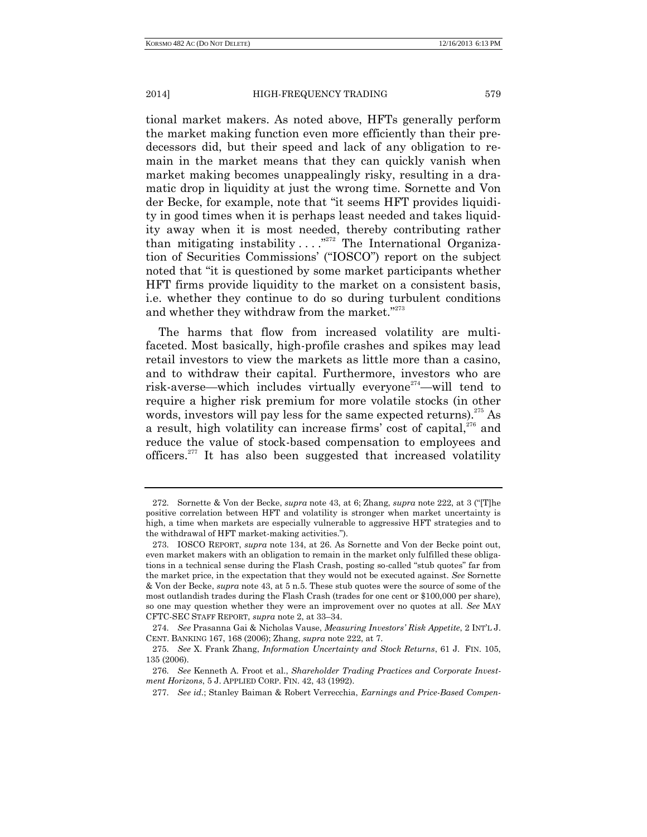tional market makers. As noted above, HFTs generally perform the market making function even more efficiently than their predecessors did, but their speed and lack of any obligation to remain in the market means that they can quickly vanish when market making becomes unappealingly risky, resulting in a dramatic drop in liquidity at just the wrong time. Sornette and Von der Becke, for example, note that "it seems HFT provides liquidity in good times when it is perhaps least needed and takes liquidity away when it is most needed, thereby contributing rather than mitigating instability  $\dots$ ."<sup>272</sup> The International Organization of Securities Commissions' ("IOSCO") report on the subject noted that "it is questioned by some market participants whether HFT firms provide liquidity to the market on a consistent basis, i.e. whether they continue to do so during turbulent conditions and whether they withdraw from the market."<sup>273</sup>

The harms that flow from increased volatility are multifaceted. Most basically, high-profile crashes and spikes may lead retail investors to view the markets as little more than a casino, and to withdraw their capital. Furthermore, investors who are risk-averse—which includes virtually everyone<sup> $^{274}$ </sup>—will tend to require a higher risk premium for more volatile stocks (in other words, investors will pay less for the same expected returns).<sup>275</sup> As a result, high volatility can increase firms' cost of capital.<sup>276</sup> and reduce the value of stock-based compensation to employees and officers.<sup>277</sup> It has also been suggested that increased volatility

<sup>272.</sup> Sornette & Von der Becke, *supra* note 43, at 6; Zhang, *supra* note 222, at 3 ("[T]he positive correlation between HFT and volatility is stronger when market uncertainty is high, a time when markets are especially vulnerable to aggressive HFT strategies and to the withdrawal of HFT market-making activities.").

<sup>273.</sup> IOSCO REPORT, *supra* note 134, at 26. As Sornette and Von der Becke point out, even market makers with an obligation to remain in the market only fulfilled these obligations in a technical sense during the Flash Crash, posting so-called "stub quotes" far from the market price, in the expectation that they would not be executed against. *See* Sornette & Von der Becke, *supra* note 43, at 5 n.5. These stub quotes were the source of some of the most outlandish trades during the Flash Crash (trades for one cent or \$100,000 per share), so one may question whether they were an improvement over no quotes at all. *See* MAY CFTC-SEC STAFF REPORT, *supra* note 2, at 33–34.

<sup>274.</sup> *See* Prasanna Gai & Nicholas Vause, *Measuring Investors' Risk Appetite*, 2 INT'L J. CENT. BANKING 167, 168 (2006); Zhang, *supra* note 222, at 7.

<sup>275.</sup> *See* X. Frank Zhang, *Information Uncertainty and Stock Returns*, 61 J. FIN. 105, 135 (2006).

<sup>276.</sup> *See* Kenneth A. Froot et al., *Shareholder Trading Practices and Corporate Investment Horizons*, 5 J. APPLIED CORP. FIN. 42, 43 (1992).

<sup>277.</sup> *See id*.; Stanley Baiman & Robert Verrecchia, *Earnings and Price-Based Compen-*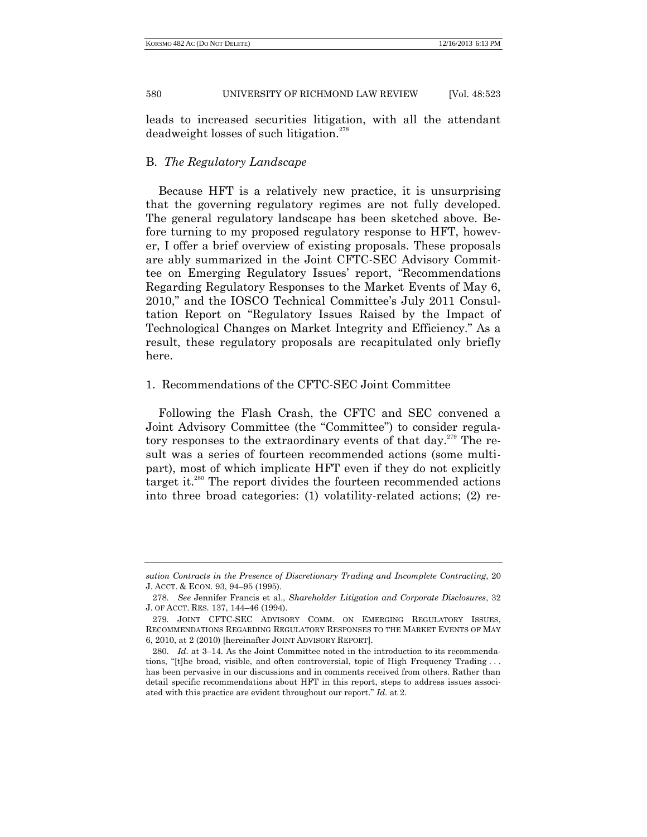leads to increased securities litigation, with all the attendant deadweight losses of such litigation.<sup>278</sup>

# B. *The Regulatory Landscape*

Because HFT is a relatively new practice, it is unsurprising that the governing regulatory regimes are not fully developed. The general regulatory landscape has been sketched above. Before turning to my proposed regulatory response to HFT, however, I offer a brief overview of existing proposals. These proposals are ably summarized in the Joint CFTC-SEC Advisory Committee on Emerging Regulatory Issues' report, "Recommendations Regarding Regulatory Responses to the Market Events of May 6, 2010," and the IOSCO Technical Committee's July 2011 Consultation Report on "Regulatory Issues Raised by the Impact of Technological Changes on Market Integrity and Efficiency." As a result, these regulatory proposals are recapitulated only briefly here.

## 1. Recommendations of the CFTC-SEC Joint Committee

Following the Flash Crash, the CFTC and SEC convened a Joint Advisory Committee (the "Committee") to consider regulatory responses to the extraordinary events of that day.<sup>279</sup> The result was a series of fourteen recommended actions (some multipart), most of which implicate HFT even if they do not explicitly target it.<sup>280</sup> The report divides the fourteen recommended actions into three broad categories: (1) volatility-related actions; (2) re-

*sation Contracts in the Presence of Discretionary Trading and Incomplete Contracting*, 20 J. ACCT. & ECON. 93, 94–95 (1995).

<sup>278.</sup> *See* Jennifer Francis et al., *Shareholder Litigation and Corporate Disclosures*, 32 J. OF ACCT. RES. 137, 144–46 (1994).

<sup>279.</sup> JOINT CFTC-SEC ADVISORY COMM. ON EMERGING REGULATORY ISSUES, RECOMMENDATIONS REGARDING REGULATORY RESPONSES TO THE MARKET EVENTS OF MAY 6, 2010, at 2 (2010) [hereinafter JOINT ADVISORY REPORT].

<sup>280.</sup> *Id*. at 3–14. As the Joint Committee noted in the introduction to its recommendations, "[t]he broad, visible, and often controversial, topic of High Frequency Trading . . . has been pervasive in our discussions and in comments received from others. Rather than detail specific recommendations about HFT in this report, steps to address issues associated with this practice are evident throughout our report." *Id*. at 2.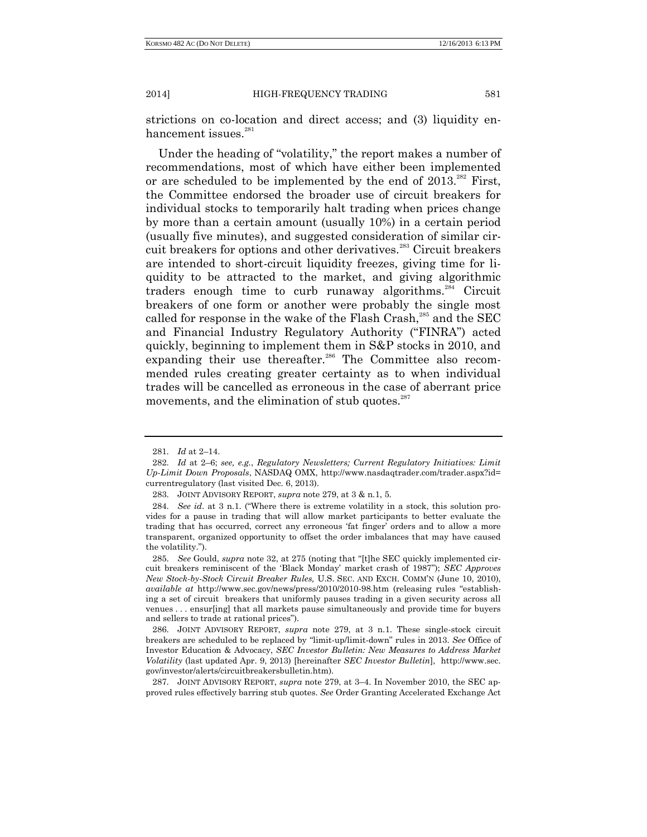strictions on co-location and direct access; and (3) liquidity enhancement issues.<sup>281</sup>

Under the heading of "volatility," the report makes a number of recommendations, most of which have either been implemented or are scheduled to be implemented by the end of  $2013^{282}$  First, the Committee endorsed the broader use of circuit breakers for individual stocks to temporarily halt trading when prices change by more than a certain amount (usually 10%) in a certain period (usually five minutes), and suggested consideration of similar circuit breakers for options and other derivatives.<sup>283</sup> Circuit breakers are intended to short-circuit liquidity freezes, giving time for liquidity to be attracted to the market, and giving algorithmic traders enough time to curb runaway algorithms.<sup>284</sup> Circuit breakers of one form or another were probably the single most called for response in the wake of the Flash Crash,<sup>285</sup> and the SEC and Financial Industry Regulatory Authority ("FINRA") acted quickly, beginning to implement them in S&P stocks in 2010, and expanding their use thereafter.<sup>286</sup> The Committee also recommended rules creating greater certainty as to when individual trades will be cancelled as erroneous in the case of aberrant price movements, and the elimination of stub quotes.<sup>287</sup>

<sup>281.</sup> *Id* at 2–14.

<sup>282.</sup> *Id* at 2–6; *see, e.g.*, *Regulatory Newsletters; Current Regulatory Initiatives: Limit Up-Limit Down Proposals*, NASDAQ OMX, http://www.nasdaqtrader.com/trader.aspx?id= currentregulatory (last visited Dec. 6, 2013).

<sup>283.</sup> JOINT ADVISORY REPORT, *supra* note 279, at 3 & n.1, 5.

<sup>284.</sup> *See id*. at 3 n.1. ("Where there is extreme volatility in a stock, this solution provides for a pause in trading that will allow market participants to better evaluate the trading that has occurred, correct any erroneous 'fat finger' orders and to allow a more transparent, organized opportunity to offset the order imbalances that may have caused the volatility.").

<sup>285.</sup> *See* Gould, *supra* note 32, at 275 (noting that "[t]he SEC quickly implemented circuit breakers reminiscent of the 'Black Monday' market crash of 1987"); *SEC Approves New Stock-by-Stock Circuit Breaker Rules,* U.S. SEC. AND EXCH. COMM'N (June 10, 2010), *available at* http://www.sec.gov/news/press/2010/2010-98.htm (releasing rules "establishing a set of circuit breakers that uniformly pauses trading in a given security across all venues . . . ensur[ing] that all markets pause simultaneously and provide time for buyers and sellers to trade at rational prices").

<sup>286.</sup> JOINT ADVISORY REPORT, *supra* note 279, at 3 n.1. These single-stock circuit breakers are scheduled to be replaced by "limit-up/limit-down" rules in 2013. *See* Office of Investor Education & Advocacy, *SEC Investor Bulletin: New Measures to Address Market Volatility* (last updated Apr. 9, 2013) [hereinafter *SEC Investor Bulletin*], http://www.sec. gov/investor/alerts/circuitbreakersbulletin.htm).

<sup>287.</sup> JOINT ADVISORY REPORT, *supra* note 279, at 3–4. In November 2010, the SEC approved rules effectively barring stub quotes. *See* Order Granting Accelerated Exchange Act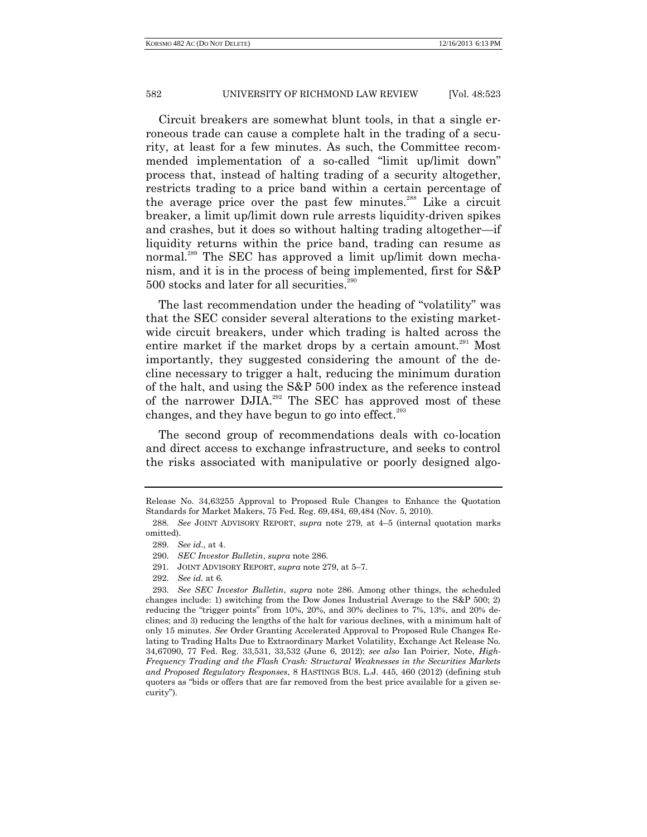Circuit breakers are somewhat blunt tools, in that a single erroneous trade can cause a complete halt in the trading of a security, at least for a few minutes. As such, the Committee recommended implementation of a so-called "limit up/limit down" process that, instead of halting trading of a security altogether, restricts trading to a price band within a certain percentage of the average price over the past few minutes.<sup>288</sup> Like a circuit breaker, a limit up/limit down rule arrests liquidity-driven spikes and crashes, but it does so without halting trading altogether—if liquidity returns within the price band, trading can resume as normal.<sup>289</sup> The SEC has approved a limit up/limit down mechanism, and it is in the process of being implemented, first for S&P  $500$  stocks and later for all securities.<sup>290</sup>

The last recommendation under the heading of "volatility" was that the SEC consider several alterations to the existing marketwide circuit breakers, under which trading is halted across the entire market if the market drops by a certain amount.<sup>291</sup> Most importantly, they suggested considering the amount of the decline necessary to trigger a halt, reducing the minimum duration of the halt, and using the S&P 500 index as the reference instead of the narrower DJIA.<sup>292</sup> The SEC has approved most of these changes, and they have begun to go into effect. $^{293}$ 

The second group of recommendations deals with co-location and direct access to exchange infrastructure, and seeks to control the risks associated with manipulative or poorly designed algo-

Release No. 34,63255 Approval to Proposed Rule Changes to Enhance the Quotation Standards for Market Makers, 75 Fed. Reg. 69,484, 69,484 (Nov. 5, 2010).

<sup>288.</sup> *See* JOINT ADVISORY REPORT, *supra* note 279, at 4–5 (internal quotation marks omitted).

<sup>289.</sup> *See id*., at 4.

<sup>290.</sup> *SEC Investor Bulletin*, *supra* note 286.

<sup>291.</sup> JOINT ADVISORY REPORT, *supra* note 279, at 5–7.

<sup>292.</sup> *See id.* at 6.

<sup>293.</sup> *See SEC Investor Bulletin*, *supra* note 286. Among other things, the scheduled changes include: 1) switching from the Dow Jones Industrial Average to the S&P 500; 2) reducing the "trigger points" from 10%, 20%, and 30% declines to 7%, 13%, and 20% declines; and 3) reducing the lengths of the halt for various declines, with a minimum halt of only 15 minutes. *See* Order Granting Accelerated Approval to Proposed Rule Changes Relating to Trading Halts Due to Extraordinary Market Volatility, Exchange Act Release No. 34,67090, 77 Fed. Reg. 33,531, 33,532 (June 6, 2012); *see also* Ian Poirier, Note, *High-Frequency Trading and the Flash Crash: Structural Weaknesses in the Securities Markets and Proposed Regulatory Responses*, 8 HASTINGS BUS. L.J. 445, 460 (2012) (defining stub quoters as "bids or offers that are far removed from the best price available for a given security").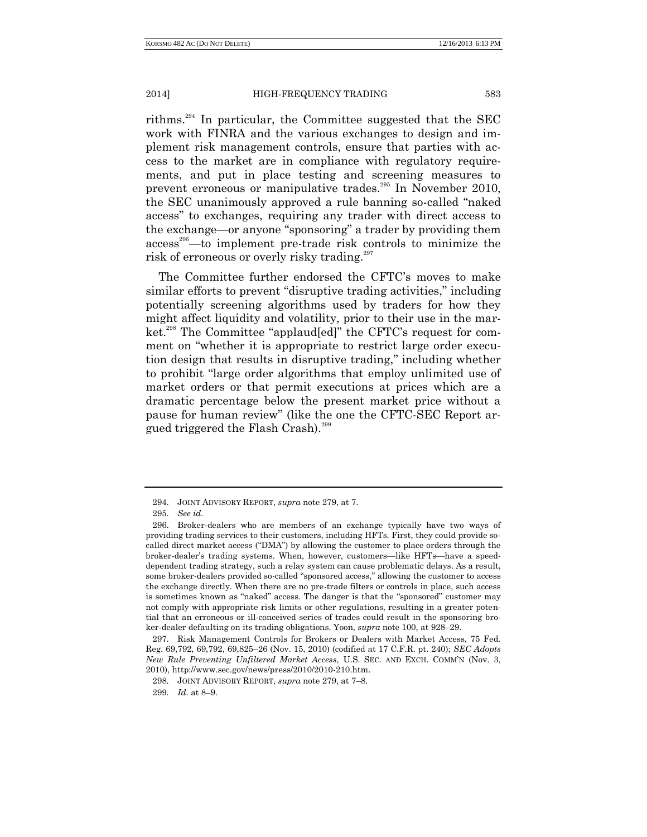rithms.<sup>294</sup> In particular, the Committee suggested that the SEC work with FINRA and the various exchanges to design and implement risk management controls, ensure that parties with access to the market are in compliance with regulatory requirements, and put in place testing and screening measures to prevent erroneous or manipulative trades.<sup>295</sup> In November 2010, the SEC unanimously approved a rule banning so-called "naked access" to exchanges, requiring any trader with direct access to the exchange—or anyone "sponsoring" a trader by providing them access <sup>296</sup>—to implement pre-trade risk controls to minimize the risk of erroneous or overly risky trading.<sup>297</sup>

The Committee further endorsed the CFTC's moves to make similar efforts to prevent "disruptive trading activities," including potentially screening algorithms used by traders for how they might affect liquidity and volatility, prior to their use in the market.<sup>298</sup> The Committee "applaud[ed]" the CFTC's request for comment on "whether it is appropriate to restrict large order execution design that results in disruptive trading," including whether to prohibit "large order algorithms that employ unlimited use of market orders or that permit executions at prices which are a dramatic percentage below the present market price without a pause for human review" (like the one the CFTC-SEC Report argued triggered the Flash Crash).<sup>299</sup>

<sup>294.</sup> JOINT ADVISORY REPORT, *supra* note 279, at 7.

<sup>295.</sup> *See id*.

<sup>296.</sup> Broker-dealers who are members of an exchange typically have two ways of providing trading services to their customers, including HFTs. First, they could provide socalled direct market access ("DMA") by allowing the customer to place orders through the broker-dealer's trading systems. When, however, customers—like HFTs—have a speeddependent trading strategy, such a relay system can cause problematic delays. As a result, some broker-dealers provided so-called "sponsored access," allowing the customer to access the exchange directly. When there are no pre-trade filters or controls in place, such access is sometimes known as "naked" access. The danger is that the "sponsored" customer may not comply with appropriate risk limits or other regulations, resulting in a greater potential that an erroneous or ill-conceived series of trades could result in the sponsoring broker-dealer defaulting on its trading obligations. Yoon, *supra* note 100, at 928–29.

<sup>297.</sup> Risk Management Controls for Brokers or Dealers with Market Access, 75 Fed. Reg. 69,792, 69,792, 69,825–26 (Nov. 15, 2010) (codified at 17 C.F.R. pt. 240); *SEC Adopts New Rule Preventing Unfiltered Market Access*, U.S. SEC. AND EXCH. COMM'N (Nov. 3, 2010), http://www.sec.gov/news/press/2010/2010-210.htm.

<sup>298.</sup> JOINT ADVISORY REPORT, *supra* note 279, at 7–8.

<sup>299.</sup> *Id*. at 8–9.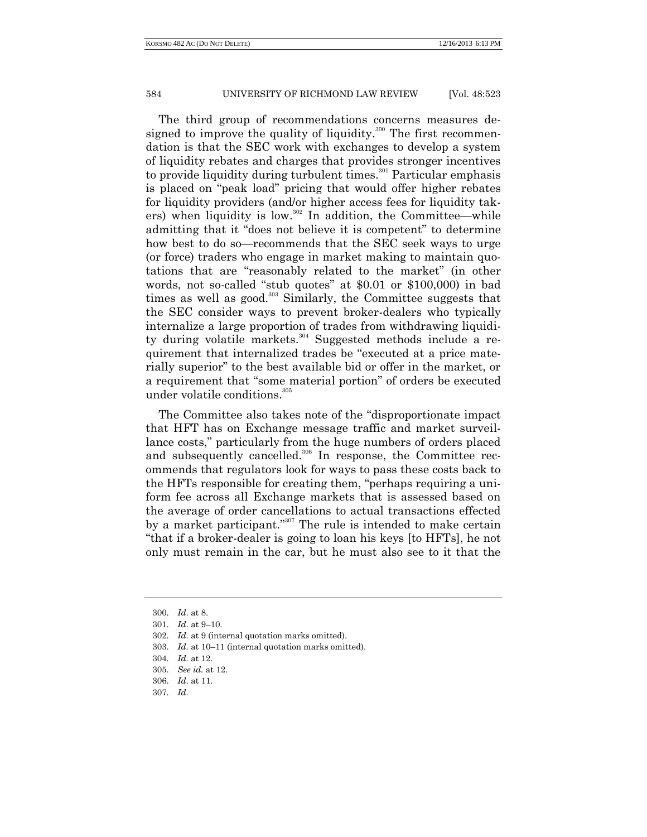The third group of recommendations concerns measures designed to improve the quality of liquidity.<sup>300</sup> The first recommendation is that the SEC work with exchanges to develop a system of liquidity rebates and charges that provides stronger incentives to provide liquidity during turbulent times.<sup>301</sup> Particular emphasis is placed on "peak load" pricing that would offer higher rebates for liquidity providers (and/or higher access fees for liquidity takers) when liquidity is low. $302$  In addition, the Committee—while admitting that it "does not believe it is competent" to determine how best to do so—recommends that the SEC seek ways to urge (or force) traders who engage in market making to maintain quotations that are "reasonably related to the market" (in other words, not so-called "stub quotes" at \$0.01 or \$100,000) in bad times as well as good. $303$  Similarly, the Committee suggests that the SEC consider ways to prevent broker-dealers who typically internalize a large proportion of trades from withdrawing liquidity during volatile markets.<sup>304</sup> Suggested methods include a requirement that internalized trades be "executed at a price materially superior" to the best available bid or offer in the market, or a requirement that "some material portion" of orders be executed under volatile conditions.<sup>305</sup>

The Committee also takes note of the "disproportionate impact that HFT has on Exchange message traffic and market surveillance costs," particularly from the huge numbers of orders placed and subsequently cancelled.<sup>306</sup> In response, the Committee recommends that regulators look for ways to pass these costs back to the HFTs responsible for creating them, "perhaps requiring a uniform fee across all Exchange markets that is assessed based on the average of order cancellations to actual transactions effected by a market participant."<sup>307</sup> The rule is intended to make certain "that if a broker-dealer is going to loan his keys [to HFTs], he not only must remain in the car, but he must also see to it that the

<sup>300.</sup> *Id*. at 8.

<sup>301.</sup> *Id*. at 9–10.

<sup>302.</sup> *Id*. at 9 (internal quotation marks omitted).

<sup>303.</sup> *Id*. at 10–11 (internal quotation marks omitted).

<sup>304.</sup> *Id*. at 12.

<sup>305.</sup> *See id.* at 12.

<sup>306.</sup> *Id*. at 11.

<sup>307.</sup> *Id*.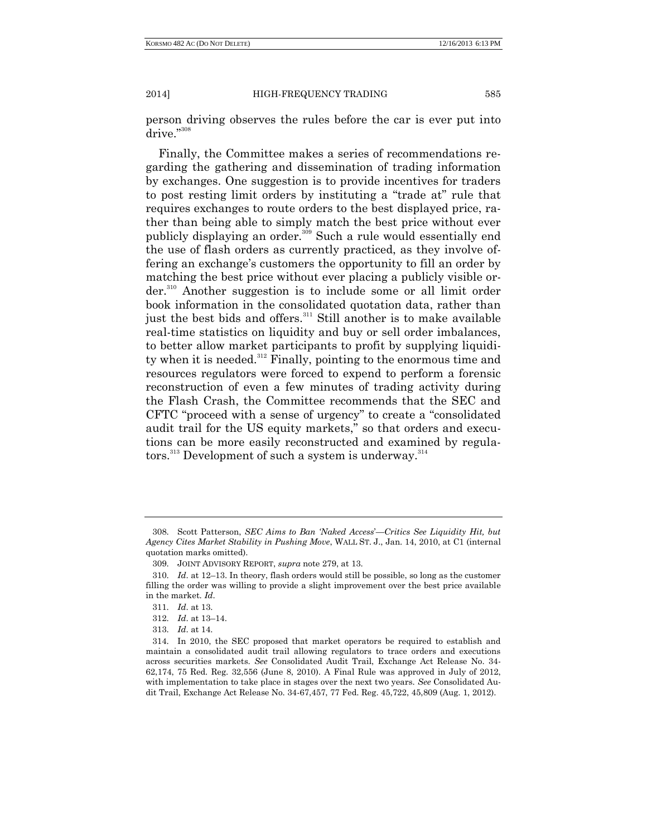person driving observes the rules before the car is ever put into drive."308

Finally, the Committee makes a series of recommendations regarding the gathering and dissemination of trading information by exchanges. One suggestion is to provide incentives for traders to post resting limit orders by instituting a "trade at" rule that requires exchanges to route orders to the best displayed price, rather than being able to simply match the best price without ever publicly displaying an order.<sup>309</sup> Such a rule would essentially end the use of flash orders as currently practiced, as they involve offering an exchange's customers the opportunity to fill an order by matching the best price without ever placing a publicly visible order.<sup>310</sup> Another suggestion is to include some or all limit order book information in the consolidated quotation data, rather than just the best bids and offers.<sup>311</sup> Still another is to make available real-time statistics on liquidity and buy or sell order imbalances, to better allow market participants to profit by supplying liquidity when it is needed.<sup>312</sup> Finally, pointing to the enormous time and resources regulators were forced to expend to perform a forensic reconstruction of even a few minutes of trading activity during the Flash Crash, the Committee recommends that the SEC and CFTC "proceed with a sense of urgency" to create a "consolidated audit trail for the US equity markets," so that orders and executions can be more easily reconstructed and examined by regula- $\text{tors.}^{\text{313}}$  Development of such a system is underway. $^{\text{314}}$ 

<sup>308.</sup> Scott Patterson, *SEC Aims to Ban 'Naked Access*'—*Critics See Liquidity Hit, but Agency Cites Market Stability in Pushing Move*, WALL ST. J., Jan. 14, 2010, at C1 (internal quotation marks omitted).

<sup>309.</sup> JOINT ADVISORY REPORT, *supra* note 279, at 13.

<sup>310.</sup> *Id*. at 12–13. In theory, flash orders would still be possible, so long as the customer filling the order was willing to provide a slight improvement over the best price available in the market. *Id*.

<sup>311.</sup> *Id*. at 13.

<sup>312.</sup> *Id*. at 13–14.

<sup>313.</sup> *Id*. at 14.

<sup>314.</sup> In 2010, the SEC proposed that market operators be required to establish and maintain a consolidated audit trail allowing regulators to trace orders and executions across securities markets. *See* Consolidated Audit Trail, Exchange Act Release No. 34- 62,174, 75 Red. Reg. 32,556 (June 8, 2010). A Final Rule was approved in July of 2012, with implementation to take place in stages over the next two years. *See* Consolidated Audit Trail, Exchange Act Release No. 34-67,457, 77 Fed. Reg. 45,722, 45,809 (Aug. 1, 2012).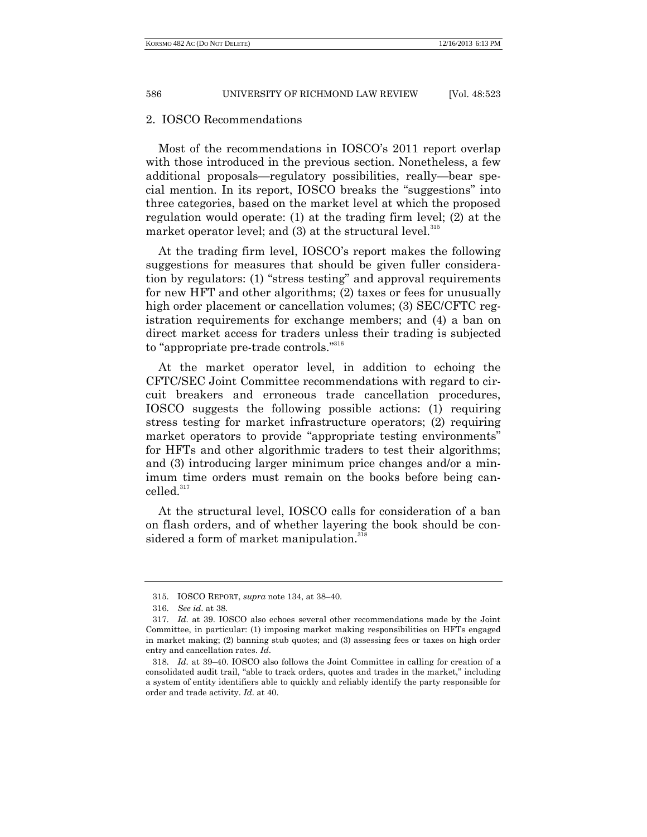#### 2. IOSCO Recommendations

Most of the recommendations in IOSCO's 2011 report overlap with those introduced in the previous section. Nonetheless, a few additional proposals—regulatory possibilities, really—bear special mention. In its report, IOSCO breaks the "suggestions" into three categories, based on the market level at which the proposed regulation would operate: (1) at the trading firm level; (2) at the market operator level; and  $(3)$  at the structural level.<sup>315</sup>

At the trading firm level, IOSCO's report makes the following suggestions for measures that should be given fuller consideration by regulators: (1) "stress testing" and approval requirements for new HFT and other algorithms; (2) taxes or fees for unusually high order placement or cancellation volumes; (3) SEC/CFTC registration requirements for exchange members; and (4) a ban on direct market access for traders unless their trading is subjected to "appropriate pre-trade controls."<sup>316</sup>

At the market operator level, in addition to echoing the CFTC/SEC Joint Committee recommendations with regard to circuit breakers and erroneous trade cancellation procedures, IOSCO suggests the following possible actions: (1) requiring stress testing for market infrastructure operators; (2) requiring market operators to provide "appropriate testing environments" for HFTs and other algorithmic traders to test their algorithms; and (3) introducing larger minimum price changes and/or a minimum time orders must remain on the books before being cancelled.<sup>317</sup>

At the structural level, IOSCO calls for consideration of a ban on flash orders, and of whether layering the book should be considered a form of market manipulation.<sup>318</sup>

<sup>315.</sup> IOSCO REPORT, *supra* note 134, at 38–40.

<sup>316.</sup> *See id*. at 38.

<sup>317.</sup> *Id*. at 39. IOSCO also echoes several other recommendations made by the Joint Committee, in particular: (1) imposing market making responsibilities on HFTs engaged in market making; (2) banning stub quotes; and (3) assessing fees or taxes on high order entry and cancellation rates. *Id*.

<sup>318.</sup> *Id*. at 39–40. IOSCO also follows the Joint Committee in calling for creation of a consolidated audit trail, "able to track orders, quotes and trades in the market," including a system of entity identifiers able to quickly and reliably identify the party responsible for order and trade activity. *Id*. at 40.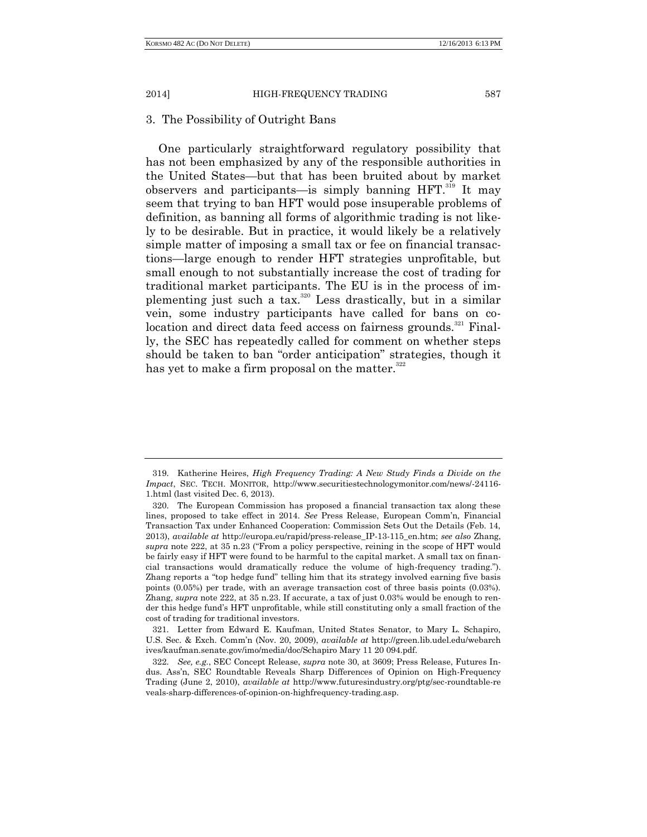## 3. The Possibility of Outright Bans

One particularly straightforward regulatory possibility that has not been emphasized by any of the responsible authorities in the United States—but that has been bruited about by market observers and participants—is simply banning HFT.<sup>319</sup> It may seem that trying to ban HFT would pose insuperable problems of definition, as banning all forms of algorithmic trading is not likely to be desirable. But in practice, it would likely be a relatively simple matter of imposing a small tax or fee on financial transactions—large enough to render HFT strategies unprofitable, but small enough to not substantially increase the cost of trading for traditional market participants. The EU is in the process of implementing just such a tax.<sup>320</sup> Less drastically, but in a similar vein, some industry participants have called for bans on colocation and direct data feed access on fairness grounds.<sup>321</sup> Finally, the SEC has repeatedly called for comment on whether steps should be taken to ban "order anticipation" strategies, though it has yet to make a firm proposal on the matter. $322$ 

<sup>319.</sup> Katherine Heires, *High Frequency Trading: A New Study Finds a Divide on the Impact*, SEC. TECH. MONITOR, http://www.securitiestechnologymonitor.com/news/-24116- 1.html (last visited Dec. 6, 2013).

<sup>320.</sup> The European Commission has proposed a financial transaction tax along these lines, proposed to take effect in 2014. *See* Press Release, European Comm'n, Financial Transaction Tax under Enhanced Cooperation: Commission Sets Out the Details (Feb. 14, 2013), *available at* http://europa.eu/rapid/press-release\_IP-13-115\_en.htm; *see also* Zhang, *supra* note 222, at 35 n.23 ("From a policy perspective, reining in the scope of HFT would be fairly easy if HFT were found to be harmful to the capital market. A small tax on financial transactions would dramatically reduce the volume of high-frequency trading."). Zhang reports a "top hedge fund" telling him that its strategy involved earning five basis points (0.05%) per trade, with an average transaction cost of three basis points (0.03%). Zhang, *supra* note 222, at 35 n.23. If accurate, a tax of just 0.03% would be enough to render this hedge fund's HFT unprofitable, while still constituting only a small fraction of the cost of trading for traditional investors.

<sup>321.</sup> Letter from Edward E. Kaufman, United States Senator, to Mary L. Schapiro, U.S. Sec. & Exch. Comm'n (Nov. 20, 2009), *available at* http://green.lib.udel.edu/webarch ives/kaufman.senate.gov/imo/media/doc/Schapiro Mary 11 20 094.pdf.

<sup>322.</sup> *See, e.g.*, SEC Concept Release, *supra* note 30, at 3609; Press Release, Futures Indus. Ass'n, SEC Roundtable Reveals Sharp Differences of Opinion on High-Frequency Trading (June 2, 2010), *available at* http://www.futuresindustry.org/ptg/sec-roundtable-re veals-sharp-differences-of-opinion-on-highfrequency-trading.asp.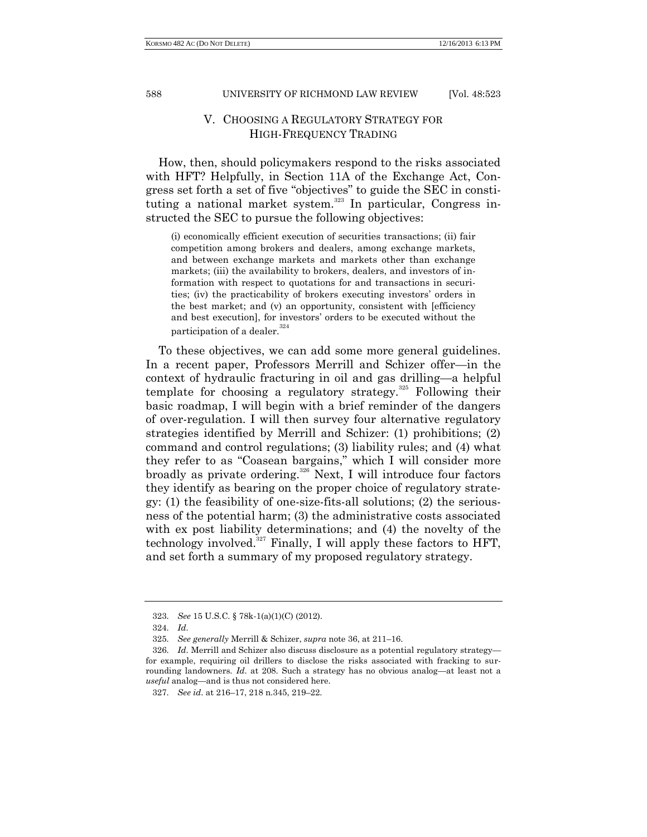# V. CHOOSING A REGULATORY STRATEGY FOR HIGH-FREQUENCY TRADING

How, then, should policymakers respond to the risks associated with HFT? Helpfully, in Section 11A of the Exchange Act, Congress set forth a set of five "objectives" to guide the SEC in constituting a national market system. $323$  In particular, Congress instructed the SEC to pursue the following objectives:

(i) economically efficient execution of securities transactions; (ii) fair competition among brokers and dealers, among exchange markets, and between exchange markets and markets other than exchange markets; (iii) the availability to brokers, dealers, and investors of information with respect to quotations for and transactions in securities; (iv) the practicability of brokers executing investors' orders in the best market; and (v) an opportunity, consistent with [efficiency and best execution], for investors' orders to be executed without the participation of a dealer.  $\real^{324}$ 

To these objectives, we can add some more general guidelines. In a recent paper, Professors Merrill and Schizer offer—in the context of hydraulic fracturing in oil and gas drilling—a helpful template for choosing a regulatory strategy.<sup>325</sup> Following their basic roadmap, I will begin with a brief reminder of the dangers of over-regulation. I will then survey four alternative regulatory strategies identified by Merrill and Schizer: (1) prohibitions; (2) command and control regulations; (3) liability rules; and (4) what they refer to as "Coasean bargains," which I will consider more broadly as private ordering.<sup>326</sup> Next, I will introduce four factors they identify as bearing on the proper choice of regulatory strategy: (1) the feasibility of one-size-fits-all solutions; (2) the seriousness of the potential harm; (3) the administrative costs associated with ex post liability determinations; and (4) the novelty of the technology involved.<sup>327</sup> Finally, I will apply these factors to HFT, and set forth a summary of my proposed regulatory strategy.

<sup>323.</sup> *See* 15 U.S.C. § 78k-1(a)(1)(C) (2012).

<sup>324.</sup> *Id*.

<sup>325.</sup> *See generally* Merrill & Schizer, *supra* note 36, at 211–16.

<sup>326.</sup> *Id*. Merrill and Schizer also discuss disclosure as a potential regulatory strategy for example, requiring oil drillers to disclose the risks associated with fracking to surrounding landowners. *Id*. at 208. Such a strategy has no obvious analog—at least not a *useful* analog—and is thus not considered here.

<sup>327.</sup> *See id*. at 216–17, 218 n.345, 219–22.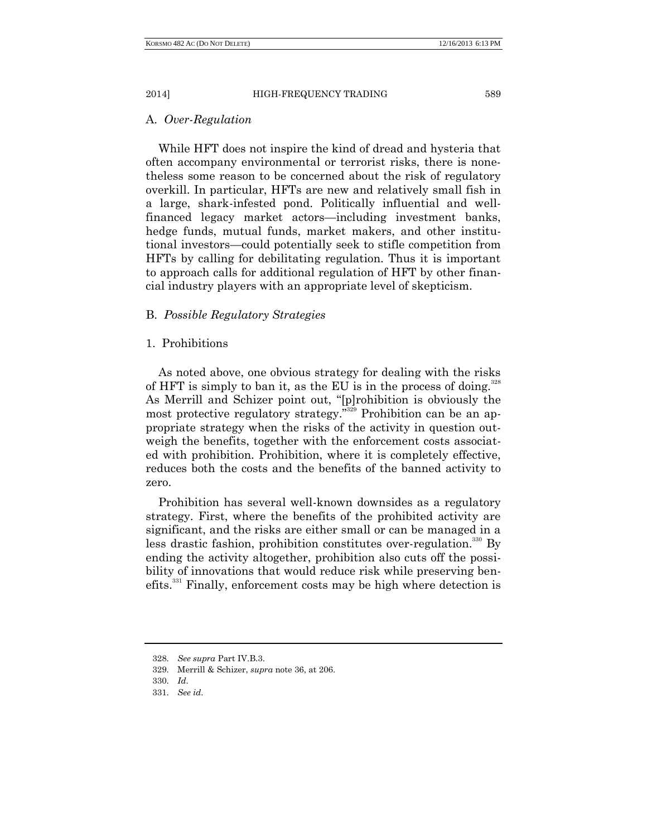## A. *Over-Regulation*

While HFT does not inspire the kind of dread and hysteria that often accompany environmental or terrorist risks, there is nonetheless some reason to be concerned about the risk of regulatory overkill. In particular, HFTs are new and relatively small fish in a large, shark-infested pond. Politically influential and wellfinanced legacy market actors—including investment banks, hedge funds, mutual funds, market makers, and other institutional investors—could potentially seek to stifle competition from HFTs by calling for debilitating regulation. Thus it is important to approach calls for additional regulation of HFT by other financial industry players with an appropriate level of skepticism.

# B. *Possible Regulatory Strategies*

# 1. Prohibitions

As noted above, one obvious strategy for dealing with the risks of HFT is simply to ban it, as the EU is in the process of doing.<sup>328</sup> As Merrill and Schizer point out, "[p]rohibition is obviously the most protective regulatory strategy." <sup>329</sup> Prohibition can be an appropriate strategy when the risks of the activity in question outweigh the benefits, together with the enforcement costs associated with prohibition. Prohibition, where it is completely effective, reduces both the costs and the benefits of the banned activity to zero.

Prohibition has several well-known downsides as a regulatory strategy. First, where the benefits of the prohibited activity are significant, and the risks are either small or can be managed in a less drastic fashion, prohibition constitutes over-regulation.<sup>330</sup> By ending the activity altogether, prohibition also cuts off the possibility of innovations that would reduce risk while preserving benefits.<sup>331</sup> Finally, enforcement costs may be high where detection is

<sup>328.</sup> *See supra* Part IV.B.3.

<sup>329.</sup> Merrill & Schizer, *supra* note 36, at 206.

<sup>330.</sup> *Id*.

<sup>331.</sup> *See id*.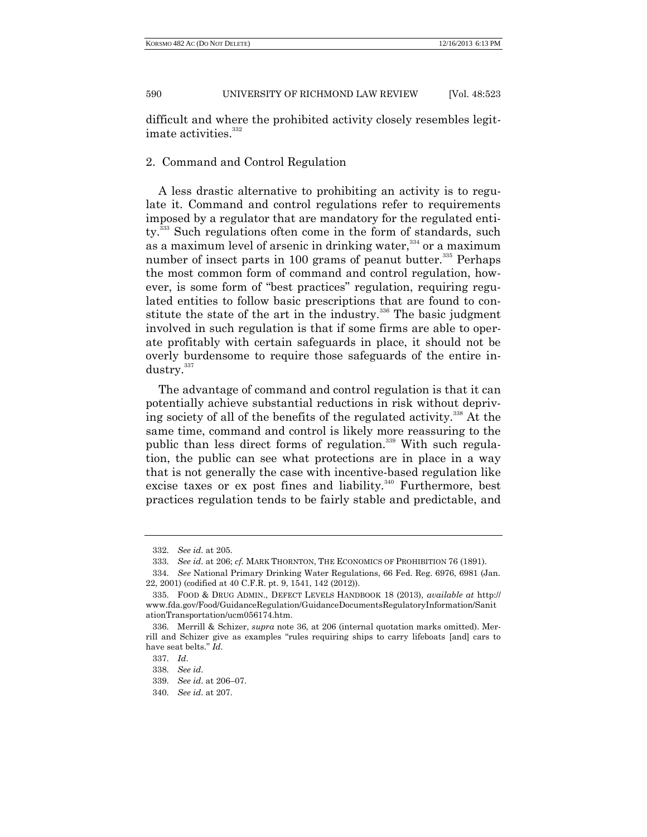difficult and where the prohibited activity closely resembles legitimate activities.<sup>332</sup>

# 2. Command and Control Regulation

A less drastic alternative to prohibiting an activity is to regulate it. Command and control regulations refer to requirements imposed by a regulator that are mandatory for the regulated entity.<sup>333</sup> Such regulations often come in the form of standards, such as a maximum level of arsenic in drinking water,<sup>334</sup> or a maximum number of insect parts in 100 grams of peanut butter. $335$  Perhaps the most common form of command and control regulation, however, is some form of "best practices" regulation, requiring regulated entities to follow basic prescriptions that are found to constitute the state of the art in the industry.<sup>336</sup> The basic judgment involved in such regulation is that if some firms are able to operate profitably with certain safeguards in place, it should not be overly burdensome to require those safeguards of the entire industry.<sup>337</sup>

The advantage of command and control regulation is that it can potentially achieve substantial reductions in risk without depriving society of all of the benefits of the regulated activity.<sup>338</sup> At the same time, command and control is likely more reassuring to the public than less direct forms of regulation.<sup>339</sup> With such regulation, the public can see what protections are in place in a way that is not generally the case with incentive-based regulation like excise taxes or ex post fines and liability.<sup>340</sup> Furthermore, best practices regulation tends to be fairly stable and predictable, and

339. *See id*. at 206–07.

<sup>332.</sup> *See id*. at 205.

<sup>333.</sup> *See id*. at 206; *cf.* MARK THORNTON, THE ECONOMICS OF PROHIBITION 76 (1891).

<sup>334.</sup> *See* National Primary Drinking Water Regulations, 66 Fed. Reg. 6976, 6981 (Jan. 22, 2001) (codified at 40 C.F.R. pt. 9, 1541, 142 (2012)).

<sup>335.</sup> FOOD & DRUG ADMIN., DEFECT LEVELS HANDBOOK 18 (2013), *available at* http:// www.fda.gov/Food/GuidanceRegulation/GuidanceDocumentsRegulatoryInformation/Sanit ationTransportation/ucm056174.htm.

<sup>336.</sup> Merrill & Schizer, *supra* note 36, at 206 (internal quotation marks omitted). Merrill and Schizer give as examples "rules requiring ships to carry lifeboats [and] cars to have seat belts." *Id.*

<sup>337.</sup> *Id*.

<sup>338.</sup> *See id*.

<sup>340.</sup> *See id*. at 207.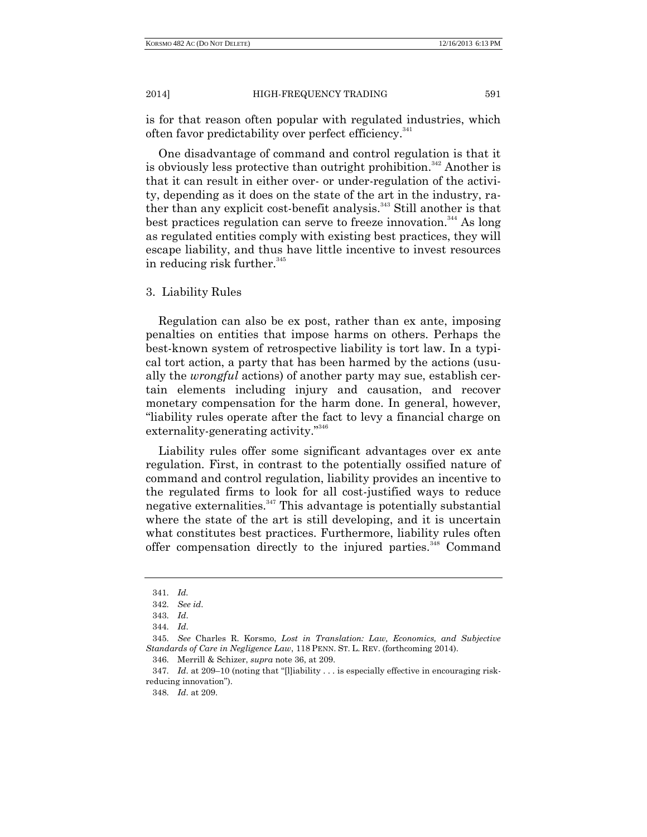is for that reason often popular with regulated industries, which often favor predictability over perfect efficiency.<sup>341</sup>

One disadvantage of command and control regulation is that it is obviously less protective than outright prohibition. $342$  Another is that it can result in either over- or under-regulation of the activity, depending as it does on the state of the art in the industry, rather than any explicit cost-benefit analysis.<sup>343</sup> Still another is that best practices regulation can serve to freeze innovation.<sup>344</sup> As long as regulated entities comply with existing best practices, they will escape liability, and thus have little incentive to invest resources in reducing risk further.<sup>345</sup>

### 3. Liability Rules

Regulation can also be ex post, rather than ex ante, imposing penalties on entities that impose harms on others. Perhaps the best-known system of retrospective liability is tort law. In a typical tort action, a party that has been harmed by the actions (usually the *wrongful* actions) of another party may sue, establish certain elements including injury and causation, and recover monetary compensation for the harm done. In general, however, "liability rules operate after the fact to levy a financial charge on externality-generating activity."<sup>346</sup>

Liability rules offer some significant advantages over ex ante regulation. First, in contrast to the potentially ossified nature of command and control regulation, liability provides an incentive to the regulated firms to look for all cost-justified ways to reduce negative externalities. $347$  This advantage is potentially substantial where the state of the art is still developing, and it is uncertain what constitutes best practices. Furthermore, liability rules often offer compensation directly to the injured parties.<sup>348</sup> Command

346. Merrill & Schizer, *supra* note 36, at 209.

<sup>341.</sup> *Id.*

<sup>342.</sup> *See id*.

<sup>343.</sup> *Id*.

<sup>344.</sup> *Id*.

<sup>345.</sup> *See* Charles R. Korsmo, *Lost in Translation: Law, Economics, and Subjective Standards of Care in Negligence Law*, 118 PENN. ST. L. REV. (forthcoming 2014).

<sup>347.</sup> *Id*. at 209–10 (noting that "[l]iability . . . is especially effective in encouraging riskreducing innovation").

<sup>348.</sup> *Id*. at 209.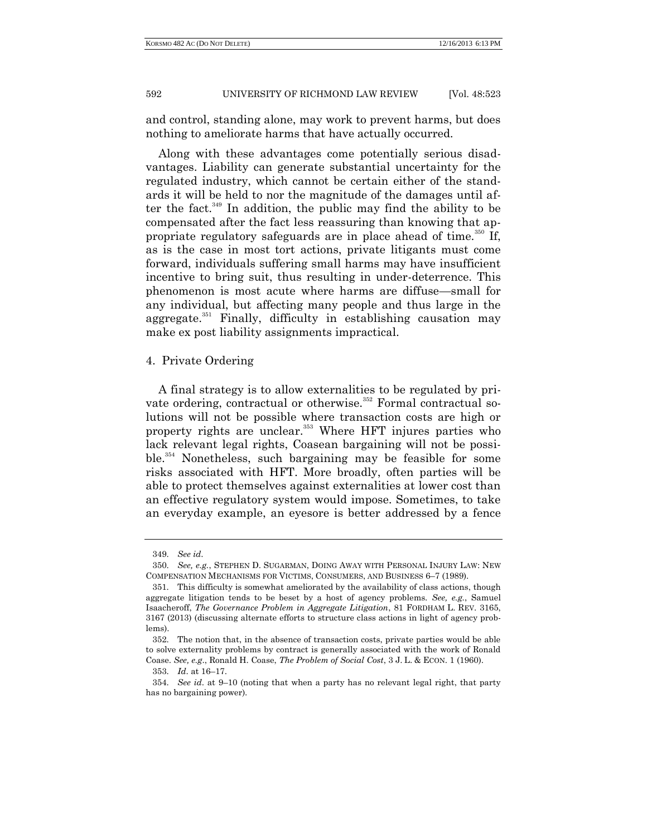and control, standing alone, may work to prevent harms, but does nothing to ameliorate harms that have actually occurred.

Along with these advantages come potentially serious disadvantages. Liability can generate substantial uncertainty for the regulated industry, which cannot be certain either of the standards it will be held to nor the magnitude of the damages until after the fact.<sup>349</sup> In addition, the public may find the ability to be compensated after the fact less reassuring than knowing that appropriate regulatory safeguards are in place ahead of time.<sup>350</sup> If, as is the case in most tort actions, private litigants must come forward, individuals suffering small harms may have insufficient incentive to bring suit, thus resulting in under-deterrence. This phenomenon is most acute where harms are diffuse—small for any individual, but affecting many people and thus large in the aggregate.<sup>351</sup> Finally, difficulty in establishing causation may make ex post liability assignments impractical.

# 4. Private Ordering

A final strategy is to allow externalities to be regulated by private ordering, contractual or otherwise.<sup>352</sup> Formal contractual solutions will not be possible where transaction costs are high or property rights are unclear.<sup>353</sup> Where HFT injures parties who lack relevant legal rights, Coasean bargaining will not be possible.<sup>354</sup> Nonetheless, such bargaining may be feasible for some risks associated with HFT. More broadly, often parties will be able to protect themselves against externalities at lower cost than an effective regulatory system would impose. Sometimes, to take an everyday example, an eyesore is better addressed by a fence

<sup>349.</sup> *See id*.

<sup>350.</sup> *See, e.g.*, STEPHEN D. SUGARMAN, DOING AWAY WITH PERSONAL INJURY LAW: NEW COMPENSATION MECHANISMS FOR VICTIMS, CONSUMERS, AND BUSINESS 6–7 (1989).

<sup>351.</sup> This difficulty is somewhat ameliorated by the availability of class actions, though aggregate litigation tends to be beset by a host of agency problems. *See, e.g.*, Samuel Isaacheroff, *The Governance Problem in Aggregate Litigation*, 81 FORDHAM L. REV. 3165, 3167 (2013) (discussing alternate efforts to structure class actions in light of agency problems).

<sup>352.</sup> The notion that, in the absence of transaction costs, private parties would be able to solve externality problems by contract is generally associated with the work of Ronald Coase. *See, e.g*., Ronald H. Coase, *The Problem of Social Cost*, 3 J. L. & ECON. 1 (1960).

<sup>353.</sup> *Id*. at 16–17.

<sup>354.</sup> *See id*. at 9–10 (noting that when a party has no relevant legal right, that party has no bargaining power).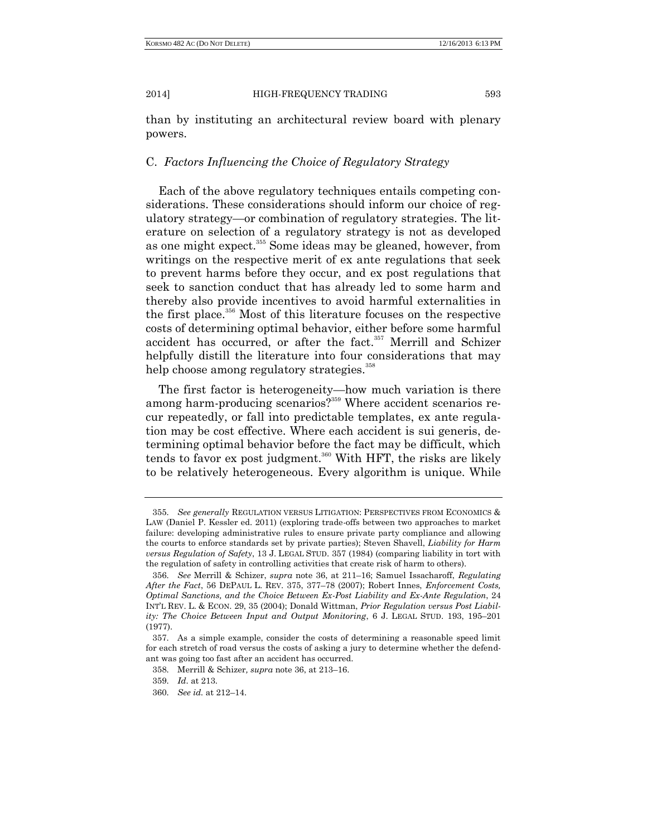than by instituting an architectural review board with plenary powers.

# C. *Factors Influencing the Choice of Regulatory Strategy*

Each of the above regulatory techniques entails competing considerations. These considerations should inform our choice of regulatory strategy—or combination of regulatory strategies. The literature on selection of a regulatory strategy is not as developed as one might expect.<sup>355</sup> Some ideas may be gleaned, however, from writings on the respective merit of ex ante regulations that seek to prevent harms before they occur, and ex post regulations that seek to sanction conduct that has already led to some harm and thereby also provide incentives to avoid harmful externalities in the first place.<sup>356</sup> Most of this literature focuses on the respective costs of determining optimal behavior, either before some harmful accident has occurred, or after the fact.<sup>357</sup> Merrill and Schizer helpfully distill the literature into four considerations that may help choose among regulatory strategies.<sup>358</sup>

The first factor is heterogeneity—how much variation is there among harm-producing scenarios?<sup>359</sup> Where accident scenarios recur repeatedly, or fall into predictable templates, ex ante regulation may be cost effective. Where each accident is sui generis, determining optimal behavior before the fact may be difficult, which tends to favor ex post judgment.<sup>360</sup> With HFT, the risks are likely to be relatively heterogeneous. Every algorithm is unique. While

<sup>355.</sup> *See generally* REGULATION VERSUS LITIGATION: PERSPECTIVES FROM ECONOMICS & LAW (Daniel P. Kessler ed. 2011) (exploring trade-offs between two approaches to market failure: developing administrative rules to ensure private party compliance and allowing the courts to enforce standards set by private parties); Steven Shavell, *Liability for Harm versus Regulation of Safety*, 13 J. LEGAL STUD. 357 (1984) (comparing liability in tort with the regulation of safety in controlling activities that create risk of harm to others).

<sup>356.</sup> *See* Merrill & Schizer, *supra* note 36, at 211–16; Samuel Issacharoff, *Regulating After the Fact*, 56 DEPAUL L. REV. 375, 377–78 (2007); Robert Innes, *Enforcement Costs, Optimal Sanctions, and the Choice Between Ex-Post Liability and Ex-Ante Regulation*, 24 INT'L REV. L. & ECON. 29, 35 (2004); Donald Wittman, *Prior Regulation versus Post Liability: The Choice Between Input and Output Monitoring*, 6 J. LEGAL STUD. 193, 195–201 (1977).

<sup>357.</sup> As a simple example, consider the costs of determining a reasonable speed limit for each stretch of road versus the costs of asking a jury to determine whether the defendant was going too fast after an accident has occurred.

<sup>358.</sup> Merrill & Schizer*, supra* note 36, at 213–16.

<sup>359.</sup> *Id*. at 213.

<sup>360.</sup> *See id.* at 212–14.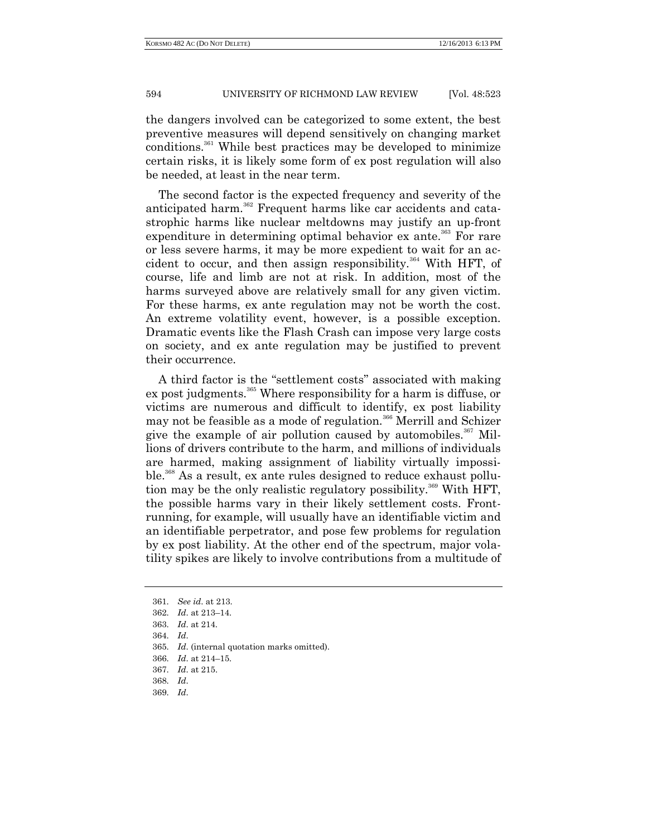the dangers involved can be categorized to some extent, the best preventive measures will depend sensitively on changing market conditions.<sup>361</sup> While best practices may be developed to minimize certain risks, it is likely some form of ex post regulation will also be needed, at least in the near term.

The second factor is the expected frequency and severity of the anticipated harm.<sup>362</sup> Frequent harms like car accidents and catastrophic harms like nuclear meltdowns may justify an up-front expenditure in determining optimal behavior ex ante.<sup>363</sup> For rare or less severe harms, it may be more expedient to wait for an accident to occur, and then assign responsibility.<sup>364</sup> With HFT, of course, life and limb are not at risk. In addition, most of the harms surveyed above are relatively small for any given victim. For these harms, ex ante regulation may not be worth the cost. An extreme volatility event, however, is a possible exception. Dramatic events like the Flash Crash can impose very large costs on society, and ex ante regulation may be justified to prevent their occurrence.

A third factor is the "settlement costs" associated with making ex post judgments.<sup>365</sup> Where responsibility for a harm is diffuse, or victims are numerous and difficult to identify, ex post liability may not be feasible as a mode of regulation.<sup>366</sup> Merrill and Schizer give the example of air pollution caused by automobiles.<sup>367</sup> Millions of drivers contribute to the harm, and millions of individuals are harmed, making assignment of liability virtually impossible.<sup>368</sup> As a result, ex ante rules designed to reduce exhaust pollution may be the only realistic regulatory possibility.<sup>369</sup> With HFT, the possible harms vary in their likely settlement costs. Frontrunning, for example, will usually have an identifiable victim and an identifiable perpetrator, and pose few problems for regulation by ex post liability. At the other end of the spectrum, major volatility spikes are likely to involve contributions from a multitude of

364. *Id*.

<sup>361.</sup> *See id*. at 213.

<sup>362.</sup> *Id*. at 213–14.

<sup>363.</sup> *Id*. at 214.

<sup>365.</sup> *Id*. (internal quotation marks omitted).

<sup>366.</sup> *Id*. at 214–15.

<sup>367.</sup> *Id*. at 215.

<sup>368.</sup> *Id*.

<sup>369.</sup> *Id*.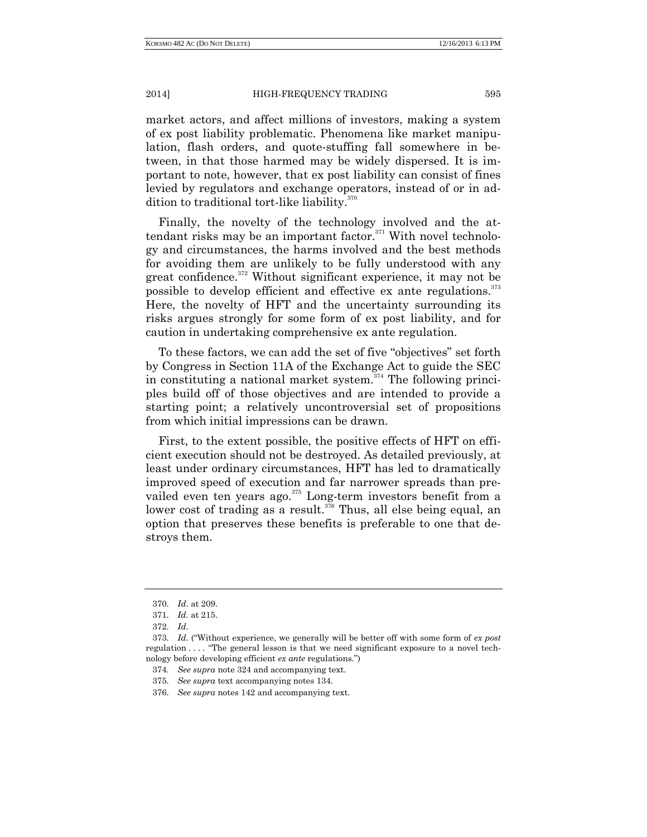market actors, and affect millions of investors, making a system of ex post liability problematic. Phenomena like market manipulation, flash orders, and quote-stuffing fall somewhere in between, in that those harmed may be widely dispersed. It is important to note, however, that ex post liability can consist of fines levied by regulators and exchange operators, instead of or in addition to traditional tort-like liability.<sup>370</sup>

Finally, the novelty of the technology involved and the attendant risks may be an important factor.<sup>371</sup> With novel technology and circumstances, the harms involved and the best methods for avoiding them are unlikely to be fully understood with any great confidence.<sup>372</sup> Without significant experience, it may not be possible to develop efficient and effective ex ante regulations.<sup>373</sup> Here, the novelty of HFT and the uncertainty surrounding its risks argues strongly for some form of ex post liability, and for caution in undertaking comprehensive ex ante regulation.

To these factors, we can add the set of five "objectives" set forth by Congress in Section 11A of the Exchange Act to guide the SEC in constituting a national market system. $374$  The following principles build off of those objectives and are intended to provide a starting point; a relatively uncontroversial set of propositions from which initial impressions can be drawn.

First, to the extent possible, the positive effects of HFT on efficient execution should not be destroyed. As detailed previously, at least under ordinary circumstances, HFT has led to dramatically improved speed of execution and far narrower spreads than prevailed even ten years ago.<sup>375</sup> Long-term investors benefit from a lower cost of trading as a result.<sup> $376$ </sup> Thus, all else being equal, an option that preserves these benefits is preferable to one that destroys them.

<sup>370.</sup> *Id*. at 209.

<sup>371.</sup> *Id.* at 215.

<sup>372.</sup> *Id*.

<sup>373.</sup> *Id*. ("Without experience, we generally will be better off with some form of *ex post* regulation . . . . "The general lesson is that we need significant exposure to a novel technology before developing efficient *ex ante* regulations.")

<sup>374.</sup> *See supra* note 324 and accompanying text.

<sup>375.</sup> *See supra* text accompanying notes 134.

<sup>376.</sup> *See supra* notes 142 and accompanying text.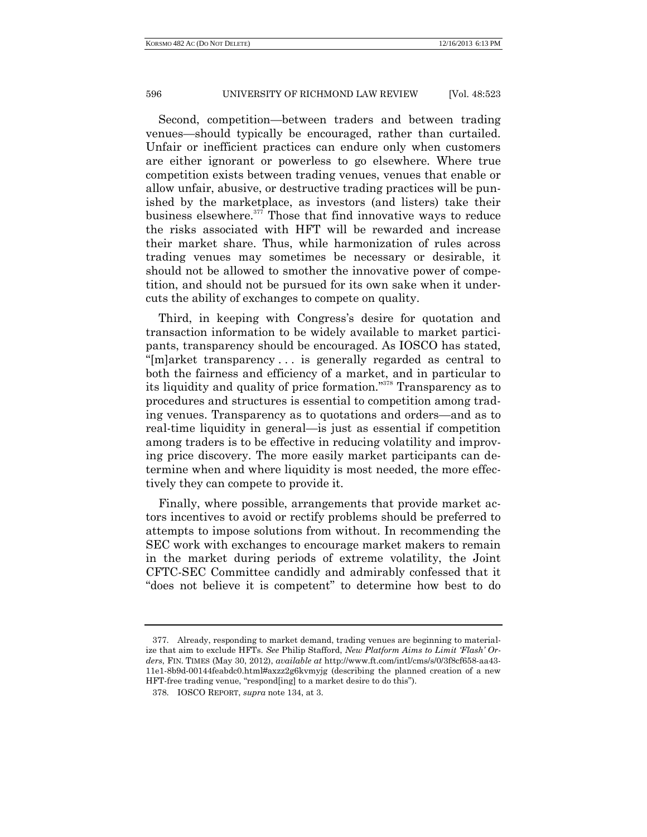Second, competition—between traders and between trading venues—should typically be encouraged, rather than curtailed. Unfair or inefficient practices can endure only when customers are either ignorant or powerless to go elsewhere. Where true competition exists between trading venues, venues that enable or allow unfair, abusive, or destructive trading practices will be punished by the marketplace, as investors (and listers) take their business elsewhere.<sup>377</sup> Those that find innovative ways to reduce the risks associated with HFT will be rewarded and increase their market share. Thus, while harmonization of rules across trading venues may sometimes be necessary or desirable, it should not be allowed to smother the innovative power of competition, and should not be pursued for its own sake when it undercuts the ability of exchanges to compete on quality.

Third, in keeping with Congress's desire for quotation and transaction information to be widely available to market participants, transparency should be encouraged. As IOSCO has stated, "[m]arket transparency . . . is generally regarded as central to both the fairness and efficiency of a market, and in particular to its liquidity and quality of price formation." <sup>378</sup> Transparency as to procedures and structures is essential to competition among trading venues. Transparency as to quotations and orders—and as to real-time liquidity in general—is just as essential if competition among traders is to be effective in reducing volatility and improving price discovery. The more easily market participants can determine when and where liquidity is most needed, the more effectively they can compete to provide it.

Finally, where possible, arrangements that provide market actors incentives to avoid or rectify problems should be preferred to attempts to impose solutions from without. In recommending the SEC work with exchanges to encourage market makers to remain in the market during periods of extreme volatility, the Joint CFTC-SEC Committee candidly and admirably confessed that it "does not believe it is competent" to determine how best to do

<sup>377.</sup> Already, responding to market demand, trading venues are beginning to materialize that aim to exclude HFTs. *See* Philip Stafford, *New Platform Aims to Limit 'Flash' Orders*, FIN. TIMES (May 30, 2012), *available at* http://www.ft.com/intl/cms/s/0/3f8cf658-aa43- 11e1-8b9d-00144feabdc0.html#axzz2g6kvmyjg (describing the planned creation of a new HFT-free trading venue, "respond[ing] to a market desire to do this").

<sup>378.</sup> IOSCO REPORT, *supra* note 134, at 3.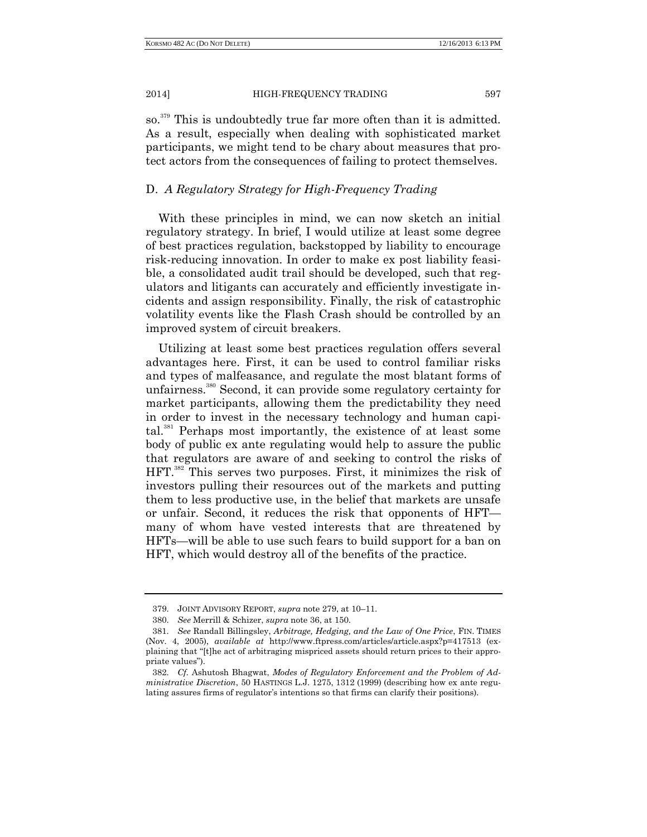so.<sup>379</sup> This is undoubtedly true far more often than it is admitted. As a result, especially when dealing with sophisticated market participants, we might tend to be chary about measures that protect actors from the consequences of failing to protect themselves.

# D. *A Regulatory Strategy for High-Frequency Trading*

With these principles in mind, we can now sketch an initial regulatory strategy. In brief, I would utilize at least some degree of best practices regulation, backstopped by liability to encourage risk-reducing innovation. In order to make ex post liability feasible, a consolidated audit trail should be developed, such that regulators and litigants can accurately and efficiently investigate incidents and assign responsibility. Finally, the risk of catastrophic volatility events like the Flash Crash should be controlled by an improved system of circuit breakers.

Utilizing at least some best practices regulation offers several advantages here. First, it can be used to control familiar risks and types of malfeasance, and regulate the most blatant forms of unfairness.<sup>380</sup> Second, it can provide some regulatory certainty for market participants, allowing them the predictability they need in order to invest in the necessary technology and human capital.<sup>381</sup> Perhaps most importantly, the existence of at least some body of public ex ante regulating would help to assure the public that regulators are aware of and seeking to control the risks of HFT. <sup>382</sup> This serves two purposes. First, it minimizes the risk of investors pulling their resources out of the markets and putting them to less productive use, in the belief that markets are unsafe or unfair. Second, it reduces the risk that opponents of HFT many of whom have vested interests that are threatened by HFTs—will be able to use such fears to build support for a ban on HFT, which would destroy all of the benefits of the practice.

<sup>379.</sup> JOINT ADVISORY REPORT, *supra* note 279, at 10–11.

<sup>380.</sup> *See* Merrill & Schizer, *supra* note 36, at 150.

<sup>381.</sup> *See* Randall Billingsley, *Arbitrage, Hedging, and the Law of One Price*, FIN. TIMES (Nov. 4, 2005), *available at* http://www.ftpress.com/articles/article.aspx?p=417513 (explaining that "[t]he act of arbitraging mispriced assets should return prices to their appropriate values").

<sup>382.</sup> *Cf.* Ashutosh Bhagwat, *Modes of Regulatory Enforcement and the Problem of Administrative Discretion*, 50 HASTINGS L.J. 1275, 1312 (1999) (describing how ex ante regulating assures firms of regulator's intentions so that firms can clarify their positions).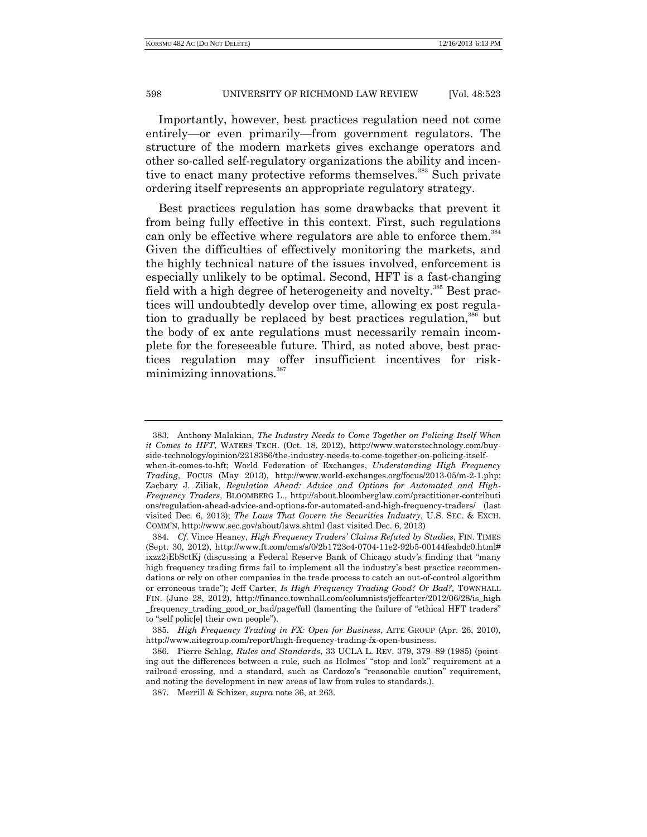Importantly, however, best practices regulation need not come entirely—or even primarily—from government regulators. The structure of the modern markets gives exchange operators and other so-called self-regulatory organizations the ability and incentive to enact many protective reforms themselves.<sup>383</sup> Such private ordering itself represents an appropriate regulatory strategy.

Best practices regulation has some drawbacks that prevent it from being fully effective in this context. First, such regulations can only be effective where regulators are able to enforce them.<sup>384</sup> Given the difficulties of effectively monitoring the markets, and the highly technical nature of the issues involved, enforcement is especially unlikely to be optimal. Second, HFT is a fast-changing field with a high degree of heterogeneity and novelty.<sup>385</sup> Best practices will undoubtedly develop over time, allowing ex post regulation to gradually be replaced by best practices regulation,<sup>386</sup> but the body of ex ante regulations must necessarily remain incomplete for the foreseeable future. Third, as noted above, best practices regulation may offer insufficient incentives for riskminimizing innovations.<sup>387</sup>

<sup>383.</sup> Anthony Malakian, *The Industry Needs to Come Together on Policing Itself When it Comes to HFT*, WATERS TECH. (Oct. 18, 2012), http://www.waterstechnology.com/buyside-technology/opinion/2218386/the-industry-needs-to-come-together-on-policing-itselfwhen-it-comes-to-hft; World Federation of Exchanges, *Understanding High Frequency* 

*Trading*, FOCUS (May 2013), http://www.world-exchanges.org/focus/2013-05/m-2-1.php; Zachary J. Ziliak, *Regulation Ahead: Advice and Options for Automated and High-Frequency Traders*, BLOOMBERG L., http://about.bloomberglaw.com/practitioner-contributi ons/regulation-ahead-advice-and-options-for-automated-and-high-frequency-traders/ (last visited Dec. 6, 2013); *The Laws That Govern the Securities Industry*, U.S. SEC. & EXCH. COMM'N, http://www.sec.gov/about/laws.shtml (last visited Dec. 6, 2013)

<sup>384.</sup> *Cf.* Vince Heaney, *High Frequency Traders' Claims Refuted by Studies*, FIN. TIMES (Sept. 30, 2012), http://www.ft.com/cms/s/0/2b1723c4-0704-11e2-92b5-00144feabdc0.html# ixzz2jEbSctKj (discussing a Federal Reserve Bank of Chicago study's finding that "many high frequency trading firms fail to implement all the industry's best practice recommendations or rely on other companies in the trade process to catch an out-of-control algorithm or erroneous trade"); Jeff Carter, *Is High Frequency Trading Good? Or Bad?,* TOWNHALL FIN. (June 28, 2012), http://finance.townhall.com/columnists/jeffcarter/2012/06/28/is\_high \_frequency\_trading\_good\_or\_bad/page/full (lamenting the failure of "ethical HFT traders" to "self polic[e] their own people").

<sup>385.</sup> *High Frequency Trading in FX: Open for Business*, AITE GROUP (Apr. 26, 2010), http://www.aitegroup.com/report/high-frequency-trading-fx-open-business.

<sup>386.</sup> Pierre Schlag, *Rules and Standards*, 33 UCLA L. REV. 379, 379–89 (1985) (pointing out the differences between a rule, such as Holmes' "stop and look" requirement at a railroad crossing, and a standard, such as Cardozo's "reasonable caution" requirement, and noting the development in new areas of law from rules to standards.).

<sup>387.</sup> Merrill & Schizer, *supra* note 36, at 263.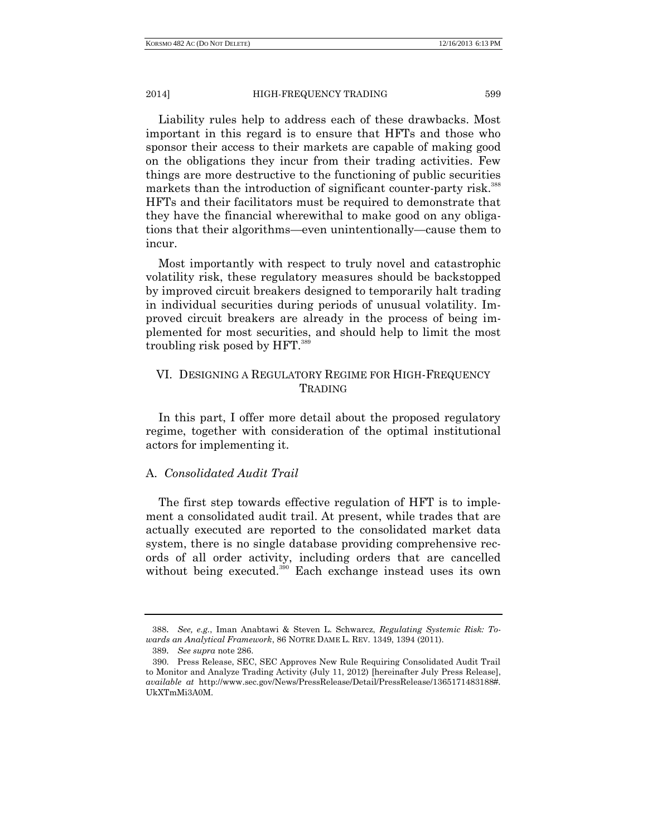Liability rules help to address each of these drawbacks. Most important in this regard is to ensure that HFTs and those who sponsor their access to their markets are capable of making good on the obligations they incur from their trading activities. Few things are more destructive to the functioning of public securities markets than the introduction of significant counter-party risk.<sup>388</sup> HFTs and their facilitators must be required to demonstrate that they have the financial wherewithal to make good on any obligations that their algorithms—even unintentionally—cause them to incur.

Most importantly with respect to truly novel and catastrophic volatility risk, these regulatory measures should be backstopped by improved circuit breakers designed to temporarily halt trading in individual securities during periods of unusual volatility. Improved circuit breakers are already in the process of being implemented for most securities, and should help to limit the most troubling risk posed by HFT.<sup>389</sup>

# VI. DESIGNING A REGULATORY REGIME FOR HIGH-FREQUENCY **TRADING**

In this part, I offer more detail about the proposed regulatory regime, together with consideration of the optimal institutional actors for implementing it.

# A. *Consolidated Audit Trail*

The first step towards effective regulation of HFT is to implement a consolidated audit trail. At present, while trades that are actually executed are reported to the consolidated market data system, there is no single database providing comprehensive records of all order activity, including orders that are cancelled without being executed.<sup>390</sup> Each exchange instead uses its own

<sup>388</sup>. *See, e.g.*, Iman Anabtawi & Steven L. Schwarcz, *Regulating Systemic Risk: Towards an Analytical Framework*, 86 NOTRE DAME L. REV. 1349, 1394 (2011).

<sup>389</sup>. *See supra* note 286.

<sup>390.</sup> Press Release, SEC, SEC Approves New Rule Requiring Consolidated Audit Trail to Monitor and Analyze Trading Activity (July 11, 2012) [hereinafter July Press Release], *available at* http://www.sec.gov/News/PressRelease/Detail/PressRelease/1365171483188#. UkXTmMi3A0M.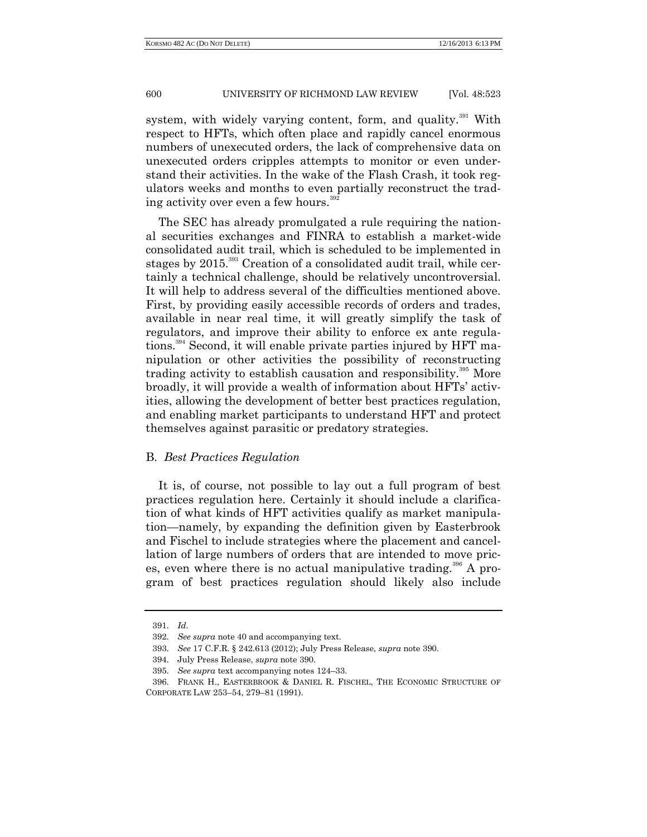system, with widely varying content, form, and quality. $391$  With respect to HFTs, which often place and rapidly cancel enormous numbers of unexecuted orders, the lack of comprehensive data on unexecuted orders cripples attempts to monitor or even understand their activities. In the wake of the Flash Crash, it took regulators weeks and months to even partially reconstruct the trading activity over even a few hours.<sup>392</sup>

The SEC has already promulgated a rule requiring the national securities exchanges and FINRA to establish a market-wide consolidated audit trail, which is scheduled to be implemented in stages by 2015.<sup>393</sup> Creation of a consolidated audit trail, while certainly a technical challenge, should be relatively uncontroversial. It will help to address several of the difficulties mentioned above. First, by providing easily accessible records of orders and trades, available in near real time, it will greatly simplify the task of regulators, and improve their ability to enforce ex ante regulations.<sup>394</sup> Second, it will enable private parties injured by HFT manipulation or other activities the possibility of reconstructing trading activity to establish causation and responsibility.<sup>395</sup> More broadly, it will provide a wealth of information about HFTs' activities, allowing the development of better best practices regulation, and enabling market participants to understand HFT and protect themselves against parasitic or predatory strategies.

### B. *Best Practices Regulation*

It is, of course, not possible to lay out a full program of best practices regulation here. Certainly it should include a clarification of what kinds of HFT activities qualify as market manipulation—namely, by expanding the definition given by Easterbrook and Fischel to include strategies where the placement and cancellation of large numbers of orders that are intended to move prices, even where there is no actual manipulative trading.<sup>396</sup> A program of best practices regulation should likely also include

<sup>391.</sup> *Id*.

<sup>392.</sup> *See supra* note 40 and accompanying text.

<sup>393.</sup> *See* 17 C.F.R. § 242.613 (2012); July Press Release, *supra* note 390.

<sup>394.</sup> July Press Release, *supra* note 390.

<sup>395.</sup> *See supra* text accompanying notes 124–33.

<sup>396.</sup> FRANK H., EASTERBROOK & DANIEL R. FISCHEL, THE ECONOMIC STRUCTURE OF CORPORATE LAW 253–54, 279–81 (1991).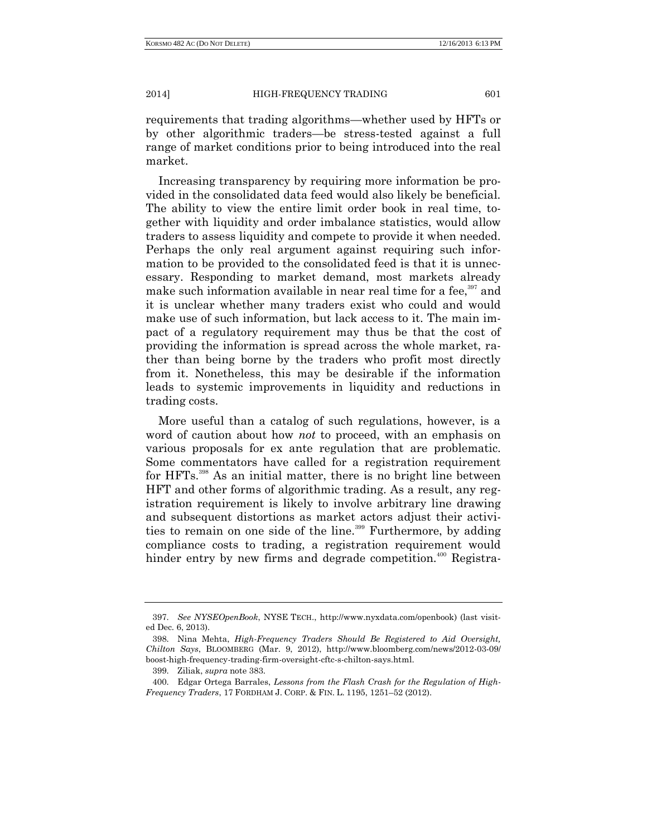requirements that trading algorithms—whether used by HFTs or by other algorithmic traders—be stress-tested against a full range of market conditions prior to being introduced into the real market.

Increasing transparency by requiring more information be provided in the consolidated data feed would also likely be beneficial. The ability to view the entire limit order book in real time, together with liquidity and order imbalance statistics, would allow traders to assess liquidity and compete to provide it when needed. Perhaps the only real argument against requiring such information to be provided to the consolidated feed is that it is unnecessary. Responding to market demand, most markets already make such information available in near real time for a fee,<sup>397</sup> and it is unclear whether many traders exist who could and would make use of such information, but lack access to it. The main impact of a regulatory requirement may thus be that the cost of providing the information is spread across the whole market, rather than being borne by the traders who profit most directly from it. Nonetheless, this may be desirable if the information leads to systemic improvements in liquidity and reductions in trading costs.

More useful than a catalog of such regulations, however, is a word of caution about how *not* to proceed, with an emphasis on various proposals for ex ante regulation that are problematic. Some commentators have called for a registration requirement for HFTs.<sup>398</sup> As an initial matter, there is no bright line between HFT and other forms of algorithmic trading. As a result, any registration requirement is likely to involve arbitrary line drawing and subsequent distortions as market actors adjust their activities to remain on one side of the line.<sup>399</sup> Furthermore, by adding compliance costs to trading, a registration requirement would hinder entry by new firms and degrade competition.<sup>400</sup> Registra-

<sup>397.</sup> *See NYSEOpenBook*, NYSE TECH., http://www.nyxdata.com/openbook) (last visited Dec. 6, 2013).

<sup>398.</sup> Nina Mehta, *High-Frequency Traders Should Be Registered to Aid Oversight, Chilton Says*, BLOOMBERG (Mar. 9, 2012), http://www.bloomberg.com/news/2012-03-09/ boost-high-frequency-trading-firm-oversight-cftc-s-chilton-says.html.

<sup>399.</sup> Ziliak, *supra* note 383.

<sup>400.</sup> Edgar Ortega Barrales, *Lessons from the Flash Crash for the Regulation of High-Frequency Traders*, 17 FORDHAM J. CORP. & FIN. L. 1195, 1251–52 (2012).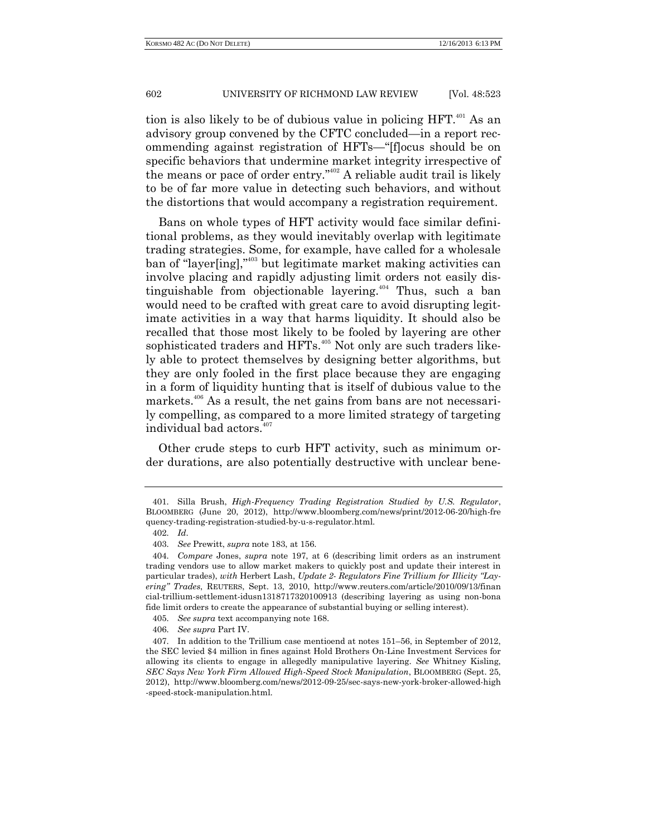tion is also likely to be of dubious value in policing HFT.<sup>401</sup> As an advisory group convened by the CFTC concluded—in a report recommending against registration of HFTs—"[f]ocus should be on specific behaviors that undermine market integrity irrespective of the means or pace of order entry."<sup>402</sup> A reliable audit trail is likely to be of far more value in detecting such behaviors, and without the distortions that would accompany a registration requirement.

Bans on whole types of HFT activity would face similar definitional problems, as they would inevitably overlap with legitimate trading strategies. Some, for example, have called for a wholesale ban of "layer[ing]," <sup>403</sup> but legitimate market making activities can involve placing and rapidly adjusting limit orders not easily distinguishable from objectionable layering.<sup> $404$ </sup> Thus, such a ban would need to be crafted with great care to avoid disrupting legitimate activities in a way that harms liquidity. It should also be recalled that those most likely to be fooled by layering are other sophisticated traders and HFTs.<sup>405</sup> Not only are such traders likely able to protect themselves by designing better algorithms, but they are only fooled in the first place because they are engaging in a form of liquidity hunting that is itself of dubious value to the markets.<sup>406</sup> As a result, the net gains from bans are not necessarily compelling, as compared to a more limited strategy of targeting individual bad actors.<sup>407</sup>

Other crude steps to curb HFT activity, such as minimum order durations, are also potentially destructive with unclear bene-

<sup>401.</sup> Silla Brush, *High-Frequency Trading Registration Studied by U.S. Regulator*, BLOOMBERG (June 20, 2012), http://www.bloomberg.com/news/print/2012-06-20/high-fre quency-trading-registration-studied-by-u-s-regulator.html.

<sup>402.</sup> *Id*.

<sup>403.</sup> *See* Prewitt, *supra* note 183, at 156.

<sup>404.</sup> *Compare* Jones, *supra* note 197, at 6 (describing limit orders as an instrument trading vendors use to allow market makers to quickly post and update their interest in particular trades), *with* Herbert Lash, *Update 2- Regulators Fine Trillium for Illicity "Layering" Trades*, REUTERS, Sept. 13, 2010, http://www.reuters.com/article/2010/09/13/finan cial-trillium-settlement-idusn1318717320100913 (describing layering as using non-bona fide limit orders to create the appearance of substantial buying or selling interest).

<sup>405.</sup> *See supra* text accompanying note 168.

<sup>406.</sup> *See supra* Part IV.

<sup>407.</sup> In addition to the Trillium case mentioend at notes 151–56, in September of 2012, the SEC levied \$4 million in fines against Hold Brothers On-Line Investment Services for allowing its clients to engage in allegedly manipulative layering. *See* Whitney Kisling, *SEC Says New York Firm Allowed High-Speed Stock Manipulation*, BLOOMBERG (Sept. 25, 2012), http://www.bloomberg.com/news/2012-09-25/sec-says-new-york-broker-allowed-high -speed-stock-manipulation.html.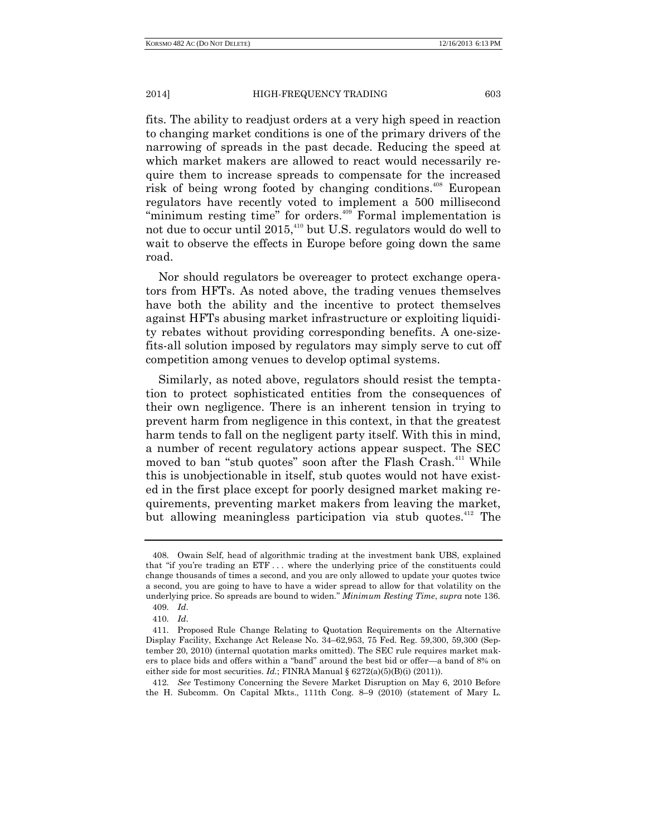fits. The ability to readjust orders at a very high speed in reaction to changing market conditions is one of the primary drivers of the narrowing of spreads in the past decade. Reducing the speed at which market makers are allowed to react would necessarily require them to increase spreads to compensate for the increased risk of being wrong footed by changing conditions.<sup>408</sup> European regulators have recently voted to implement a 500 millisecond "minimum resting time" for orders.<sup>409</sup> Formal implementation is not due to occur until 2015,<sup>410</sup> but U.S. regulators would do well to wait to observe the effects in Europe before going down the same road.

Nor should regulators be overeager to protect exchange operators from HFTs. As noted above, the trading venues themselves have both the ability and the incentive to protect themselves against HFTs abusing market infrastructure or exploiting liquidity rebates without providing corresponding benefits. A one-sizefits-all solution imposed by regulators may simply serve to cut off competition among venues to develop optimal systems.

Similarly, as noted above, regulators should resist the temptation to protect sophisticated entities from the consequences of their own negligence. There is an inherent tension in trying to prevent harm from negligence in this context, in that the greatest harm tends to fall on the negligent party itself. With this in mind, a number of recent regulatory actions appear suspect. The SEC moved to ban "stub quotes" soon after the Flash Crash.<sup>411</sup> While this is unobjectionable in itself, stub quotes would not have existed in the first place except for poorly designed market making requirements, preventing market makers from leaving the market, but allowing meaningless participation via stub quotes.<sup>412</sup> The

<sup>408.</sup> Owain Self, head of algorithmic trading at the investment bank UBS, explained that "if you're trading an ETF . . . where the underlying price of the constituents could change thousands of times a second, and you are only allowed to update your quotes twice a second, you are going to have to have a wider spread to allow for that volatility on the underlying price. So spreads are bound to widen." *Minimum Resting Time*, *supra* note 136. 409. *Id*.

<sup>410.</sup> *Id*.

<sup>411.</sup> Proposed Rule Change Relating to Quotation Requirements on the Alternative Display Facility, Exchange Act Release No. 34–62,953, 75 Fed. Reg. 59,300, 59,300 (September 20, 2010) (internal quotation marks omitted). The SEC rule requires market makers to place bids and offers within a "band" around the best bid or offer—a band of 8% on either side for most securities. *Id.*; FINRA Manual  $\S 6272(a)(5)(B)(i) (2011)$ .

<sup>412.</sup> *See* Testimony Concerning the Severe Market Disruption on May 6, 2010 Before the H. Subcomm. On Capital Mkts., 111th Cong. 8–9 (2010) (statement of Mary L.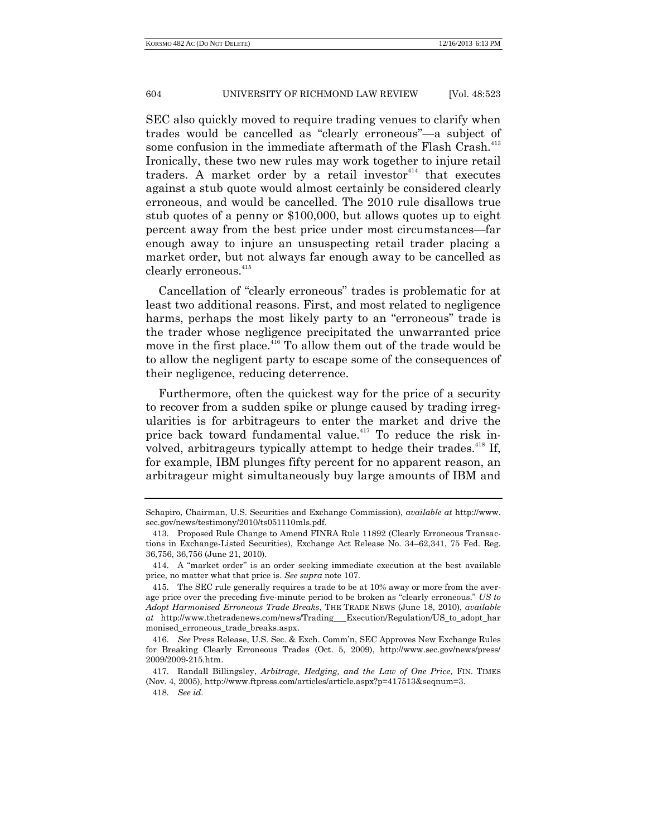SEC also quickly moved to require trading venues to clarify when trades would be cancelled as "clearly erroneous"—a subject of some confusion in the immediate aftermath of the Flash Crash.<sup>413</sup> Ironically, these two new rules may work together to injure retail traders. A market order by a retail investor $414$  that executes against a stub quote would almost certainly be considered clearly erroneous, and would be cancelled. The 2010 rule disallows true stub quotes of a penny or \$100,000, but allows quotes up to eight percent away from the best price under most circumstances—far enough away to injure an unsuspecting retail trader placing a market order, but not always far enough away to be cancelled as clearly erroneous.<sup>415</sup>

Cancellation of "clearly erroneous" trades is problematic for at least two additional reasons. First, and most related to negligence harms, perhaps the most likely party to an "erroneous" trade is the trader whose negligence precipitated the unwarranted price move in the first place.<sup>416</sup> To allow them out of the trade would be to allow the negligent party to escape some of the consequences of their negligence, reducing deterrence.

Furthermore, often the quickest way for the price of a security to recover from a sudden spike or plunge caused by trading irregularities is for arbitrageurs to enter the market and drive the price back toward fundamental value.<sup>417</sup> To reduce the risk involved, arbitrageurs typically attempt to hedge their trades.<sup>418</sup> If, for example, IBM plunges fifty percent for no apparent reason, an arbitrageur might simultaneously buy large amounts of IBM and

Schapiro, Chairman, U.S. Securities and Exchange Commission), *available at* http://www. sec.gov/news/testimony/2010/ts051110mls.pdf.

<sup>413.</sup> Proposed Rule Change to Amend FINRA Rule 11892 (Clearly Erroneous Transactions in Exchange-Listed Securities), Exchange Act Release No. 34–62,341, 75 Fed. Reg. 36,756, 36,756 (June 21, 2010).

<sup>414.</sup> A "market order" is an order seeking immediate execution at the best available price, no matter what that price is. *See supra* note 107.

<sup>415.</sup> The SEC rule generally requires a trade to be at 10% away or more from the average price over the preceding five-minute period to be broken as "clearly erroneous." *US to Adopt Harmonised Erroneous Trade Breaks*, THE TRADE NEWS (June 18, 2010), *available at* http://www.thetradenews.com/news/Trading\_\_\_Execution/Regulation/US\_to\_adopt\_har monised\_erroneous\_trade\_breaks.aspx.

<sup>416.</sup> *See* Press Release, U.S. Sec. & Exch. Comm'n, SEC Approves New Exchange Rules for Breaking Clearly Erroneous Trades (Oct. 5, 2009), http://www.sec.gov/news/press/ 2009/2009-215.htm.

<sup>417.</sup> Randall Billingsley, *Arbitrage, Hedging, and the Law of One Price*, FIN. TIMES (Nov. 4, 2005), http://www.ftpress.com/articles/article.aspx?p=417513&seqnum=3.

<sup>418.</sup> *See id*.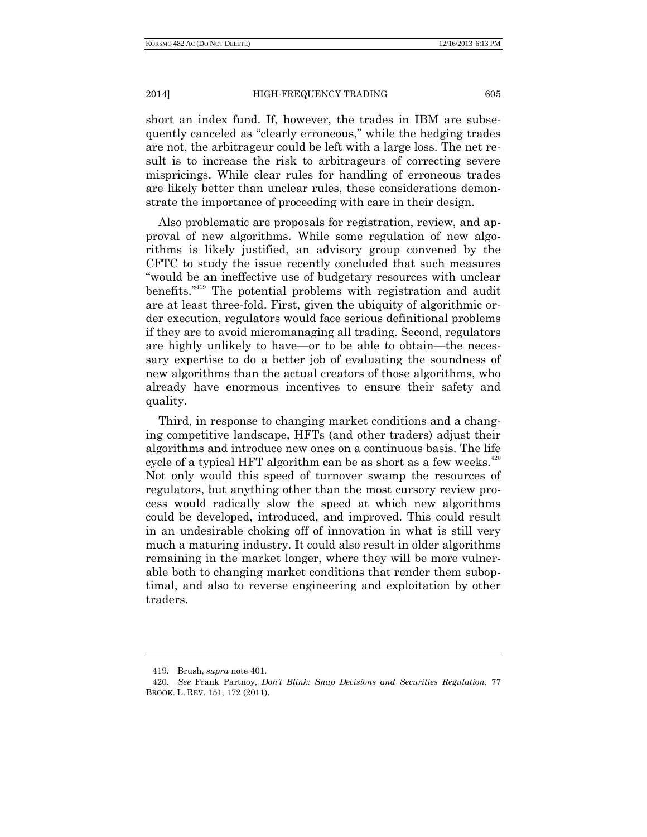short an index fund. If, however, the trades in IBM are subsequently canceled as "clearly erroneous," while the hedging trades are not, the arbitrageur could be left with a large loss. The net result is to increase the risk to arbitrageurs of correcting severe mispricings. While clear rules for handling of erroneous trades are likely better than unclear rules, these considerations demonstrate the importance of proceeding with care in their design.

Also problematic are proposals for registration, review, and approval of new algorithms. While some regulation of new algorithms is likely justified, an advisory group convened by the CFTC to study the issue recently concluded that such measures "would be an ineffective use of budgetary resources with unclear benefits.<sup>"<sup>419</sup> The potential problems with registration and audit</sup> are at least three-fold. First, given the ubiquity of algorithmic order execution, regulators would face serious definitional problems if they are to avoid micromanaging all trading. Second, regulators are highly unlikely to have—or to be able to obtain—the necessary expertise to do a better job of evaluating the soundness of new algorithms than the actual creators of those algorithms, who already have enormous incentives to ensure their safety and quality.

Third, in response to changing market conditions and a changing competitive landscape, HFTs (and other traders) adjust their algorithms and introduce new ones on a continuous basis. The life cycle of a typical HFT algorithm can be as short as a few weeks. $420$ Not only would this speed of turnover swamp the resources of regulators, but anything other than the most cursory review process would radically slow the speed at which new algorithms could be developed, introduced, and improved. This could result in an undesirable choking off of innovation in what is still very much a maturing industry. It could also result in older algorithms remaining in the market longer, where they will be more vulnerable both to changing market conditions that render them suboptimal, and also to reverse engineering and exploitation by other traders.

<sup>419.</sup> Brush, *supra* note 401.

<sup>420.</sup> *See* Frank Partnoy, *Don't Blink: Snap Decisions and Securities Regulation*, 77 BROOK. L. REV. 151, 172 (2011).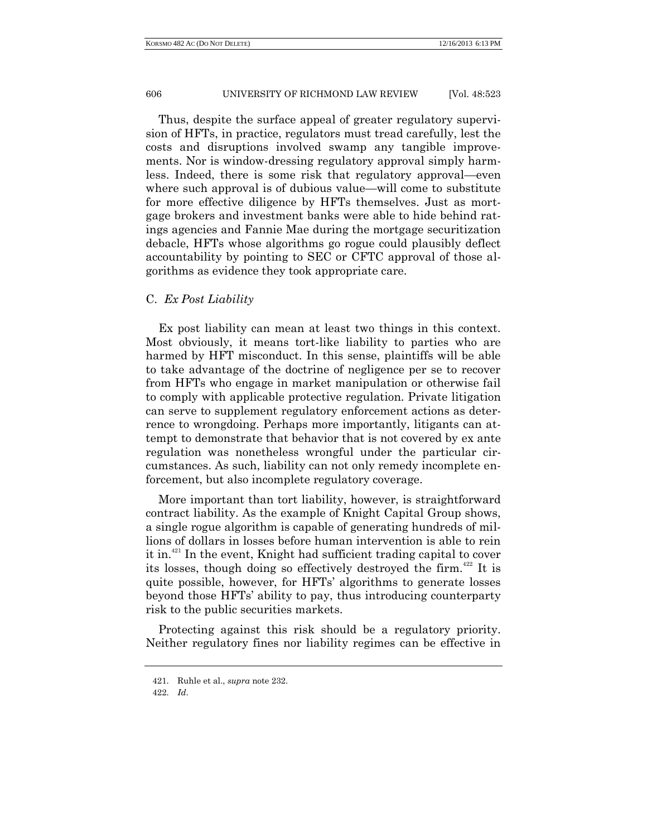Thus, despite the surface appeal of greater regulatory supervision of HFTs, in practice, regulators must tread carefully, lest the costs and disruptions involved swamp any tangible improvements. Nor is window-dressing regulatory approval simply harmless. Indeed, there is some risk that regulatory approval—even where such approval is of dubious value—will come to substitute for more effective diligence by HFTs themselves. Just as mortgage brokers and investment banks were able to hide behind ratings agencies and Fannie Mae during the mortgage securitization debacle, HFTs whose algorithms go rogue could plausibly deflect accountability by pointing to SEC or CFTC approval of those algorithms as evidence they took appropriate care.

# C. *Ex Post Liability*

Ex post liability can mean at least two things in this context. Most obviously, it means tort-like liability to parties who are harmed by HFT misconduct. In this sense, plaintiffs will be able to take advantage of the doctrine of negligence per se to recover from HFTs who engage in market manipulation or otherwise fail to comply with applicable protective regulation. Private litigation can serve to supplement regulatory enforcement actions as deterrence to wrongdoing. Perhaps more importantly, litigants can attempt to demonstrate that behavior that is not covered by ex ante regulation was nonetheless wrongful under the particular circumstances. As such, liability can not only remedy incomplete enforcement, but also incomplete regulatory coverage.

More important than tort liability, however, is straightforward contract liability. As the example of Knight Capital Group shows, a single rogue algorithm is capable of generating hundreds of millions of dollars in losses before human intervention is able to rein it in.<sup>421</sup> In the event, Knight had sufficient trading capital to cover its losses, though doing so effectively destroyed the firm.<sup> $422$ </sup> It is quite possible, however, for HFTs' algorithms to generate losses beyond those HFTs' ability to pay, thus introducing counterparty risk to the public securities markets.

Protecting against this risk should be a regulatory priority. Neither regulatory fines nor liability regimes can be effective in

<sup>421.</sup> Ruhle et al., *supra* note 232.

<sup>422.</sup> *Id*.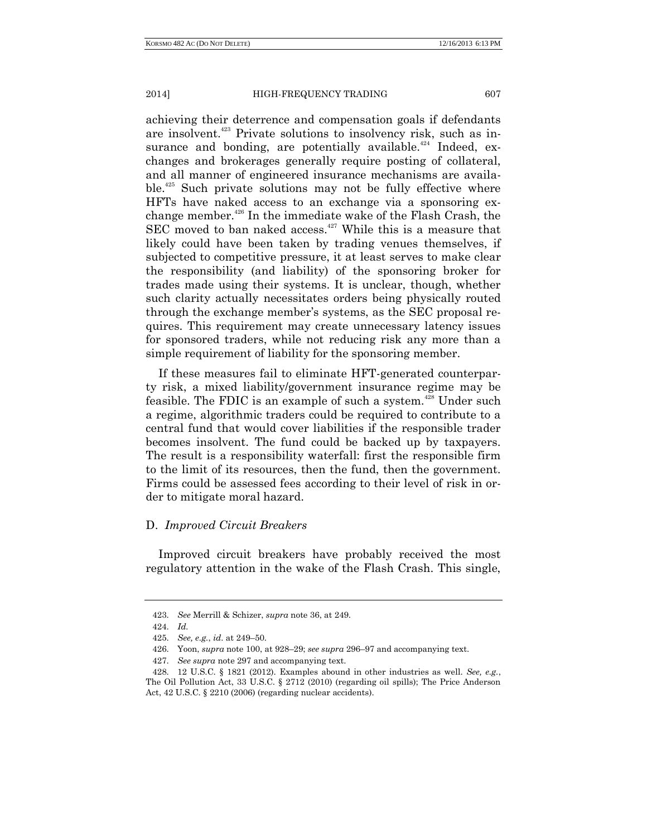achieving their deterrence and compensation goals if defendants are insolvent.<sup>423</sup> Private solutions to insolvency risk, such as in-

surance and bonding, are potentially available.<sup>424</sup> Indeed, exchanges and brokerages generally require posting of collateral, and all manner of engineered insurance mechanisms are available.<sup>425</sup> Such private solutions may not be fully effective where HFTs have naked access to an exchange via a sponsoring exchange member.<sup>426</sup> In the immediate wake of the Flash Crash, the  $SEC$  moved to ban naked access.<sup>427</sup> While this is a measure that likely could have been taken by trading venues themselves, if subjected to competitive pressure, it at least serves to make clear the responsibility (and liability) of the sponsoring broker for trades made using their systems. It is unclear, though, whether such clarity actually necessitates orders being physically routed through the exchange member's systems, as the SEC proposal requires. This requirement may create unnecessary latency issues for sponsored traders, while not reducing risk any more than a simple requirement of liability for the sponsoring member.

If these measures fail to eliminate HFT-generated counterparty risk, a mixed liability/government insurance regime may be feasible. The FDIC is an example of such a system.<sup>428</sup> Under such a regime, algorithmic traders could be required to contribute to a central fund that would cover liabilities if the responsible trader becomes insolvent. The fund could be backed up by taxpayers. The result is a responsibility waterfall: first the responsible firm to the limit of its resources, then the fund, then the government. Firms could be assessed fees according to their level of risk in order to mitigate moral hazard.

# D. *Improved Circuit Breakers*

Improved circuit breakers have probably received the most regulatory attention in the wake of the Flash Crash. This single,

<sup>423.</sup> *See* Merrill & Schizer, *supra* note 36, at 249.

<sup>424.</sup> *Id.*

<sup>425.</sup> *See, e.g.*, *id*. at 249–50.

<sup>426.</sup> Yoon, *supra* note 100, at 928–29; *see supra* 296–97 and accompanying text.

<sup>427.</sup> *See supra* note 297 and accompanying text.

<sup>428.</sup> 12 U.S.C. § 1821 (2012). Examples abound in other industries as well. *See, e.g.*, The Oil Pollution Act, 33 U.S.C. § 2712 (2010) (regarding oil spills); The Price Anderson Act, 42 U.S.C. § 2210 (2006) (regarding nuclear accidents).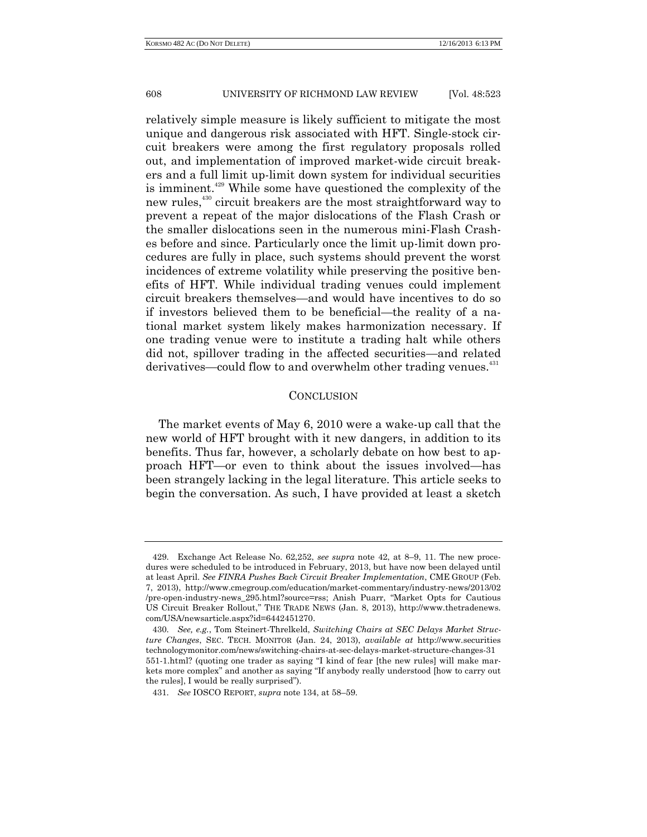relatively simple measure is likely sufficient to mitigate the most unique and dangerous risk associated with HFT. Single-stock circuit breakers were among the first regulatory proposals rolled out, and implementation of improved market-wide circuit breakers and a full limit up-limit down system for individual securities is imminent.<sup>429</sup> While some have questioned the complexity of the new rules,<sup>430</sup> circuit breakers are the most straightforward way to prevent a repeat of the major dislocations of the Flash Crash or the smaller dislocations seen in the numerous mini-Flash Crashes before and since. Particularly once the limit up-limit down procedures are fully in place, such systems should prevent the worst incidences of extreme volatility while preserving the positive benefits of HFT. While individual trading venues could implement circuit breakers themselves—and would have incentives to do so if investors believed them to be beneficial—the reality of a national market system likely makes harmonization necessary. If one trading venue were to institute a trading halt while others did not, spillover trading in the affected securities—and related derivatives—could flow to and overwhelm other trading venues.<sup>431</sup>

### **CONCLUSION**

The market events of May 6, 2010 were a wake-up call that the new world of HFT brought with it new dangers, in addition to its benefits. Thus far, however, a scholarly debate on how best to approach HFT—or even to think about the issues involved—has been strangely lacking in the legal literature. This article seeks to begin the conversation. As such, I have provided at least a sketch

<sup>429.</sup> Exchange Act Release No. 62,252, *see supra* note 42, at 8–9, 11. The new procedures were scheduled to be introduced in February, 2013, but have now been delayed until at least April. *See FINRA Pushes Back Circuit Breaker Implementation*, CME GROUP (Feb. 7, 2013), http://www.cmegroup.com/education/market-commentary/industry-news/2013/02 /pre-open-industry-news\_295.html?source=rss; Anish Puarr, "Market Opts for Cautious US Circuit Breaker Rollout," THE TRADE NEWS (Jan. 8, 2013), http://www.thetradenews. com/USA/newsarticle.aspx?id=6442451270.

<sup>430.</sup> *See, e.g.*, Tom Steinert-Threlkeld, *Switching Chairs at SEC Delays Market Structure Changes*, SEC. TECH. MONITOR (Jan. 24, 2013), *available at* http://www.securities technologymonitor.com/news/switching-chairs-at-sec-delays-market-structure-changes-31 551-1.html? (quoting one trader as saying "I kind of fear [the new rules] will make markets more complex" and another as saying "If anybody really understood [how to carry out the rules], I would be really surprised").

<sup>431.</sup> *See* IOSCO REPORT, *supra* note 134, at 58–59.